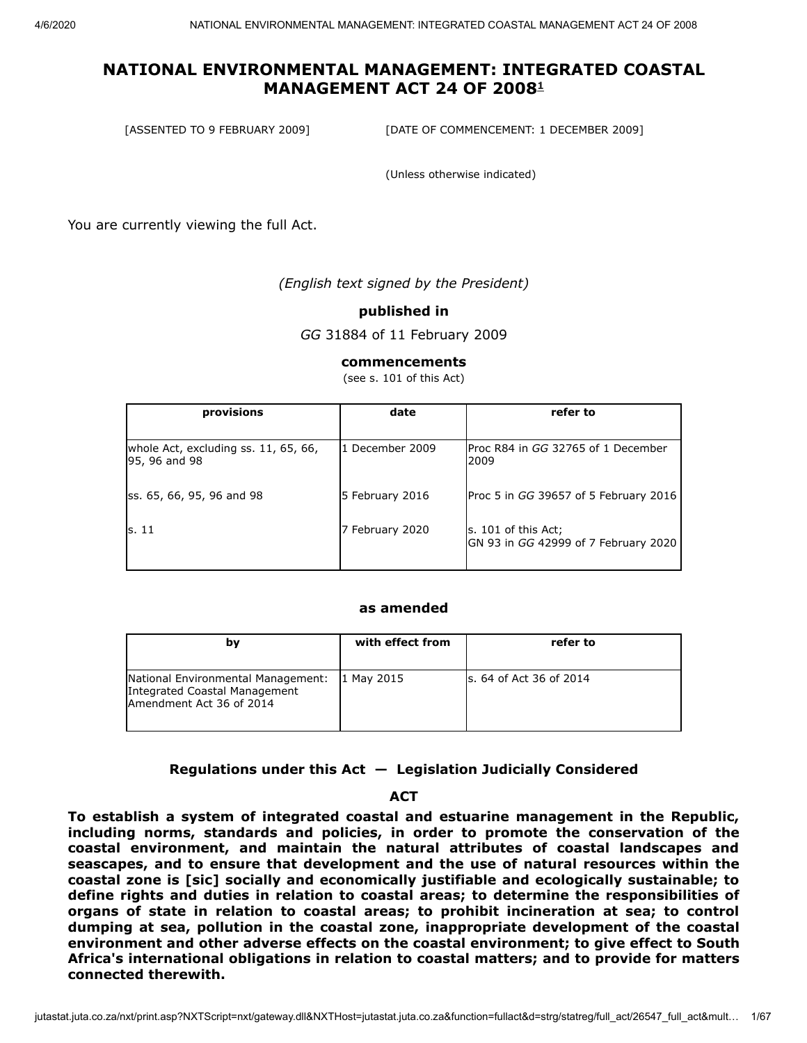[ASSENTED TO 9 FEBRUARY 2009] [DATE OF COMMENCEMENT: 1 DECEMBER 2009]

(Unless otherwise indicated)

You are currently viewing the full Act.

*(English text signed by the President)*

#### **published in**

*GG* 31884 of 11 February 2009

#### **commencements**

(see s. 101 of this Act)

| provisions                                            | date            | refer to                                                       |
|-------------------------------------------------------|-----------------|----------------------------------------------------------------|
| whole Act, excluding ss. 11, 65, 66,<br>95, 96 and 98 | 1 December 2009 | IProc R84 in GG 32765 of 1 December<br>2009                    |
| ss. 65, 66, 95, 96 and 98                             | 5 February 2016 | Proc 5 in GG 39657 of 5 February 2016                          |
| ls. 11                                                | 7 February 2020 | $ s. 101$ of this Act;<br>GN 93 in GG 42999 of 7 February 2020 |

#### **as amended**

| bγ                                                                                              | with effect from | refer to                 |
|-------------------------------------------------------------------------------------------------|------------------|--------------------------|
| National Environmental Management:<br>Integrated Coastal Management<br>Amendment Act 36 of 2014 | 1 May 2015       | ls. 64 of Act 36 of 2014 |

**Regulations under this Act — Legislation Judicially Considered**

#### **ACT**

**To establish a system of integrated coastal and estuarine management in the Republic, including norms, standards and policies, in order to promote the conservation of the coastal environment, and maintain the natural attributes of coastal landscapes and seascapes, and to ensure that development and the use of natural resources within the coastal zone is [sic] socially and economically justifiable and ecologically sustainable; to define rights and duties in relation to coastal areas; to determine the responsibilities of organs of state in relation to coastal areas; to prohibit incineration at sea; to control dumping at sea, pollution in the coastal zone, inappropriate development of the coastal environment and other adverse effects on the coastal environment; to give effect to South Africa's international obligations in relation to coastal matters; and to provide for matters connected therewith.**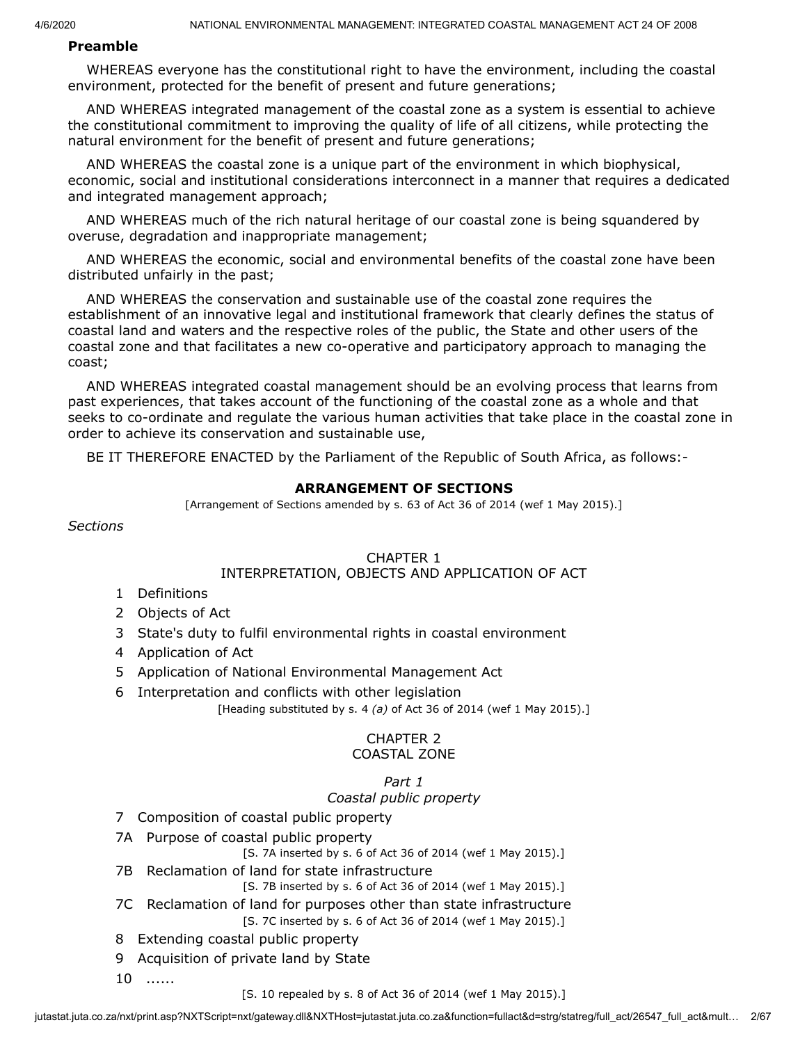#### **Preamble**

WHEREAS everyone has the constitutional right to have the environment, including the coastal environment, protected for the benefit of present and future generations;

AND WHEREAS integrated management of the coastal zone as a system is essential to achieve the constitutional commitment to improving the quality of life of all citizens, while protecting the natural environment for the benefit of present and future generations;

AND WHEREAS the coastal zone is a unique part of the environment in which biophysical, economic, social and institutional considerations interconnect in a manner that requires a dedicated and integrated management approach;

AND WHEREAS much of the rich natural heritage of our coastal zone is being squandered by overuse, degradation and inappropriate management;

AND WHEREAS the economic, social and environmental benefits of the coastal zone have been distributed unfairly in the past;

AND WHEREAS the conservation and sustainable use of the coastal zone requires the establishment of an innovative legal and institutional framework that clearly defines the status of coastal land and waters and the respective roles of the public, the State and other users of the coastal zone and that facilitates a new co-operative and participatory approach to managing the coast;

AND WHEREAS integrated coastal management should be an evolving process that learns from past experiences, that takes account of the functioning of the coastal zone as a whole and that seeks to co-ordinate and regulate the various human activities that take place in the coastal zone in order to achieve its conservation and sustainable use,

BE IT THEREFORE ENACTED by the Parliament of the Republic of South Africa, as follows:-

### **ARRANGEMENT OF SECTIONS**

[Arrangement of Sections amended by s. 63 of Act 36 of 2014 (wef 1 May 2015).]

*Sections*

#### CHAPTER 1

#### INTERPRETATION, OBJECTS AND APPLICATION OF ACT

- 1 Definitions
- 2 Objects of Act
- 3 State's duty to fulfil environmental rights in coastal environment
- 4 Application of Act
- 5 Application of National Environmental Management Act
- 6 Interpretation and conflicts with other legislation [Heading substituted by s. 4 *(a)* of Act 36 of 2014 (wef 1 May 2015).]

# CHAPTER 2

#### COASTAL ZONE

## *Part 1 Coastal public property*

- 7 Composition of coastal public property
- 7A Purpose of coastal public property

[S. 7A inserted by s. 6 of Act 36 of 2014 (wef 1 May 2015).]

- 7B Reclamation of land for state infrastructure
	- [S. 7B inserted by s. 6 of Act 36 of 2014 (wef 1 May 2015).]
- 7C Reclamation of land for purposes other than state infrastructure [S. 7C inserted by s. 6 of Act 36 of 2014 (wef 1 May 2015).]
- 8 Extending coastal public property
- 9 Acquisition of private land by State
- 10 ......

[S. 10 repealed by s. 8 of Act 36 of 2014 (wef 1 May 2015).]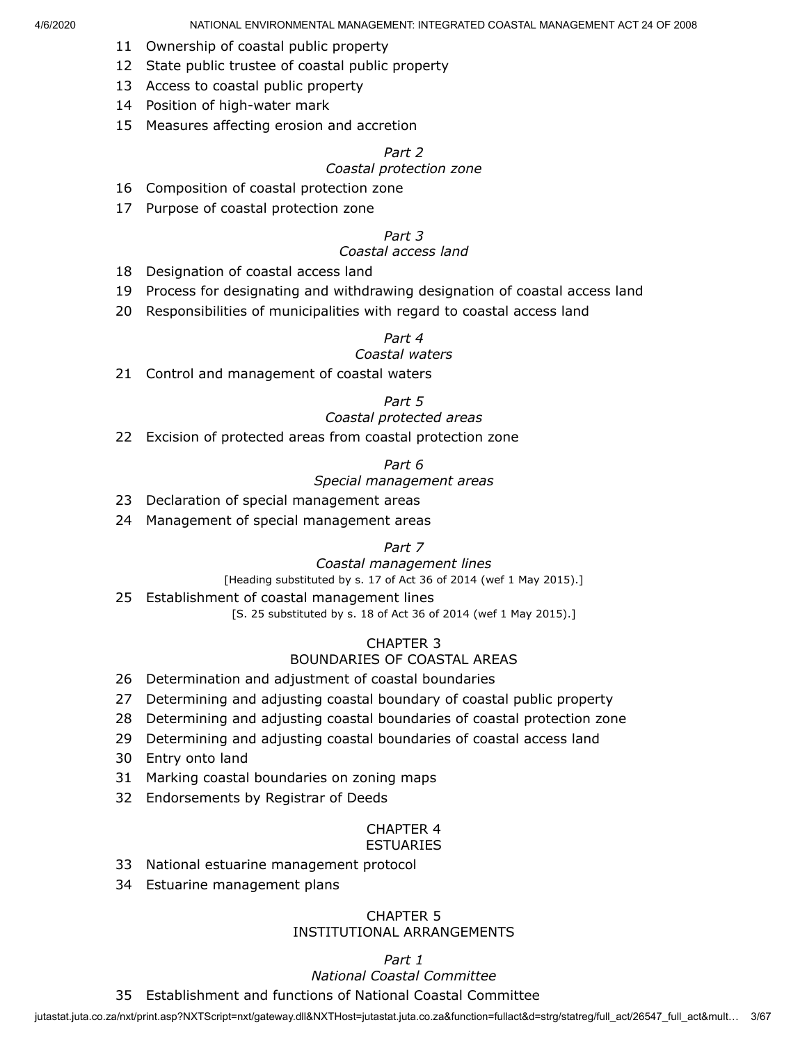- 11 Ownership of coastal public property
- 12 State public trustee of coastal public property
- 13 Access to coastal public property
- 14 Position of high-water mark
- 15 Measures affecting erosion and accretion

## *Part 2*

#### *Coastal protection zone*

- 16 Composition of coastal protection zone
- 17 Purpose of coastal protection zone

#### *Part 3*

#### *Coastal access land*

- 18 Designation of coastal access land
- 19 Process for designating and withdrawing designation of coastal access land
- 20 Responsibilities of municipalities with regard to coastal access land

#### *Part 4*

### *Coastal waters*

21 Control and management of coastal waters

#### *Part 5*

#### *Coastal protected areas*

22 Excision of protected areas from coastal protection zone

#### *Part 6*

#### *Special management areas*

- 23 Declaration of special management areas
- 24 Management of special management areas

#### *Part 7*

#### *Coastal management lines*

[Heading substituted by s. 17 of Act 36 of 2014 (wef 1 May 2015).]

#### 25 Establishment of coastal management lines

[S. 25 substituted by s. 18 of Act 36 of 2014 (wef 1 May 2015).]

### CHAPTER 3 BOUNDARIES OF COASTAL AREAS

- 26 Determination and adjustment of coastal boundaries
- 27 Determining and adjusting coastal boundary of coastal public property
- 28 Determining and adjusting coastal boundaries of coastal protection zone
- 29 Determining and adjusting coastal boundaries of coastal access land
- 30 Entry onto land
- 31 Marking coastal boundaries on zoning maps
- 32 Endorsements by Registrar of Deeds

#### CHAPTER 4 ESTUARIES

- 33 National estuarine management protocol
- 34 Estuarine management plans

#### CHAPTER 5 INSTITUTIONAL ARRANGEMENTS

## *Part 1*

# *National Coastal Committee*

35 Establishment and functions of National Coastal Committee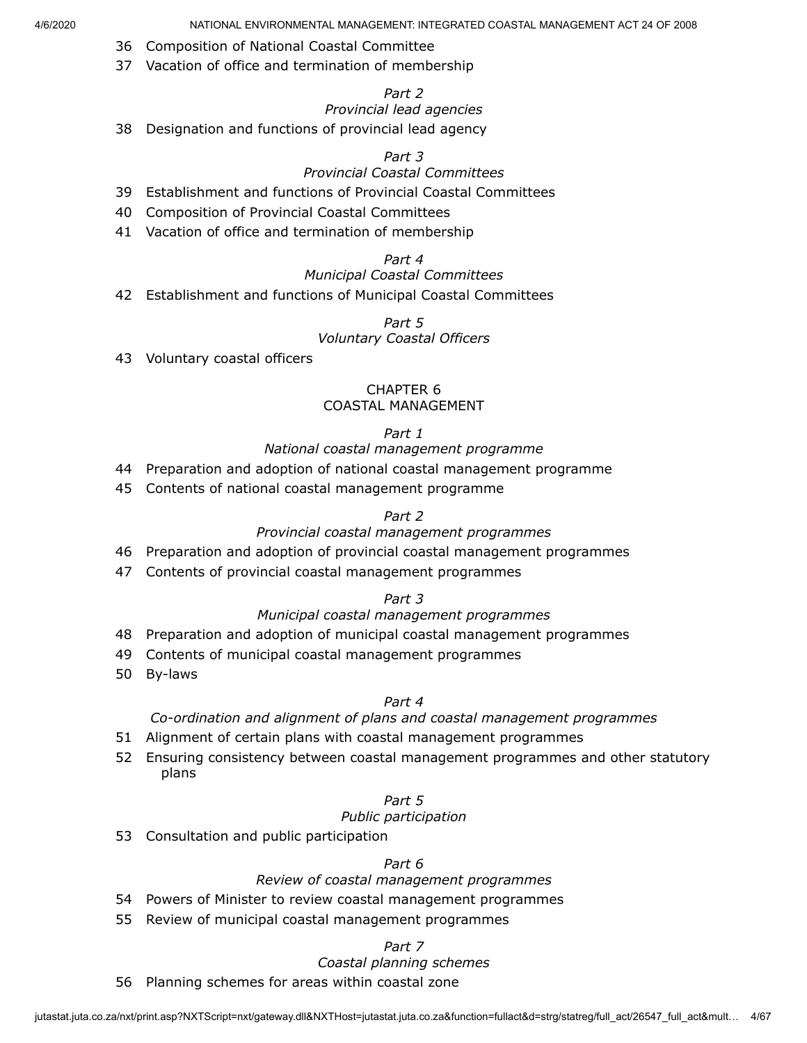- 36 Composition of National Coastal Committee
- 37 Vacation of office and termination of membership

## *Part 2*

### *Provincial lead agencies*

38 Designation and functions of provincial lead agency

### *Part 3*

## *Provincial Coastal Committees*

- 39 Establishment and functions of Provincial Coastal Committees
- 40 Composition of Provincial Coastal Committees
- 41 Vacation of office and termination of membership

# *Part 4*

### *Municipal Coastal Committees*

42 Establishment and functions of Municipal Coastal Committees

#### *Part 5 Voluntary Coastal Officers*

43 Voluntary coastal officers

### CHAPTER 6 COASTAL MANAGEMENT

### *Part 1*

### *National coastal management programme*

- 44 Preparation and adoption of national coastal management programme
- 45 Contents of national coastal management programme

### *Part 2*

### *Provincial coastal management programmes*

- 46 Preparation and adoption of provincial coastal management programmes
- 47 Contents of provincial coastal management programmes

### *Part 3*

### *Municipal coastal management programmes*

- 48 Preparation and adoption of municipal coastal management programmes
- 49 Contents of municipal coastal management programmes
- 50 By-laws

### *Part 4*

### *Co-ordination and alignment of plans and coastal management programmes*

- 51 Alignment of certain plans with coastal management programmes
- 52 Ensuring consistency between coastal management programmes and other statutory plans

### *Part 5*

### *Public participation*

53 Consultation and public participation

### *Part 6*

# *Review of coastal management programmes*

- 54 Powers of Minister to review coastal management programmes
- 55 Review of municipal coastal management programmes

#### *Part 7*

## *Coastal planning schemes*

56 Planning schemes for areas within coastal zone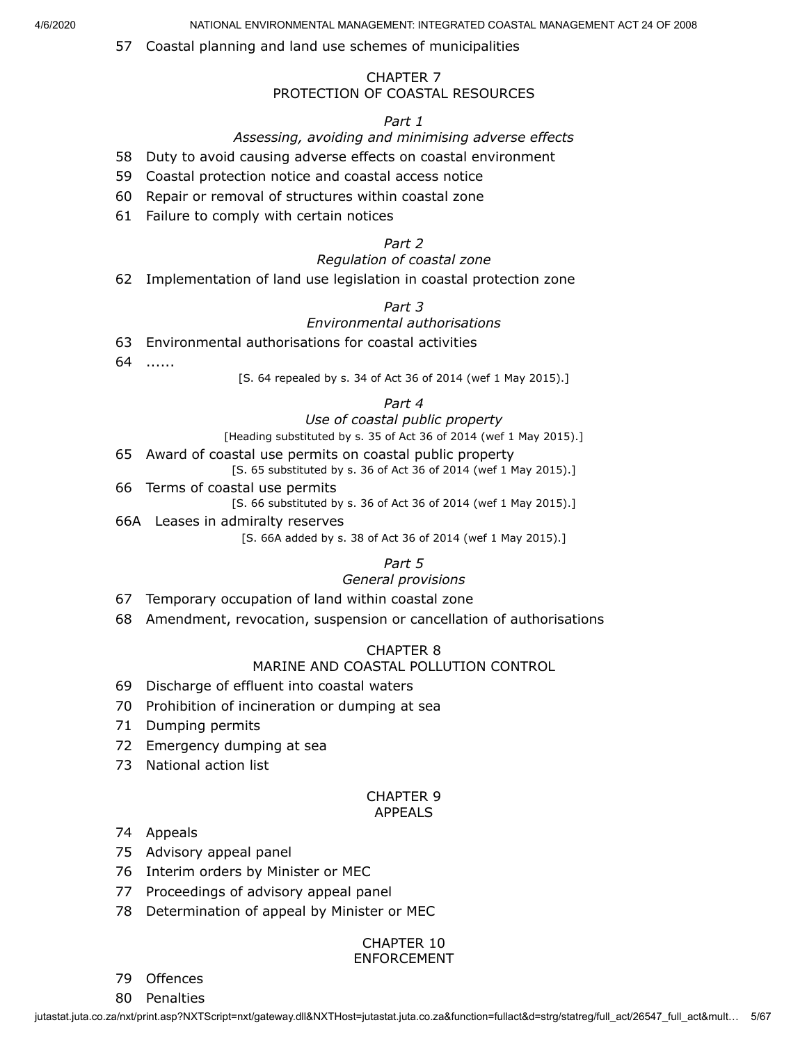57 Coastal planning and land use schemes of municipalities

### CHAPTER 7 PROTECTION OF COASTAL RESOURCES

#### *Part 1*

#### *Assessing, avoiding and minimising adverse effects*

58 Duty to avoid causing adverse effects on coastal environment

- 59 Coastal protection notice and coastal access notice
- 60 Repair or removal of structures within coastal zone
- 61 Failure to comply with certain notices

#### *Part 2*

### *Regulation of coastal zone*

62 Implementation of land use legislation in coastal protection zone

### *Part 3*

#### *Environmental authorisations*

- 63 Environmental authorisations for coastal activities
- 64 ......

[S. 64 repealed by s. 34 of Act 36 of 2014 (wef 1 May 2015).]

#### *Part 4*

#### *Use of coastal public property*

[Heading substituted by s. 35 of Act 36 of 2014 (wef 1 May 2015).]

- 65 Award of coastal use permits on coastal public property [S. 65 substituted by s. 36 of Act 36 of 2014 (wef 1 May 2015).]
- 66 Terms of coastal use permits

[S. 66 substituted by s. 36 of Act 36 of 2014 (wef 1 May 2015).]

66A Leases in admiralty reserves

[S. 66A added by s. 38 of Act 36 of 2014 (wef 1 May 2015).]

# *Part 5*

# *General provisions*

- 67 Temporary occupation of land within coastal zone
- 68 Amendment, revocation, suspension or cancellation of authorisations

#### CHAPTER 8

### MARINE AND COASTAL POLLUTION CONTROL

- 69 Discharge of effluent into coastal waters
- 70 Prohibition of incineration or dumping at sea
- 71 Dumping permits
- 72 Emergency dumping at sea
- 73 National action list

#### CHAPTER 9 APPEALS

#### 74 Appeals

- 75 Advisory appeal panel
- 76 Interim orders by Minister or MEC
- 77 Proceedings of advisory appeal panel
- 78 Determination of appeal by Minister or MEC

#### CHAPTER 10 ENFORCEMENT

79 Offences

80 Penalties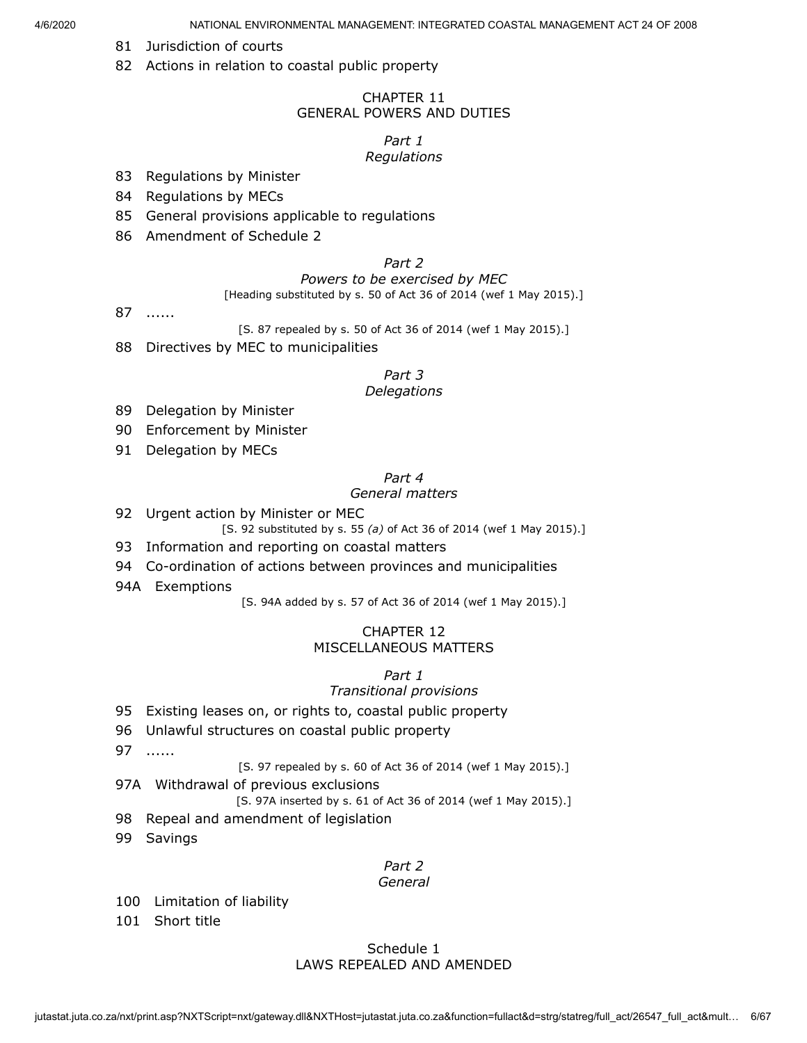- 81 Jurisdiction of courts
- 82 Actions in relation to coastal public property

#### CHAPTER 11 GENERAL POWERS AND DUTIES

#### *Part 1*

### *Regulations*

- 83 Regulations by Minister
- 84 Regulations by MECs
- 85 General provisions applicable to regulations
- 86 Amendment of Schedule 2

## *Part 2*

#### *Powers to be exercised by MEC*

[Heading substituted by s. 50 of Act 36 of 2014 (wef 1 May 2015).]

87 ......

[S. 87 repealed by s. 50 of Act 36 of 2014 (wef 1 May 2015).]

88 Directives by MEC to municipalities

#### *Part 3*

#### *Delegations*

- 89 Delegation by Minister
- 90 Enforcement by Minister
- 91 Delegation by MECs

# *Part 4*

### *General matters*

92 Urgent action by Minister or MEC

[S. 92 substituted by s. 55 *(a)* of Act 36 of 2014 (wef 1 May 2015).]

- 93 Information and reporting on coastal matters
- 94 Co-ordination of actions between provinces and municipalities
- 94A Exemptions

[S. 94A added by s. 57 of Act 36 of 2014 (wef 1 May 2015).]

### CHAPTER 12 MISCELLANEOUS MATTERS

### *Part 1*

#### *Transitional provisions*

- 95 Existing leases on, or rights to, coastal public property
- 96 Unlawful structures on coastal public property
- 97 ......

[S. 97 repealed by s. 60 of Act 36 of 2014 (wef 1 May 2015).]

97A Withdrawal of previous exclusions

[S. 97A inserted by s. 61 of Act 36 of 2014 (wef 1 May 2015).]

- 98 Repeal and amendment of legislation
- 99 Savings

#### *Part 2*

#### *General*

- 100 Limitation of liability
- 101 Short title

#### Schedule 1 LAWS REPEALED AND AMENDED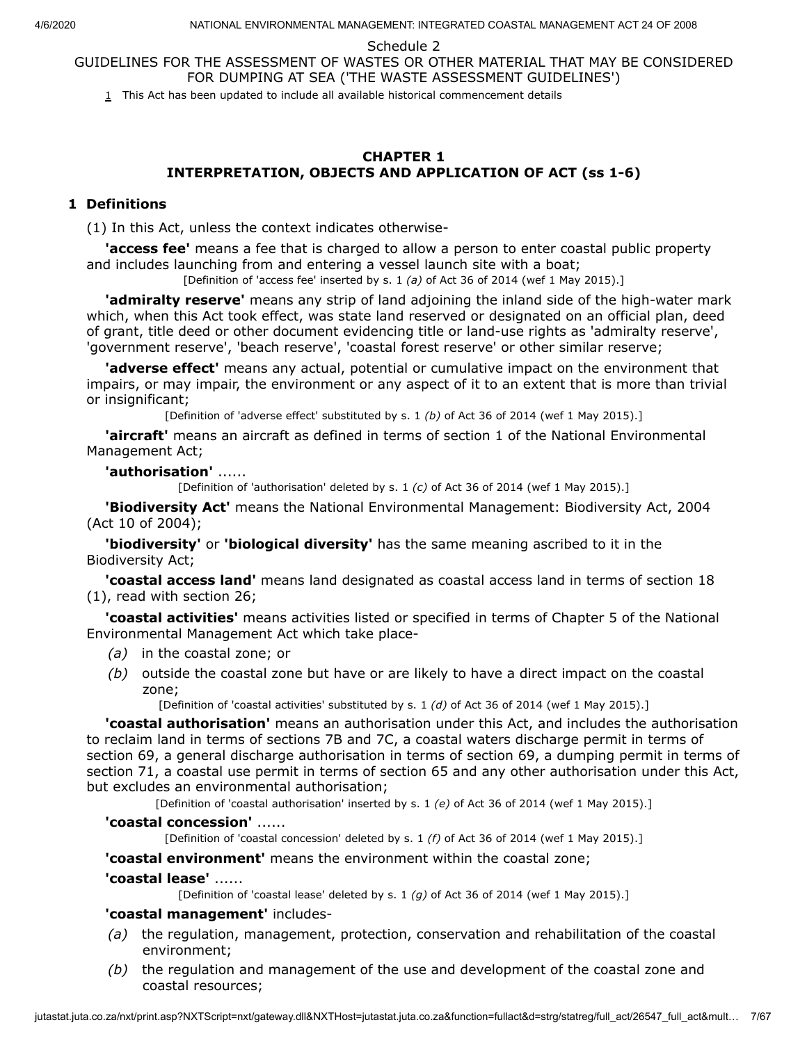Schedule 2

<span id="page-6-0"></span>GUIDELINES FOR THE ASSESSMENT OF WASTES OR OTHER MATERIAL THAT MAY BE CONSIDERED FOR DUMPING AT SEA ('THE WASTE ASSESSMENT GUIDELINES')

 $1$  This Act has been updated to include all available historical commencement details

### **CHAPTER 1 INTERPRETATION, OBJECTS AND APPLICATION OF ACT (ss 1-6)**

### **1 Definitions**

(1) In this Act, unless the context indicates otherwise-

**'access fee'** means a fee that is charged to allow a person to enter coastal public property and includes launching from and entering a vessel launch site with a boat;

[Definition of 'access fee' inserted by s. 1 *(a)* of Act 36 of 2014 (wef 1 May 2015).]

**'admiralty reserve'** means any strip of land adjoining the inland side of the high-water mark which, when this Act took effect, was state land reserved or designated on an official plan, deed of grant, title deed or other document evidencing title or land-use rights as 'admiralty reserve', 'government reserve', 'beach reserve', 'coastal forest reserve' or other similar reserve;

**'adverse effect'** means any actual, potential or cumulative impact on the environment that impairs, or may impair, the environment or any aspect of it to an extent that is more than trivial or insignificant;

[Definition of 'adverse effect' substituted by s. 1 *(b)* of Act 36 of 2014 (wef 1 May 2015).]

**'aircraft'** means an aircraft as defined in terms of section 1 of the National Environmental Management Act;

**'authorisation'** ......

[Definition of 'authorisation' deleted by s. 1 *(c)* of Act 36 of 2014 (wef 1 May 2015).]

**'Biodiversity Act'** means the National Environmental Management: Biodiversity Act, 2004 (Act 10 of 2004);

**'biodiversity'** or **'biological diversity'** has the same meaning ascribed to it in the Biodiversity Act;

**'coastal access land'** means land designated as coastal access land in terms of section 18 (1), read with section 26;

**'coastal activities'** means activities listed or specified in terms of Chapter 5 of the National Environmental Management Act which take place-

- *(a)* in the coastal zone; or
- *(b)* outside the coastal zone but have or are likely to have a direct impact on the coastal zone;

[Definition of 'coastal activities' substituted by s. 1 *(d)* of Act 36 of 2014 (wef 1 May 2015).]

**'coastal authorisation'** means an authorisation under this Act, and includes the authorisation to reclaim land in terms of sections 7B and 7C, a coastal waters discharge permit in terms of section 69, a general discharge authorisation in terms of section 69, a dumping permit in terms of section 71, a coastal use permit in terms of section 65 and any other authorisation under this Act, but excludes an environmental authorisation;

[Definition of 'coastal authorisation' inserted by s. 1 *(e)* of Act 36 of 2014 (wef 1 May 2015).]

#### **'coastal concession'** ......

[Definition of 'coastal concession' deleted by s. 1 *(f)* of Act 36 of 2014 (wef 1 May 2015).]

**'coastal environment'** means the environment within the coastal zone;

**'coastal lease'** ......

[Definition of 'coastal lease' deleted by s. 1 *(g)* of Act 36 of 2014 (wef 1 May 2015).]

#### **'coastal management'** includes-

- *(a)* the regulation, management, protection, conservation and rehabilitation of the coastal environment;
- *(b)* the regulation and management of the use and development of the coastal zone and coastal resources;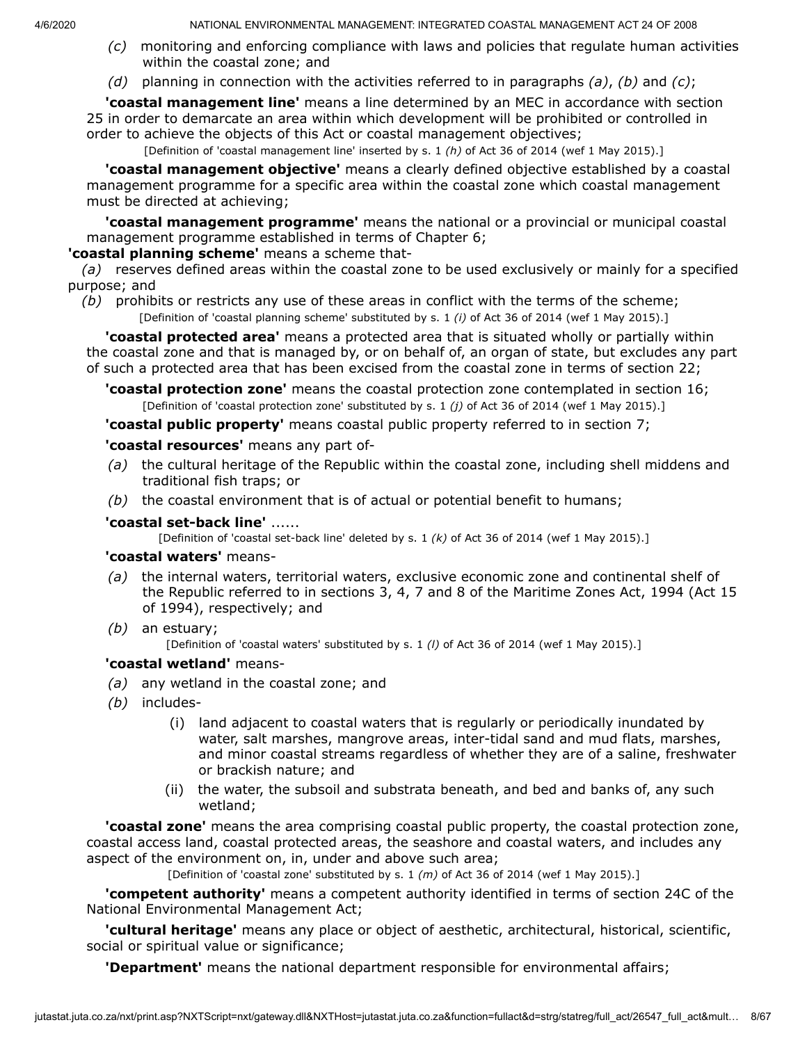- *(c)* monitoring and enforcing compliance with laws and policies that regulate human activities within the coastal zone; and
- *(d)* planning in connection with the activities referred to in paragraphs *(a)*, *(b)* and *(c)*;

**'coastal management line'** means a line determined by an MEC in accordance with section 25 in order to demarcate an area within which development will be prohibited or controlled in order to achieve the objects of this Act or coastal management objectives;

[Definition of 'coastal management line' inserted by s. 1 *(h)* of Act 36 of 2014 (wef 1 May 2015).]

**'coastal management objective'** means a clearly defined objective established by a coastal management programme for a specific area within the coastal zone which coastal management must be directed at achieving;

**'coastal management programme'** means the national or a provincial or municipal coastal management programme established in terms of Chapter 6;

### **'coastal planning scheme'** means a scheme that-

*(a)* reserves defined areas within the coastal zone to be used exclusively or mainly for a specified purpose; and

*(b)* prohibits or restricts any use of these areas in conflict with the terms of the scheme; [Definition of 'coastal planning scheme' substituted by s. 1 *(i)* of Act 36 of 2014 (wef 1 May 2015).]

**'coastal protected area'** means a protected area that is situated wholly or partially within the coastal zone and that is managed by, or on behalf of, an organ of state, but excludes any part of such a protected area that has been excised from the coastal zone in terms of section 22;

**'coastal protection zone'** means the coastal protection zone contemplated in section 16; [Definition of 'coastal protection zone' substituted by s. 1 *(j)* of Act 36 of 2014 (wef 1 May 2015).]

**'coastal public property'** means coastal public property referred to in section 7;

### **'coastal resources'** means any part of-

- *(a)* the cultural heritage of the Republic within the coastal zone, including shell middens and traditional fish traps; or
- *(b)* the coastal environment that is of actual or potential benefit to humans;

### **'coastal set-back line'** ......

[Definition of 'coastal set-back line' deleted by s. 1 *(k)* of Act 36 of 2014 (wef 1 May 2015).]

### **'coastal waters'** means-

- *(a)* the internal waters, territorial waters, exclusive economic zone and continental shelf of the Republic referred to in sections 3, 4, 7 and 8 of the Maritime Zones Act, 1994 (Act 15 of 1994), respectively; and
- *(b)* an estuary;

[Definition of 'coastal waters' substituted by s. 1 *(l)* of Act 36 of 2014 (wef 1 May 2015).]

### **'coastal wetland'** means-

- *(a)* any wetland in the coastal zone; and
- *(b)* includes-
	- (i) land adjacent to coastal waters that is regularly or periodically inundated by water, salt marshes, mangrove areas, inter-tidal sand and mud flats, marshes, and minor coastal streams regardless of whether they are of a saline, freshwater or brackish nature; and
	- (ii) the water, the subsoil and substrata beneath, and bed and banks of, any such wetland;

**'coastal zone'** means the area comprising coastal public property, the coastal protection zone, coastal access land, coastal protected areas, the seashore and coastal waters, and includes any aspect of the environment on, in, under and above such area;

[Definition of 'coastal zone' substituted by s. 1 *(m)* of Act 36 of 2014 (wef 1 May 2015).]

**'competent authority'** means a competent authority identified in terms of section 24C of the National Environmental Management Act;

**'cultural heritage'** means any place or object of aesthetic, architectural, historical, scientific, social or spiritual value or significance;

**'Department'** means the national department responsible for environmental affairs;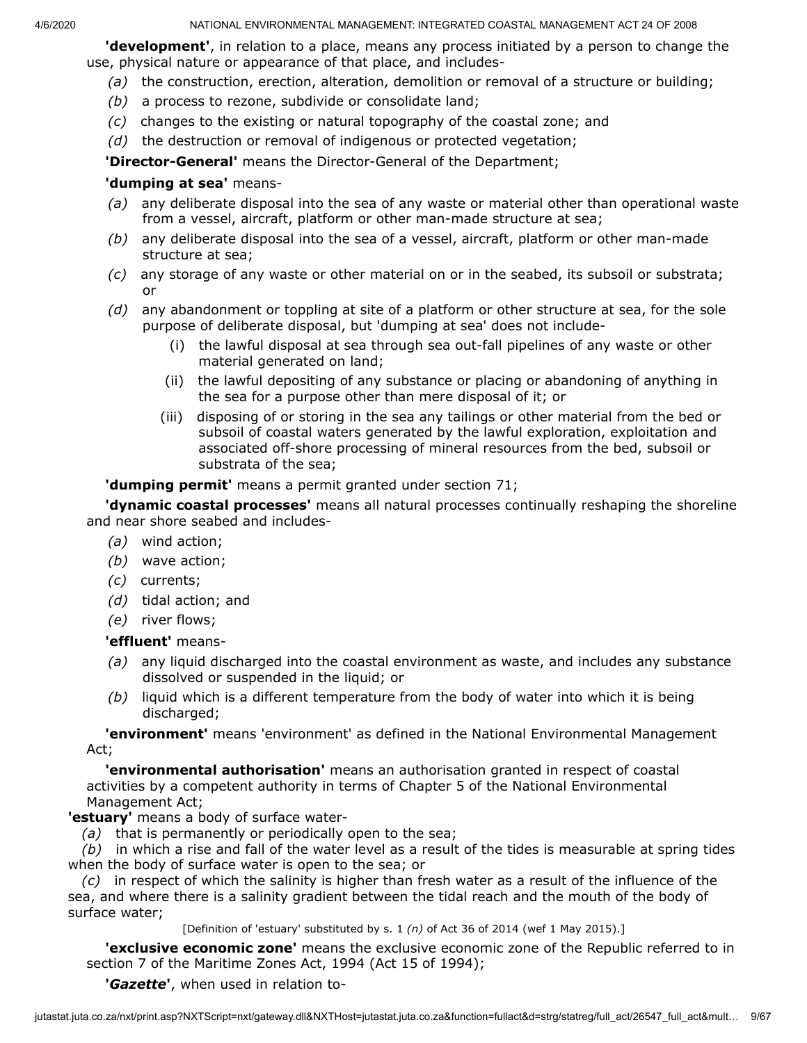**'development'**, in relation to a place, means any process initiated by a person to change the use, physical nature or appearance of that place, and includes-

- *(a)* the construction, erection, alteration, demolition or removal of a structure or building;
- *(b)* a process to rezone, subdivide or consolidate land;
- *(c)* changes to the existing or natural topography of the coastal zone; and
- *(d)* the destruction or removal of indigenous or protected vegetation;

**'Director-General'** means the Director-General of the Department;

### **'dumping at sea'** means-

- *(a)* any deliberate disposal into the sea of any waste or material other than operational waste from a vessel, aircraft, platform or other man-made structure at sea;
- *(b)* any deliberate disposal into the sea of a vessel, aircraft, platform or other man-made structure at sea;
- *(c)* any storage of any waste or other material on or in the seabed, its subsoil or substrata; or
- *(d)* any abandonment or toppling at site of a platform or other structure at sea, for the sole purpose of deliberate disposal, but 'dumping at sea' does not include-
	- (i) the lawful disposal at sea through sea out-fall pipelines of any waste or other material generated on land;
	- (ii) the lawful depositing of any substance or placing or abandoning of anything in the sea for a purpose other than mere disposal of it; or
	- (iii) disposing of or storing in the sea any tailings or other material from the bed or subsoil of coastal waters generated by the lawful exploration, exploitation and associated off-shore processing of mineral resources from the bed, subsoil or substrata of the sea;

### **'dumping permit'** means a permit granted under section 71;

**'dynamic coastal processes'** means all natural processes continually reshaping the shoreline and near shore seabed and includes-

- *(a)* wind action;
- *(b)* wave action;
- *(c)* currents;
- *(d)* tidal action; and
- *(e)* river flows;

### **'effluent'** means-

- *(a)* any liquid discharged into the coastal environment as waste, and includes any substance dissolved or suspended in the liquid; or
- *(b)* liquid which is a different temperature from the body of water into which it is being discharged;

**'environment'** means 'environment' as defined in the National Environmental Management Act;

**'environmental authorisation'** means an authorisation granted in respect of coastal activities by a competent authority in terms of Chapter 5 of the National Environmental Management Act;

### **'estuary'** means a body of surface water-

*(a)* that is permanently or periodically open to the sea;

*(b)* in which a rise and fall of the water level as a result of the tides is measurable at spring tides when the body of surface water is open to the sea; or

*(c)* in respect of which the salinity is higher than fresh water as a result of the influence of the sea, and where there is a salinity gradient between the tidal reach and the mouth of the body of surface water;

[Definition of 'estuary' substituted by s. 1 *(n)* of Act 36 of 2014 (wef 1 May 2015).]

**'exclusive economic zone'** means the exclusive economic zone of the Republic referred to in section 7 of the Maritime Zones Act, 1994 (Act 15 of 1994);

**'***Gazette***'**, when used in relation to-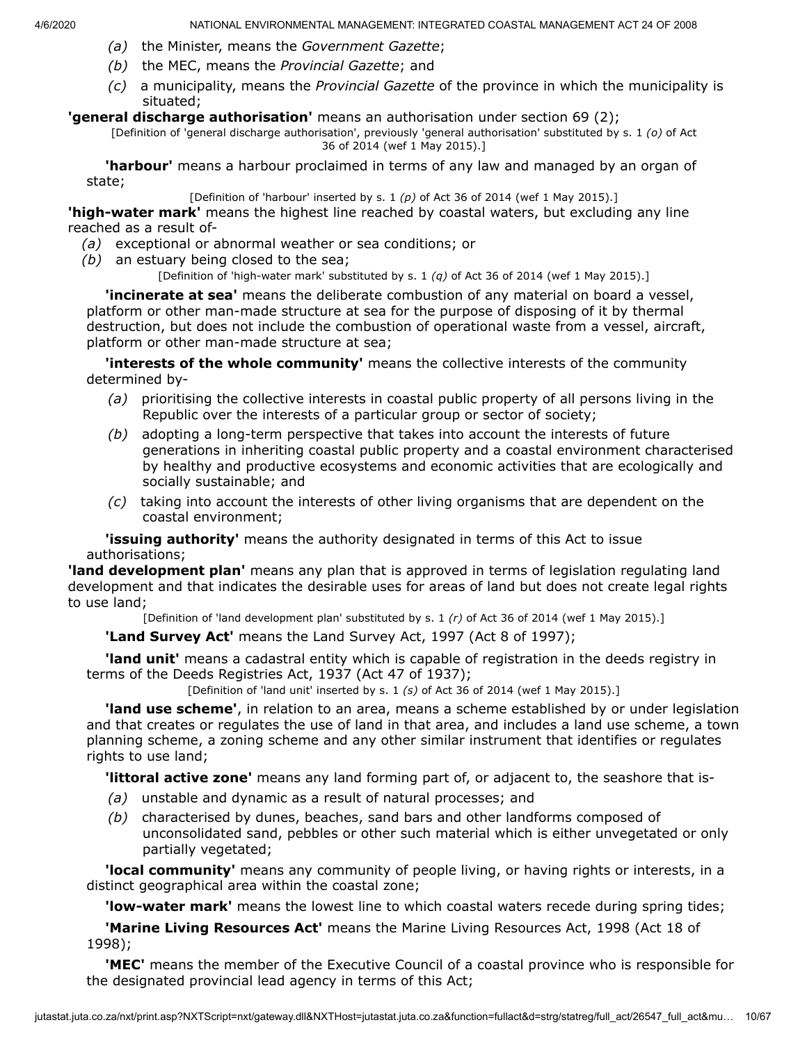- *(a)* the Minister, means the *Government Gazette*;
- *(b)* the MEC, means the *Provincial Gazette*; and
- *(c)* a municipality, means the *Provincial Gazette* of the province in which the municipality is situated;

#### **'general discharge authorisation'** means an authorisation under section 69 (2);

[Definition of 'general discharge authorisation', previously 'general authorisation' substituted by s. 1 *(o)* of Act 36 of 2014 (wef 1 May 2015).]

**'harbour'** means a harbour proclaimed in terms of any law and managed by an organ of state;

[Definition of 'harbour' inserted by s. 1 *(p)* of Act 36 of 2014 (wef 1 May 2015).]

**'high-water mark'** means the highest line reached by coastal waters, but excluding any line reached as a result of-

- *(a)* exceptional or abnormal weather or sea conditions; or
- *(b)* an estuary being closed to the sea;

[Definition of 'high-water mark' substituted by s. 1 *(q)* of Act 36 of 2014 (wef 1 May 2015).]

**'incinerate at sea'** means the deliberate combustion of any material on board a vessel, platform or other man-made structure at sea for the purpose of disposing of it by thermal destruction, but does not include the combustion of operational waste from a vessel, aircraft, platform or other man-made structure at sea;

**'interests of the whole community'** means the collective interests of the community determined by-

- *(a)* prioritising the collective interests in coastal public property of all persons living in the Republic over the interests of a particular group or sector of society;
- *(b)* adopting a long-term perspective that takes into account the interests of future generations in inheriting coastal public property and a coastal environment characterised by healthy and productive ecosystems and economic activities that are ecologically and socially sustainable; and
- *(c)* taking into account the interests of other living organisms that are dependent on the coastal environment;

**'issuing authority'** means the authority designated in terms of this Act to issue authorisations;

**'land development plan'** means any plan that is approved in terms of legislation regulating land development and that indicates the desirable uses for areas of land but does not create legal rights to use land;

[Definition of 'land development plan' substituted by s. 1 *(r)* of Act 36 of 2014 (wef 1 May 2015).]

**'Land Survey Act'** means the Land Survey Act, 1997 (Act 8 of 1997);

**'land unit'** means a cadastral entity which is capable of registration in the deeds registry in terms of the Deeds Registries Act, 1937 (Act 47 of 1937);

[Definition of 'land unit' inserted by s. 1 *(s)* of Act 36 of 2014 (wef 1 May 2015).]

**'land use scheme'**, in relation to an area, means a scheme established by or under legislation and that creates or regulates the use of land in that area, and includes a land use scheme, a town planning scheme, a zoning scheme and any other similar instrument that identifies or regulates rights to use land;

**'littoral active zone'** means any land forming part of, or adjacent to, the seashore that is-

- *(a)* unstable and dynamic as a result of natural processes; and
- *(b)* characterised by dunes, beaches, sand bars and other landforms composed of unconsolidated sand, pebbles or other such material which is either unvegetated or only partially vegetated;

**'local community'** means any community of people living, or having rights or interests, in a distinct geographical area within the coastal zone;

**'low-water mark'** means the lowest line to which coastal waters recede during spring tides;

**'Marine Living Resources Act'** means the Marine Living Resources Act, 1998 (Act 18 of 1998);

**'MEC'** means the member of the Executive Council of a coastal province who is responsible for the designated provincial lead agency in terms of this Act;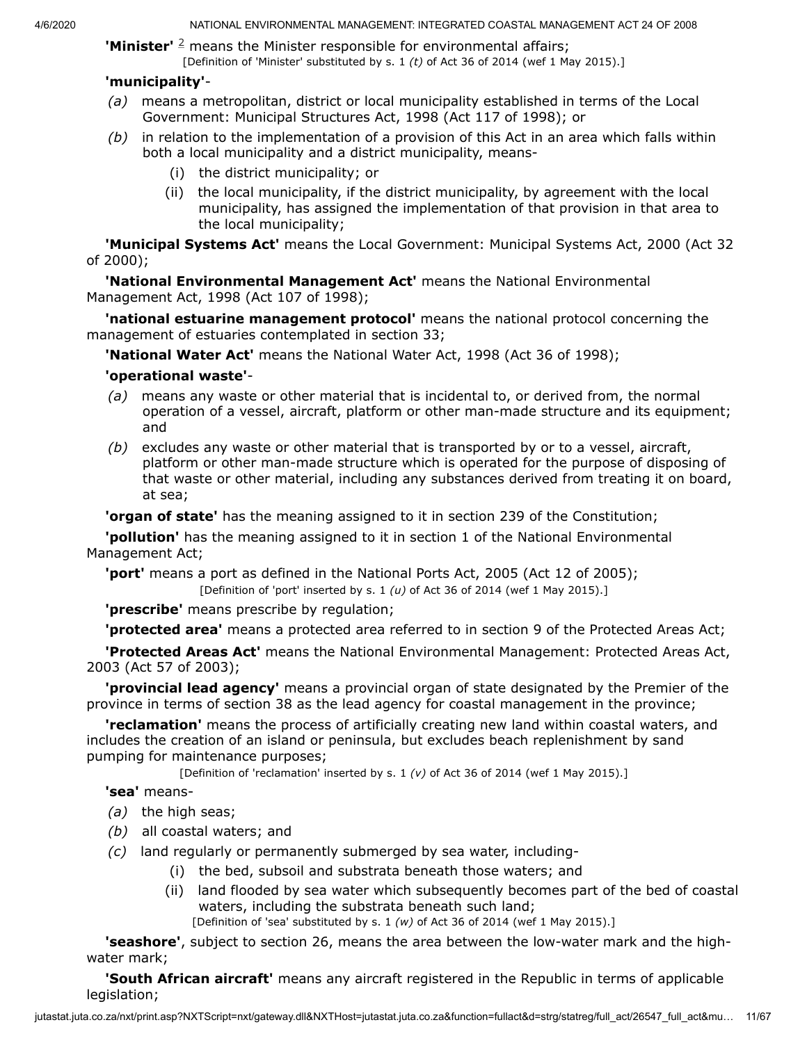**'Minister'** <sup>[2](#page-11-0)</sup> means the Minister responsible for environmental affairs; [Definition of 'Minister' substituted by s. 1 *(t)* of Act 36 of 2014 (wef 1 May 2015).]

### **'municipality'**-

- *(a)* means a metropolitan, district or local municipality established in terms of the Local Government: Municipal Structures Act, 1998 (Act 117 of 1998); or
- *(b)* in relation to the implementation of a provision of this Act in an area which falls within both a local municipality and a district municipality, means-
	- (i) the district municipality; or
	- (ii) the local municipality, if the district municipality, by agreement with the local municipality, has assigned the implementation of that provision in that area to the local municipality;

**'Municipal Systems Act'** means the Local Government: Municipal Systems Act, 2000 (Act 32 of 2000);

**'National Environmental Management Act'** means the National Environmental Management Act, 1998 (Act 107 of 1998);

**'national estuarine management protocol'** means the national protocol concerning the management of estuaries contemplated in section 33;

**'National Water Act'** means the National Water Act, 1998 (Act 36 of 1998);

### **'operational waste'**-

- *(a)* means any waste or other material that is incidental to, or derived from, the normal operation of a vessel, aircraft, platform or other man-made structure and its equipment; and
- *(b)* excludes any waste or other material that is transported by or to a vessel, aircraft, platform or other man-made structure which is operated for the purpose of disposing of that waste or other material, including any substances derived from treating it on board, at sea;

**'organ of state'** has the meaning assigned to it in section 239 of the Constitution;

**'pollution'** has the meaning assigned to it in section 1 of the National Environmental Management Act;

**'port'** means a port as defined in the National Ports Act, 2005 (Act 12 of 2005);

[Definition of 'port' inserted by s. 1 *(u)* of Act 36 of 2014 (wef 1 May 2015).]

**'prescribe'** means prescribe by regulation;

**'protected area'** means a protected area referred to in section 9 of the Protected Areas Act;

**'Protected Areas Act'** means the National Environmental Management: Protected Areas Act, 2003 (Act 57 of 2003);

**'provincial lead agency'** means a provincial organ of state designated by the Premier of the province in terms of section 38 as the lead agency for coastal management in the province;

**'reclamation'** means the process of artificially creating new land within coastal waters, and includes the creation of an island or peninsula, but excludes beach replenishment by sand pumping for maintenance purposes;

[Definition of 'reclamation' inserted by s. 1 *(v)* of Act 36 of 2014 (wef 1 May 2015).]

### **'sea'** means-

- *(a)* the high seas;
- *(b)* all coastal waters; and
- *(c)* land regularly or permanently submerged by sea water, including-
	- (i) the bed, subsoil and substrata beneath those waters; and
	- (ii) land flooded by sea water which subsequently becomes part of the bed of coastal waters, including the substrata beneath such land; [Definition of 'sea' substituted by s. 1 *(w)* of Act 36 of 2014 (wef 1 May 2015).]

**'seashore'**, subject to section 26, means the area between the low-water mark and the highwater mark;

**'South African aircraft'** means any aircraft registered in the Republic in terms of applicable legislation;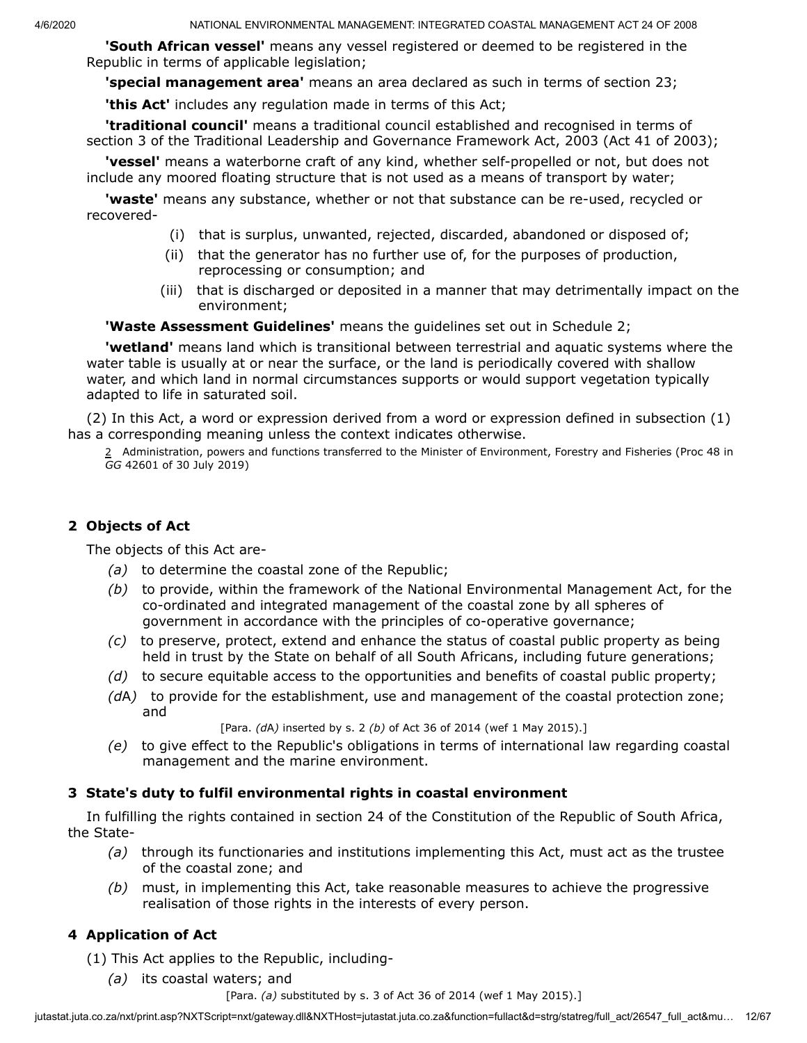**'South African vessel'** means any vessel registered or deemed to be registered in the Republic in terms of applicable legislation;

**'special management area'** means an area declared as such in terms of section 23;

**'this Act'** includes any regulation made in terms of this Act;

**'traditional council'** means a traditional council established and recognised in terms of section 3 of the Traditional Leadership and Governance Framework Act, 2003 (Act 41 of 2003);

**'vessel'** means a waterborne craft of any kind, whether self-propelled or not, but does not include any moored floating structure that is not used as a means of transport by water;

**'waste'** means any substance, whether or not that substance can be re-used, recycled or recovered-

- (i) that is surplus, unwanted, rejected, discarded, abandoned or disposed of;
- (ii) that the generator has no further use of, for the purposes of production, reprocessing or consumption; and
- (iii) that is discharged or deposited in a manner that may detrimentally impact on the environment;

**'Waste Assessment Guidelines'** means the guidelines set out in Schedule 2;

**'wetland'** means land which is transitional between terrestrial and aquatic systems where the water table is usually at or near the surface, or the land is periodically covered with shallow water, and which land in normal circumstances supports or would support vegetation typically adapted to life in saturated soil.

<span id="page-11-0"></span>(2) In this Act, a word or expression derived from a word or expression defined in subsection (1) has a corresponding meaning unless the context indicates otherwise.

2 Administration, powers and functions transferred to the Minister of Environment, Forestry and Fisheries (Proc 48 in *GG* 42601 of 30 July 2019)

# **2 Objects of Act**

The objects of this Act are-

- *(a)* to determine the coastal zone of the Republic;
- *(b)* to provide, within the framework of the National Environmental Management Act, for the co-ordinated and integrated management of the coastal zone by all spheres of government in accordance with the principles of co-operative governance;
- *(c)* to preserve, protect, extend and enhance the status of coastal public property as being held in trust by the State on behalf of all South Africans, including future generations;
- *(d)* to secure equitable access to the opportunities and benefits of coastal public property;
- *(d*A*)* to provide for the establishment, use and management of the coastal protection zone; and

[Para. *(d*A*)* inserted by s. 2 *(b)* of Act 36 of 2014 (wef 1 May 2015).]

*(e)* to give effect to the Republic's obligations in terms of international law regarding coastal management and the marine environment.

## **3 State's duty to fulfil environmental rights in coastal environment**

In fulfilling the rights contained in section 24 of the Constitution of the Republic of South Africa, the State-

- *(a)* through its functionaries and institutions implementing this Act, must act as the trustee of the coastal zone; and
- *(b)* must, in implementing this Act, take reasonable measures to achieve the progressive realisation of those rights in the interests of every person.

# **4 Application of Act**

- (1) This Act applies to the Republic, including-
	- *(a)* its coastal waters; and

[Para. *(a)* substituted by s. 3 of Act 36 of 2014 (wef 1 May 2015).]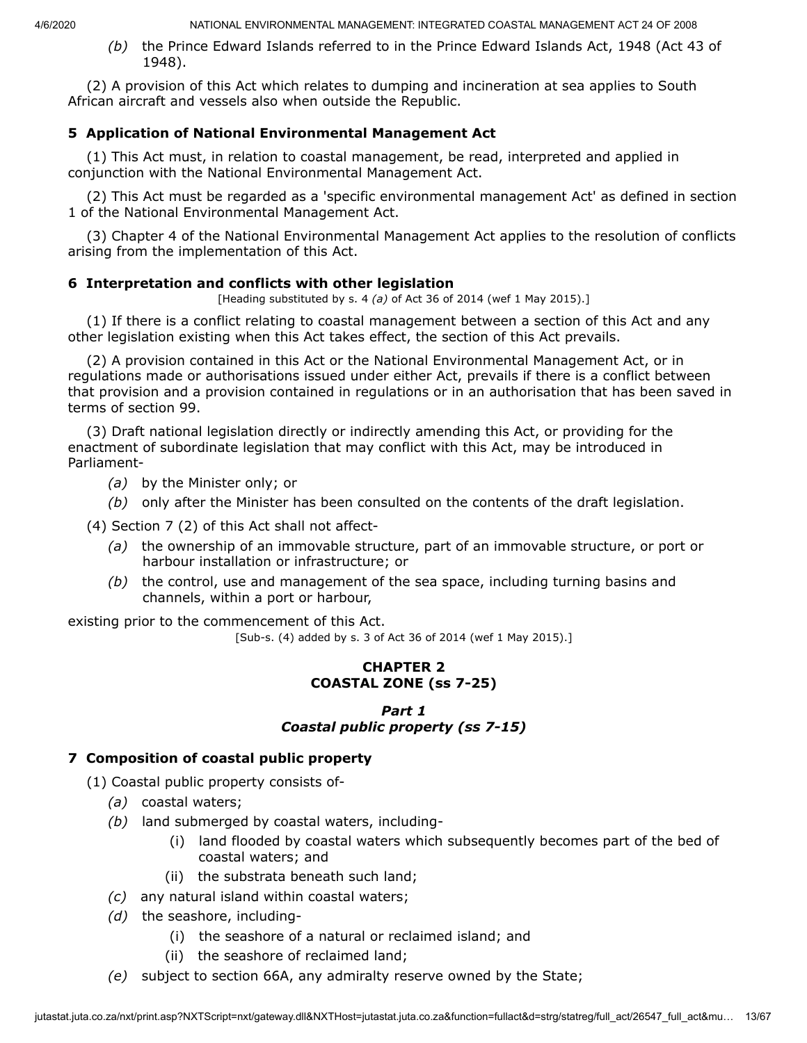*(b)* the Prince Edward Islands referred to in the Prince Edward Islands Act, 1948 (Act 43 of 1948).

(2) A provision of this Act which relates to dumping and incineration at sea applies to South African aircraft and vessels also when outside the Republic.

## **5 Application of National Environmental Management Act**

(1) This Act must, in relation to coastal management, be read, interpreted and applied in conjunction with the National Environmental Management Act.

(2) This Act must be regarded as a 'specific environmental management Act' as defined in section 1 of the National Environmental Management Act.

(3) Chapter 4 of the National Environmental Management Act applies to the resolution of conflicts arising from the implementation of this Act.

### **6 Interpretation and conflicts with other legislation**

[Heading substituted by s. 4 *(a)* of Act 36 of 2014 (wef 1 May 2015).]

(1) If there is a conflict relating to coastal management between a section of this Act and any other legislation existing when this Act takes effect, the section of this Act prevails.

(2) A provision contained in this Act or the National Environmental Management Act, or in regulations made or authorisations issued under either Act, prevails if there is a conflict between that provision and a provision contained in regulations or in an authorisation that has been saved in terms of section 99.

(3) Draft national legislation directly or indirectly amending this Act, or providing for the enactment of subordinate legislation that may conflict with this Act, may be introduced in Parliament-

- *(a)* by the Minister only; or
- *(b)* only after the Minister has been consulted on the contents of the draft legislation.

(4) Section 7 (2) of this Act shall not affect-

- *(a)* the ownership of an immovable structure, part of an immovable structure, or port or harbour installation or infrastructure; or
- *(b)* the control, use and management of the sea space, including turning basins and channels, within a port or harbour,

existing prior to the commencement of this Act.

[Sub-s. (4) added by s. 3 of Act 36 of 2014 (wef 1 May 2015).]

### **CHAPTER 2 COASTAL ZONE (ss 7-25)**

### *Part 1 Coastal public property (ss 7-15)*

## **7 Composition of coastal public property**

(1) Coastal public property consists of-

- *(a)* coastal waters;
- *(b)* land submerged by coastal waters, including-
	- (i) land flooded by coastal waters which subsequently becomes part of the bed of coastal waters; and
	- (ii) the substrata beneath such land;
- *(c)* any natural island within coastal waters;
- *(d)* the seashore, including-
	- (i) the seashore of a natural or reclaimed island; and
	- (ii) the seashore of reclaimed land;
- *(e)* subject to section 66A, any admiralty reserve owned by the State;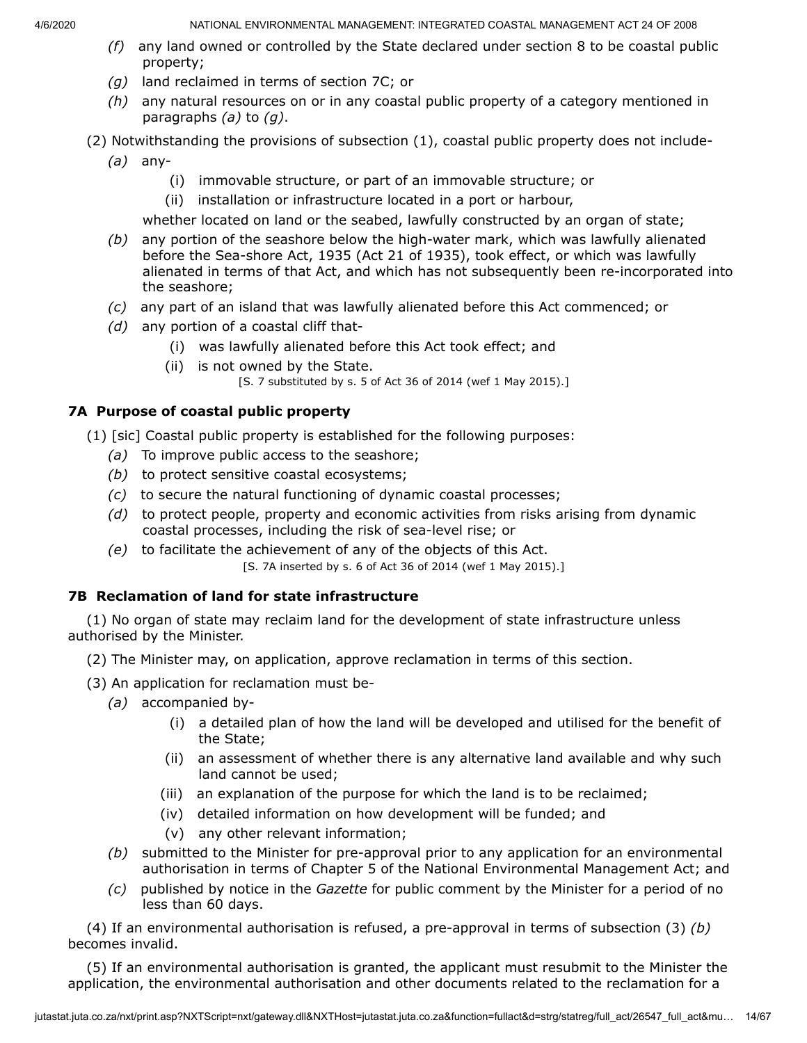- *(f)* any land owned or controlled by the State declared under section 8 to be coastal public property;
- *(g)* land reclaimed in terms of section 7C; or
- *(h)* any natural resources on or in any coastal public property of a category mentioned in paragraphs *(a)* to *(g)*.
- (2) Notwithstanding the provisions of subsection (1), coastal public property does not include-
	- *(a)* any-
		- (i) immovable structure, or part of an immovable structure; or
		- (ii) installation or infrastructure located in a port or harbour,

whether located on land or the seabed, lawfully constructed by an organ of state;

- *(b)* any portion of the seashore below the high-water mark, which was lawfully alienated before the Sea-shore Act, 1935 (Act 21 of 1935), took effect, or which was lawfully alienated in terms of that Act, and which has not subsequently been re-incorporated into the seashore;
- *(c)* any part of an island that was lawfully alienated before this Act commenced; or
- *(d)* any portion of a coastal cliff that-
	- (i) was lawfully alienated before this Act took effect; and
	- (ii) is not owned by the State.

[S. 7 substituted by s. 5 of Act 36 of 2014 (wef 1 May 2015).]

# **7A Purpose of coastal public property**

(1) [sic] Coastal public property is established for the following purposes:

- *(a)* To improve public access to the seashore;
- *(b)* to protect sensitive coastal ecosystems;
- *(c)* to secure the natural functioning of dynamic coastal processes;
- *(d)* to protect people, property and economic activities from risks arising from dynamic coastal processes, including the risk of sea-level rise; or
- *(e)* to facilitate the achievement of any of the objects of this Act. [S. 7A inserted by s. 6 of Act 36 of 2014 (wef 1 May 2015).]

# **7B Reclamation of land for state infrastructure**

(1) No organ of state may reclaim land for the development of state infrastructure unless authorised by the Minister.

- (2) The Minister may, on application, approve reclamation in terms of this section.
- (3) An application for reclamation must be-
	- *(a)* accompanied by-
		- (i) a detailed plan of how the land will be developed and utilised for the benefit of the State;
		- (ii) an assessment of whether there is any alternative land available and why such land cannot be used;
		- (iii) an explanation of the purpose for which the land is to be reclaimed;
		- (iv) detailed information on how development will be funded; and
		- (v) any other relevant information;
	- *(b)* submitted to the Minister for pre-approval prior to any application for an environmental authorisation in terms of Chapter 5 of the National Environmental Management Act; and
	- *(c)* published by notice in the *Gazette* for public comment by the Minister for a period of no less than 60 days.

(4) If an environmental authorisation is refused, a pre-approval in terms of subsection (3) *(b)* becomes invalid.

(5) If an environmental authorisation is granted, the applicant must resubmit to the Minister the application, the environmental authorisation and other documents related to the reclamation for a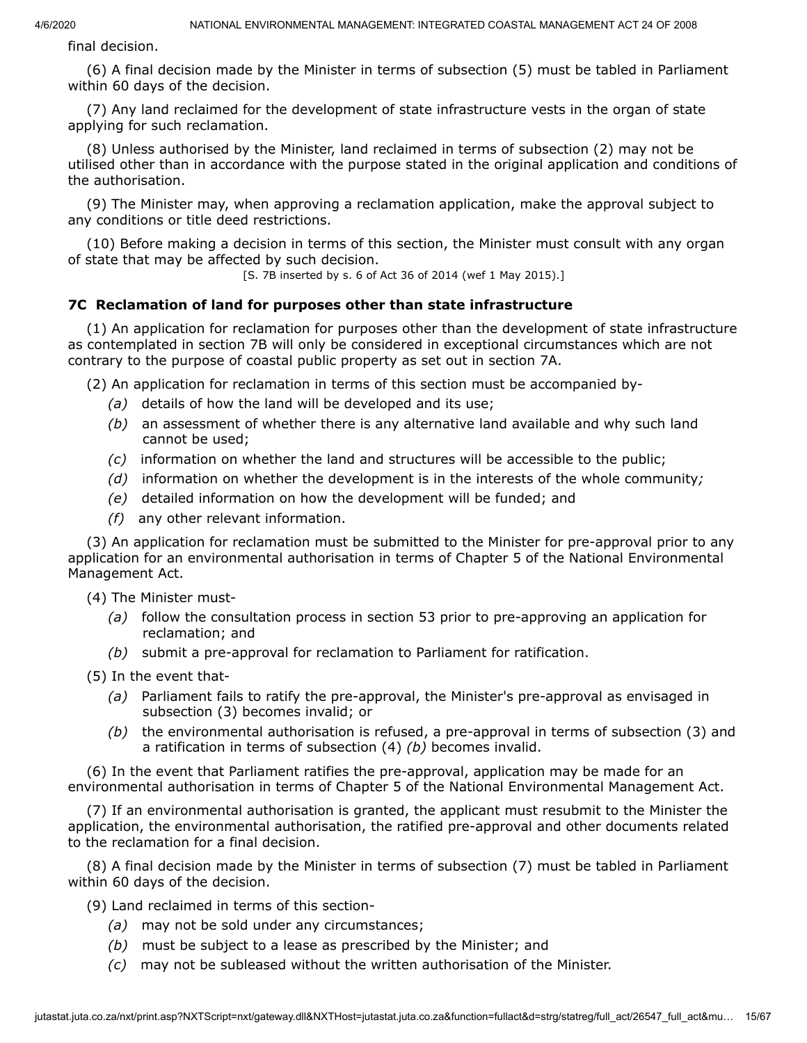final decision.

(6) A final decision made by the Minister in terms of subsection (5) must be tabled in Parliament within 60 days of the decision.

(7) Any land reclaimed for the development of state infrastructure vests in the organ of state applying for such reclamation.

(8) Unless authorised by the Minister, land reclaimed in terms of subsection (2) may not be utilised other than in accordance with the purpose stated in the original application and conditions of the authorisation.

(9) The Minister may, when approving a reclamation application, make the approval subject to any conditions or title deed restrictions.

(10) Before making a decision in terms of this section, the Minister must consult with any organ of state that may be affected by such decision.

[S. 7B inserted by s. 6 of Act 36 of 2014 (wef 1 May 2015).]

### **7C Reclamation of land for purposes other than state infrastructure**

(1) An application for reclamation for purposes other than the development of state infrastructure as contemplated in section 7B will only be considered in exceptional circumstances which are not contrary to the purpose of coastal public property as set out in section 7A.

(2) An application for reclamation in terms of this section must be accompanied by-

- *(a)* details of how the land will be developed and its use;
- *(b)* an assessment of whether there is any alternative land available and why such land cannot be used;
- *(c)* information on whether the land and structures will be accessible to the public;
- *(d)* information on whether the development is in the interests of the whole community*;*
- *(e)* detailed information on how the development will be funded; and
- *(f)* any other relevant information.

(3) An application for reclamation must be submitted to the Minister for pre-approval prior to any application for an environmental authorisation in terms of Chapter 5 of the National Environmental Management Act.

(4) The Minister must-

- *(a)* follow the consultation process in section 53 prior to pre-approving an application for reclamation; and
- *(b)* submit a pre-approval for reclamation to Parliament for ratification.

(5) In the event that-

- *(a)* Parliament fails to ratify the pre-approval, the Minister's pre-approval as envisaged in subsection (3) becomes invalid; or
- *(b)* the environmental authorisation is refused, a pre-approval in terms of subsection (3) and a ratification in terms of subsection (4) *(b)* becomes invalid.

(6) In the event that Parliament ratifies the pre-approval, application may be made for an environmental authorisation in terms of Chapter 5 of the National Environmental Management Act.

(7) If an environmental authorisation is granted, the applicant must resubmit to the Minister the application, the environmental authorisation, the ratified pre-approval and other documents related to the reclamation for a final decision.

(8) A final decision made by the Minister in terms of subsection (7) must be tabled in Parliament within 60 days of the decision.

(9) Land reclaimed in terms of this section-

- *(a)* may not be sold under any circumstances;
- *(b)* must be subject to a lease as prescribed by the Minister; and
- *(c)* may not be subleased without the written authorisation of the Minister.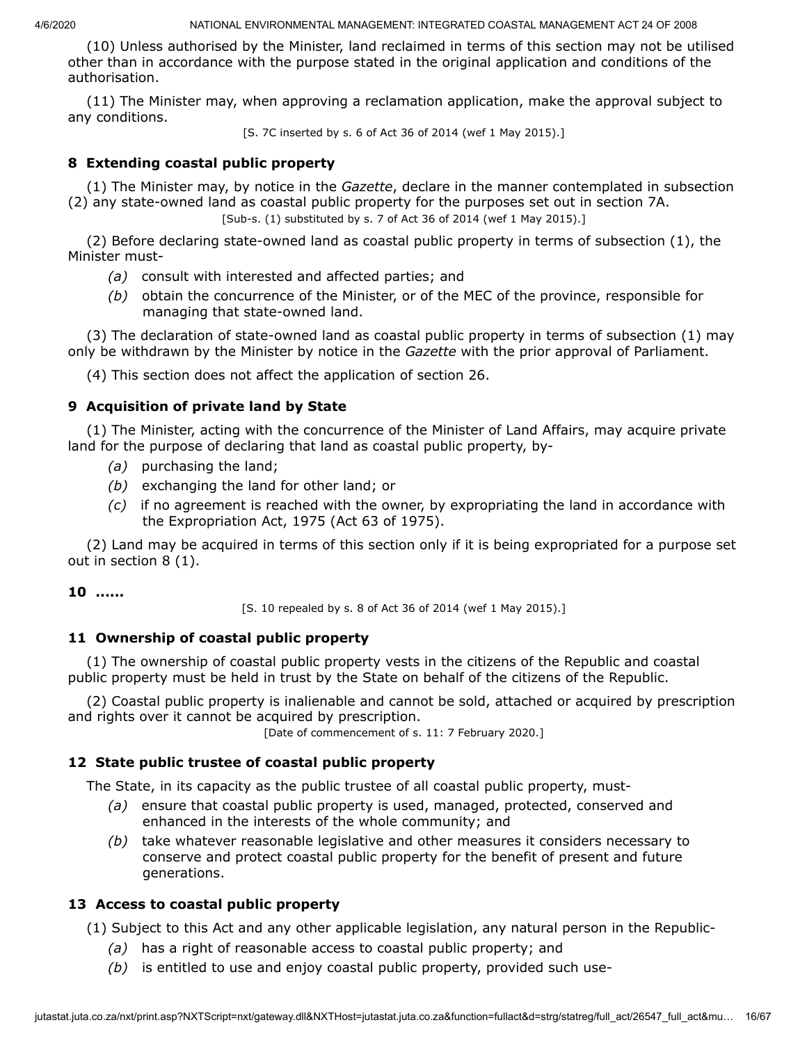(10) Unless authorised by the Minister, land reclaimed in terms of this section may not be utilised other than in accordance with the purpose stated in the original application and conditions of the authorisation.

(11) The Minister may, when approving a reclamation application, make the approval subject to any conditions.

[S. 7C inserted by s. 6 of Act 36 of 2014 (wef 1 May 2015).]

## **8 Extending coastal public property**

(1) The Minister may, by notice in the *Gazette*, declare in the manner contemplated in subsection (2) any state-owned land as coastal public property for the purposes set out in section 7A.

[Sub-s. (1) substituted by s. 7 of Act 36 of 2014 (wef 1 May 2015).]

(2) Before declaring state-owned land as coastal public property in terms of subsection (1), the Minister must-

- *(a)* consult with interested and affected parties; and
- *(b)* obtain the concurrence of the Minister, or of the MEC of the province, responsible for managing that state-owned land.

(3) The declaration of state-owned land as coastal public property in terms of subsection (1) may only be withdrawn by the Minister by notice in the *Gazette* with the prior approval of Parliament.

(4) This section does not affect the application of section 26.

### **9 Acquisition of private land by State**

(1) The Minister, acting with the concurrence of the Minister of Land Affairs, may acquire private land for the purpose of declaring that land as coastal public property, by-

- *(a)* purchasing the land;
- *(b)* exchanging the land for other land; or
- *(c)* if no agreement is reached with the owner, by expropriating the land in accordance with the Expropriation Act, 1975 (Act 63 of 1975).

(2) Land may be acquired in terms of this section only if it is being expropriated for a purpose set out in section 8 (1).

### **10 ......**

[S. 10 repealed by s. 8 of Act 36 of 2014 (wef 1 May 2015).]

### **11 Ownership of coastal public property**

(1) The ownership of coastal public property vests in the citizens of the Republic and coastal public property must be held in trust by the State on behalf of the citizens of the Republic.

(2) Coastal public property is inalienable and cannot be sold, attached or acquired by prescription and rights over it cannot be acquired by prescription.

[Date of commencement of s. 11: 7 February 2020.]

### **12 State public trustee of coastal public property**

The State, in its capacity as the public trustee of all coastal public property, must-

- *(a)* ensure that coastal public property is used, managed, protected, conserved and enhanced in the interests of the whole community; and
- *(b)* take whatever reasonable legislative and other measures it considers necessary to conserve and protect coastal public property for the benefit of present and future generations.

## **13 Access to coastal public property**

(1) Subject to this Act and any other applicable legislation, any natural person in the Republic-

- *(a)* has a right of reasonable access to coastal public property; and
- *(b)* is entitled to use and enjoy coastal public property, provided such use-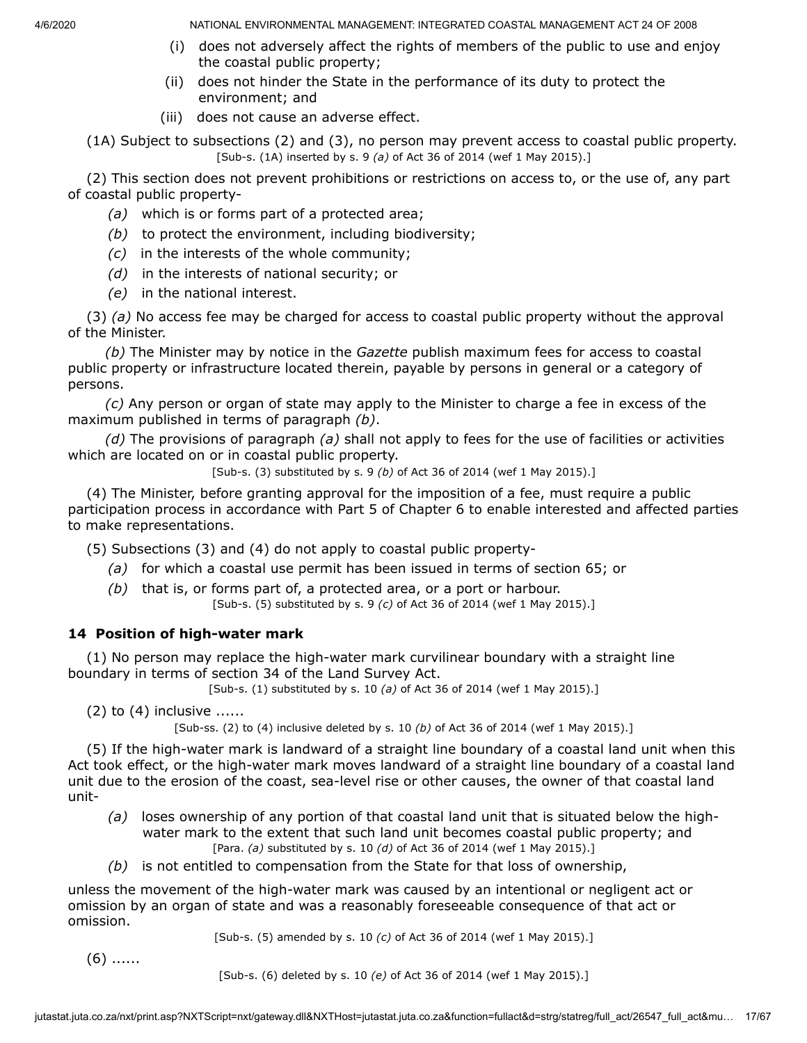- (i) does not adversely affect the rights of members of the public to use and enjoy the coastal public property;
- (ii) does not hinder the State in the performance of its duty to protect the environment; and
- (iii) does not cause an adverse effect.
- (1A) Subject to subsections (2) and (3), no person may prevent access to coastal public property. [Sub-s. (1A) inserted by s. 9 *(a)* of Act 36 of 2014 (wef 1 May 2015).]

(2) This section does not prevent prohibitions or restrictions on access to, or the use of, any part of coastal public property-

- *(a)* which is or forms part of a protected area;
- *(b)* to protect the environment, including biodiversity;
- *(c)* in the interests of the whole community;
- *(d)* in the interests of national security; or
- *(e)* in the national interest.

(3) *(a)* No access fee may be charged for access to coastal public property without the approval of the Minister.

*(b)* The Minister may by notice in the *Gazette* publish maximum fees for access to coastal public property or infrastructure located therein, payable by persons in general or a category of persons.

*(c)* Any person or organ of state may apply to the Minister to charge a fee in excess of the maximum published in terms of paragraph *(b)*.

*(d)* The provisions of paragraph *(a)* shall not apply to fees for the use of facilities or activities which are located on or in coastal public property.

[Sub-s. (3) substituted by s. 9 *(b)* of Act 36 of 2014 (wef 1 May 2015).]

(4) The Minister, before granting approval for the imposition of a fee, must require a public participation process in accordance with Part 5 of Chapter 6 to enable interested and affected parties to make representations.

(5) Subsections (3) and (4) do not apply to coastal public property-

- *(a)* for which a coastal use permit has been issued in terms of section 65; or
- *(b)* that is, or forms part of, a protected area, or a port or harbour. [Sub-s. (5) substituted by s. 9 *(c)* of Act 36 of 2014 (wef 1 May 2015).]

## **14 Position of high-water mark**

(1) No person may replace the high-water mark curvilinear boundary with a straight line boundary in terms of section 34 of the Land Survey Act.

[Sub-s. (1) substituted by s. 10 *(a)* of Act 36 of 2014 (wef 1 May 2015).]

 $(2)$  to  $(4)$  inclusive ......

[Sub-ss. (2) to (4) inclusive deleted by s. 10 *(b)* of Act 36 of 2014 (wef 1 May 2015).]

(5) If the high-water mark is landward of a straight line boundary of a coastal land unit when this Act took effect, or the high-water mark moves landward of a straight line boundary of a coastal land unit due to the erosion of the coast, sea-level rise or other causes, the owner of that coastal land unit-

- *(a)* loses ownership of any portion of that coastal land unit that is situated below the highwater mark to the extent that such land unit becomes coastal public property; and [Para. *(a)* substituted by s. 10 *(d)* of Act 36 of 2014 (wef 1 May 2015).]
- *(b)* is not entitled to compensation from the State for that loss of ownership,

unless the movement of the high-water mark was caused by an intentional or negligent act or omission by an organ of state and was a reasonably foreseeable consequence of that act or omission.

[Sub-s. (5) amended by s. 10 *(c)* of Act 36 of 2014 (wef 1 May 2015).]

(6) ......

[Sub-s. (6) deleted by s. 10 *(e)* of Act 36 of 2014 (wef 1 May 2015).]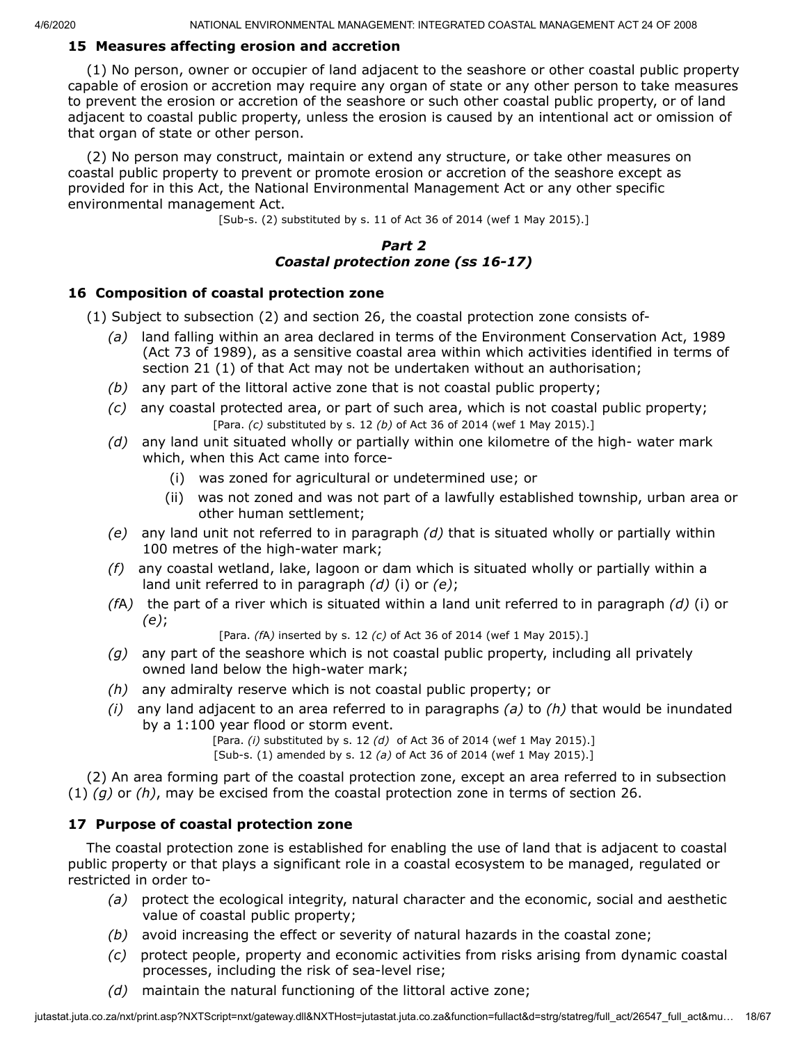### **15 Measures affecting erosion and accretion**

(1) No person, owner or occupier of land adjacent to the seashore or other coastal public property capable of erosion or accretion may require any organ of state or any other person to take measures to prevent the erosion or accretion of the seashore or such other coastal public property, or of land adjacent to coastal public property, unless the erosion is caused by an intentional act or omission of that organ of state or other person.

(2) No person may construct, maintain or extend any structure, or take other measures on coastal public property to prevent or promote erosion or accretion of the seashore except as provided for in this Act, the National Environmental Management Act or any other specific environmental management Act.

[Sub-s. (2) substituted by s. 11 of Act 36 of 2014 (wef 1 May 2015).]

### *Part 2 Coastal protection zone (ss 16-17)*

### **16 Composition of coastal protection zone**

(1) Subject to subsection (2) and section 26, the coastal protection zone consists of-

- *(a)* land falling within an area declared in terms of the Environment Conservation Act, 1989 (Act 73 of 1989), as a sensitive coastal area within which activities identified in terms of section 21 (1) of that Act may not be undertaken without an authorisation;
- *(b)* any part of the littoral active zone that is not coastal public property;
- *(c)* any coastal protected area, or part of such area, which is not coastal public property; [Para. *(c)* substituted by s. 12 *(b)* of Act 36 of 2014 (wef 1 May 2015).]
- *(d)* any land unit situated wholly or partially within one kilometre of the high- water mark which, when this Act came into force-
	- (i) was zoned for agricultural or undetermined use; or
	- (ii) was not zoned and was not part of a lawfully established township, urban area or other human settlement;
- *(e)* any land unit not referred to in paragraph *(d)* that is situated wholly or partially within 100 metres of the high-water mark;
- *(f)* any coastal wetland, lake, lagoon or dam which is situated wholly or partially within a land unit referred to in paragraph *(d)* (i) or *(e)*;
- *(f*A*)* the part of a river which is situated within a land unit referred to in paragraph *(d)* (i) or *(e)*;

[Para. *(f*A*)* inserted by s. 12 *(c)* of Act 36 of 2014 (wef 1 May 2015).]

- *(g)* any part of the seashore which is not coastal public property, including all privately owned land below the high-water mark;
- *(h)* any admiralty reserve which is not coastal public property; or
- *(i)* any land adjacent to an area referred to in paragraphs *(a)* to *(h)* that would be inundated by a 1:100 year flood or storm event.

[Para. *(i)* substituted by s. 12 *(d)* of Act 36 of 2014 (wef 1 May 2015).]

[Sub-s. (1) amended by s. 12 *(a)* of Act 36 of 2014 (wef 1 May 2015).]

(2) An area forming part of the coastal protection zone, except an area referred to in subsection (1) *(g)* or *(h)*, may be excised from the coastal protection zone in terms of section 26.

## **17 Purpose of coastal protection zone**

The coastal protection zone is established for enabling the use of land that is adjacent to coastal public property or that plays a significant role in a coastal ecosystem to be managed, regulated or restricted in order to-

- *(a)* protect the ecological integrity, natural character and the economic, social and aesthetic value of coastal public property;
- *(b)* avoid increasing the effect or severity of natural hazards in the coastal zone;
- *(c)* protect people, property and economic activities from risks arising from dynamic coastal processes, including the risk of sea-level rise;
- *(d)* maintain the natural functioning of the littoral active zone;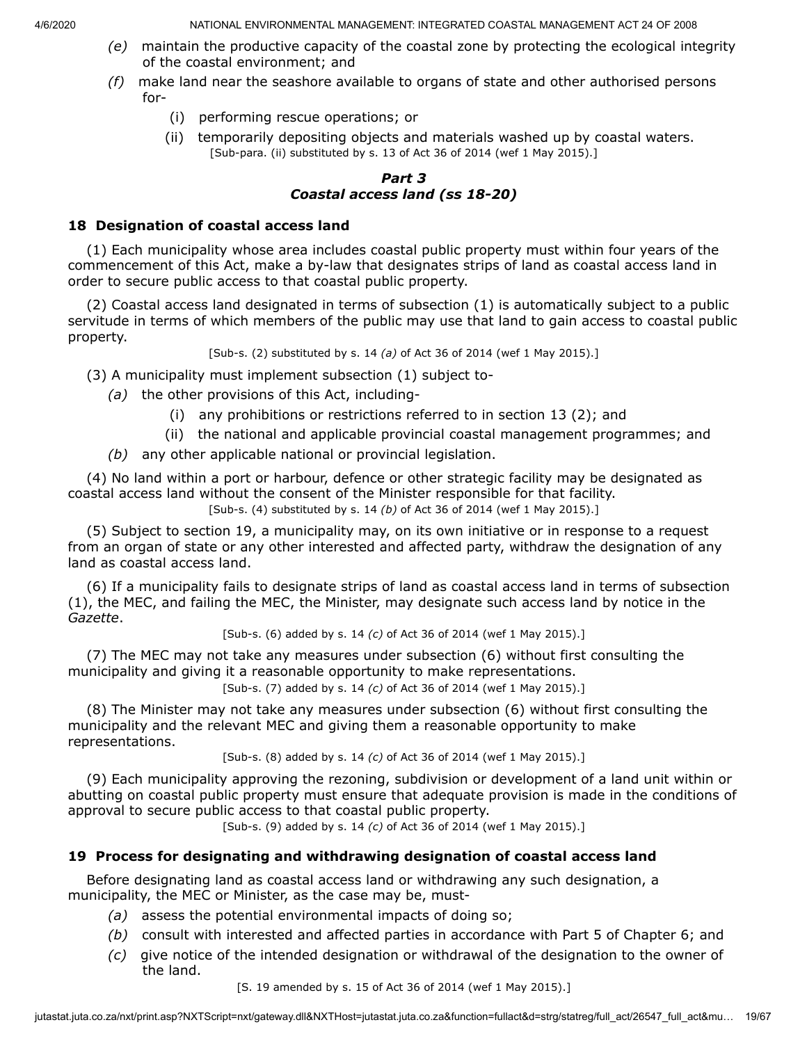- *(e)* maintain the productive capacity of the coastal zone by protecting the ecological integrity of the coastal environment; and
- *(f)* make land near the seashore available to organs of state and other authorised persons for-
	- (i) performing rescue operations; or
	- (ii) temporarily depositing objects and materials washed up by coastal waters. [Sub-para. (ii) substituted by s. 13 of Act 36 of 2014 (wef 1 May 2015).]

### *Part 3 Coastal access land (ss 18-20)*

## **18 Designation of coastal access land**

(1) Each municipality whose area includes coastal public property must within four years of the commencement of this Act, make a by-law that designates strips of land as coastal access land in order to secure public access to that coastal public property.

(2) Coastal access land designated in terms of subsection (1) is automatically subject to a public servitude in terms of which members of the public may use that land to gain access to coastal public property.

[Sub-s. (2) substituted by s. 14 *(a)* of Act 36 of 2014 (wef 1 May 2015).]

(3) A municipality must implement subsection (1) subject to-

- *(a)* the other provisions of this Act, including-
	- (i) any prohibitions or restrictions referred to in section 13 (2); and
	- (ii) the national and applicable provincial coastal management programmes; and
- *(b)* any other applicable national or provincial legislation.

(4) No land within a port or harbour, defence or other strategic facility may be designated as coastal access land without the consent of the Minister responsible for that facility.

[Sub-s. (4) substituted by s. 14 *(b)* of Act 36 of 2014 (wef 1 May 2015).]

(5) Subject to section 19, a municipality may, on its own initiative or in response to a request from an organ of state or any other interested and affected party, withdraw the designation of any land as coastal access land.

(6) If a municipality fails to designate strips of land as coastal access land in terms of subsection (1), the MEC, and failing the MEC, the Minister, may designate such access land by notice in the *Gazette*.

[Sub-s. (6) added by s. 14 *(c)* of Act 36 of 2014 (wef 1 May 2015).]

(7) The MEC may not take any measures under subsection (6) without first consulting the municipality and giving it a reasonable opportunity to make representations.

[Sub-s. (7) added by s. 14 *(c)* of Act 36 of 2014 (wef 1 May 2015).]

(8) The Minister may not take any measures under subsection (6) without first consulting the municipality and the relevant MEC and giving them a reasonable opportunity to make representations.

[Sub-s. (8) added by s. 14 *(c)* of Act 36 of 2014 (wef 1 May 2015).]

(9) Each municipality approving the rezoning, subdivision or development of a land unit within or abutting on coastal public property must ensure that adequate provision is made in the conditions of approval to secure public access to that coastal public property.

[Sub-s. (9) added by s. 14 *(c)* of Act 36 of 2014 (wef 1 May 2015).]

## **19 Process for designating and withdrawing designation of coastal access land**

Before designating land as coastal access land or withdrawing any such designation, a municipality, the MEC or Minister, as the case may be, must-

- *(a)* assess the potential environmental impacts of doing so;
- *(b)* consult with interested and affected parties in accordance with Part 5 of Chapter 6; and
- *(c)* give notice of the intended designation or withdrawal of the designation to the owner of the land.

[S. 19 amended by s. 15 of Act 36 of 2014 (wef 1 May 2015).]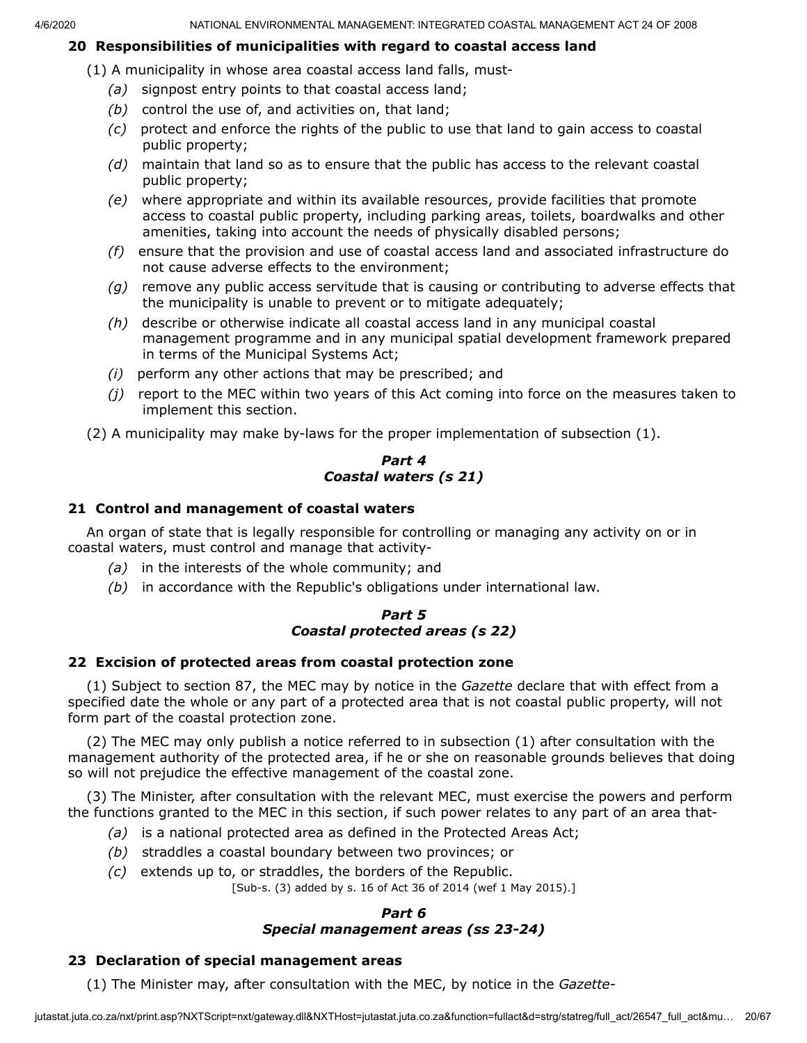### **20 Responsibilities of municipalities with regard to coastal access land**

(1) A municipality in whose area coastal access land falls, must-

- *(a)* signpost entry points to that coastal access land;
- *(b)* control the use of, and activities on, that land;
- *(c)* protect and enforce the rights of the public to use that land to gain access to coastal public property;
- *(d)* maintain that land so as to ensure that the public has access to the relevant coastal public property;
- *(e)* where appropriate and within its available resources, provide facilities that promote access to coastal public property, including parking areas, toilets, boardwalks and other amenities, taking into account the needs of physically disabled persons;
- *(f)* ensure that the provision and use of coastal access land and associated infrastructure do not cause adverse effects to the environment;
- *(g)* remove any public access servitude that is causing or contributing to adverse effects that the municipality is unable to prevent or to mitigate adequately;
- *(h)* describe or otherwise indicate all coastal access land in any municipal coastal management programme and in any municipal spatial development framework prepared in terms of the Municipal Systems Act;
- *(i)* perform any other actions that may be prescribed; and
- *(j)* report to the MEC within two years of this Act coming into force on the measures taken to implement this section.

(2) A municipality may make by-laws for the proper implementation of subsection (1).

#### *Part 4 Coastal waters (s 21)*

#### **21 Control and management of coastal waters**

An organ of state that is legally responsible for controlling or managing any activity on or in coastal waters, must control and manage that activity-

- *(a)* in the interests of the whole community; and
- *(b)* in accordance with the Republic's obligations under international law.

### *Part 5 Coastal protected areas (s 22)*

### **22 Excision of protected areas from coastal protection zone**

(1) Subject to section 87, the MEC may by notice in the *Gazette* declare that with effect from a specified date the whole or any part of a protected area that is not coastal public property, will not form part of the coastal protection zone.

(2) The MEC may only publish a notice referred to in subsection (1) after consultation with the management authority of the protected area, if he or she on reasonable grounds believes that doing so will not prejudice the effective management of the coastal zone.

(3) The Minister, after consultation with the relevant MEC, must exercise the powers and perform the functions granted to the MEC in this section, if such power relates to any part of an area that-

- *(a)* is a national protected area as defined in the Protected Areas Act;
- *(b)* straddles a coastal boundary between two provinces; or
- *(c)* extends up to, or straddles, the borders of the Republic.

[Sub-s. (3) added by s. 16 of Act 36 of 2014 (wef 1 May 2015).]

### *Part 6 Special management areas (ss 23-24)*

### **23 Declaration of special management areas**

(1) The Minister may, after consultation with the MEC, by notice in the *Gazette*-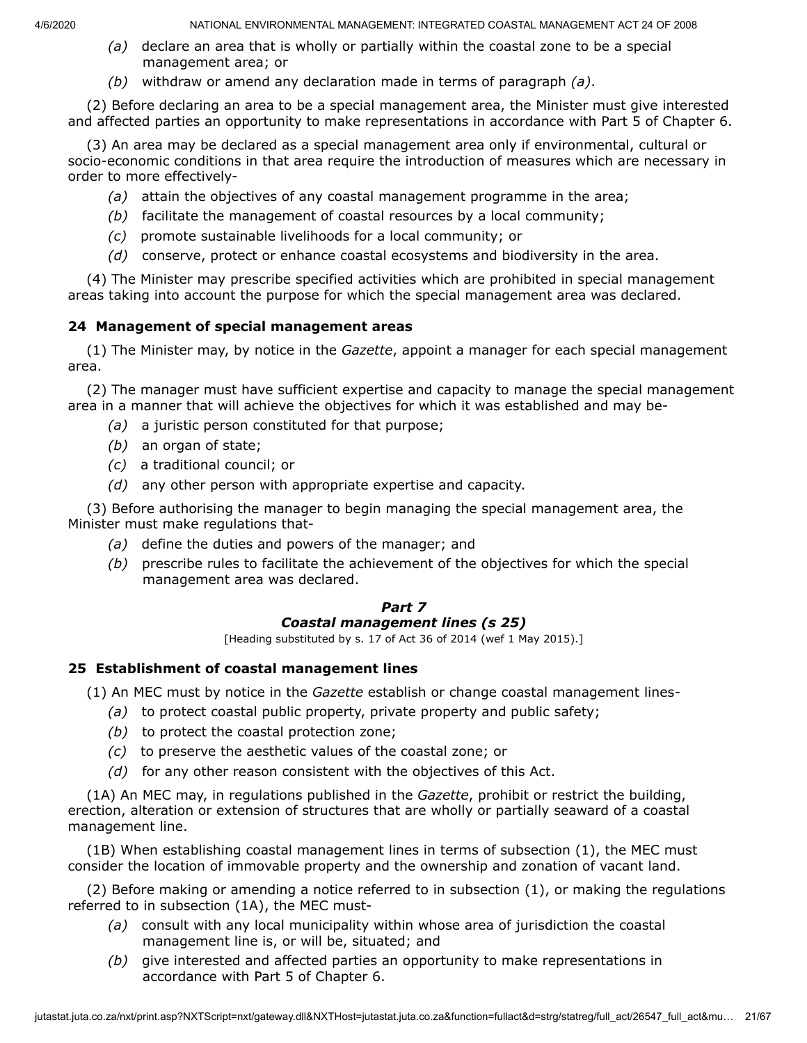- *(a)* declare an area that is wholly or partially within the coastal zone to be a special management area; or
- *(b)* withdraw or amend any declaration made in terms of paragraph *(a)*.

(2) Before declaring an area to be a special management area, the Minister must give interested and affected parties an opportunity to make representations in accordance with Part 5 of Chapter 6.

(3) An area may be declared as a special management area only if environmental, cultural or socio-economic conditions in that area require the introduction of measures which are necessary in order to more effectively-

- *(a)* attain the objectives of any coastal management programme in the area;
- *(b)* facilitate the management of coastal resources by a local community;
- *(c)* promote sustainable livelihoods for a local community; or
- *(d)* conserve, protect or enhance coastal ecosystems and biodiversity in the area.

(4) The Minister may prescribe specified activities which are prohibited in special management areas taking into account the purpose for which the special management area was declared.

### **24 Management of special management areas**

(1) The Minister may, by notice in the *Gazette*, appoint a manager for each special management area.

(2) The manager must have sufficient expertise and capacity to manage the special management area in a manner that will achieve the objectives for which it was established and may be-

- *(a)* a juristic person constituted for that purpose;
- *(b)* an organ of state;
- *(c)* a traditional council; or
- *(d)* any other person with appropriate expertise and capacity.

(3) Before authorising the manager to begin managing the special management area, the Minister must make regulations that-

- *(a)* define the duties and powers of the manager; and
- *(b)* prescribe rules to facilitate the achievement of the objectives for which the special management area was declared.

#### *Part 7 Coastal management lines (s 25)*

[Heading substituted by s. 17 of Act 36 of 2014 (wef 1 May 2015).]

## **25 Establishment of coastal management lines**

(1) An MEC must by notice in the *Gazette* establish or change coastal management lines-

- *(a)* to protect coastal public property, private property and public safety;
- *(b)* to protect the coastal protection zone;
- *(c)* to preserve the aesthetic values of the coastal zone; or
- *(d)* for any other reason consistent with the objectives of this Act.

(1A) An MEC may, in regulations published in the *Gazette*, prohibit or restrict the building, erection, alteration or extension of structures that are wholly or partially seaward of a coastal management line.

(1B) When establishing coastal management lines in terms of subsection (1), the MEC must consider the location of immovable property and the ownership and zonation of vacant land.

(2) Before making or amending a notice referred to in subsection (1), or making the regulations referred to in subsection (1A), the MEC must-

- *(a)* consult with any local municipality within whose area of jurisdiction the coastal management line is, or will be, situated; and
- *(b)* give interested and affected parties an opportunity to make representations in accordance with Part 5 of Chapter 6.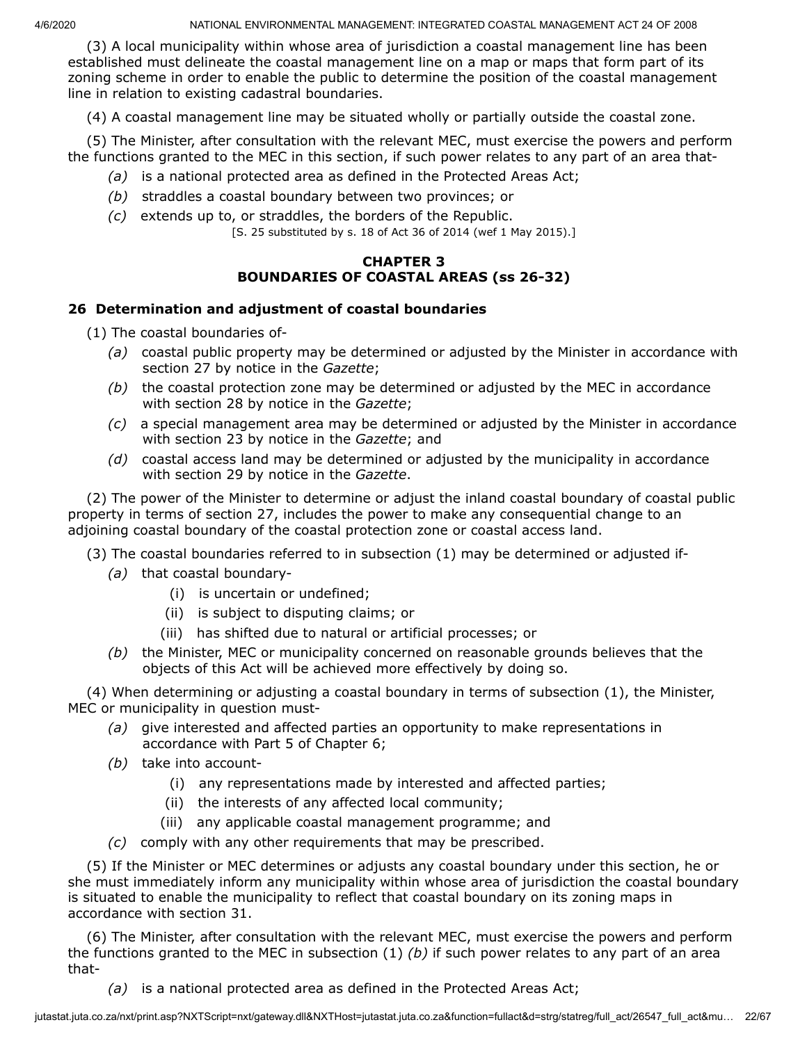(3) A local municipality within whose area of jurisdiction a coastal management line has been established must delineate the coastal management line on a map or maps that form part of its zoning scheme in order to enable the public to determine the position of the coastal management line in relation to existing cadastral boundaries.

(4) A coastal management line may be situated wholly or partially outside the coastal zone.

(5) The Minister, after consultation with the relevant MEC, must exercise the powers and perform the functions granted to the MEC in this section, if such power relates to any part of an area that-

- *(a)* is a national protected area as defined in the Protected Areas Act;
- *(b)* straddles a coastal boundary between two provinces; or
- *(c)* extends up to, or straddles, the borders of the Republic.
	- [S. 25 substituted by s. 18 of Act 36 of 2014 (wef 1 May 2015).]

### **CHAPTER 3 BOUNDARIES OF COASTAL AREAS (ss 26-32)**

### **26 Determination and adjustment of coastal boundaries**

(1) The coastal boundaries of-

- *(a)* coastal public property may be determined or adjusted by the Minister in accordance with section 27 by notice in the *Gazette*;
- *(b)* the coastal protection zone may be determined or adjusted by the MEC in accordance with section 28 by notice in the *Gazette*;
- *(c)* a special management area may be determined or adjusted by the Minister in accordance with section 23 by notice in the *Gazette*; and
- *(d)* coastal access land may be determined or adjusted by the municipality in accordance with section 29 by notice in the *Gazette*.

(2) The power of the Minister to determine or adjust the inland coastal boundary of coastal public property in terms of section 27, includes the power to make any consequential change to an adjoining coastal boundary of the coastal protection zone or coastal access land.

- (3) The coastal boundaries referred to in subsection (1) may be determined or adjusted if-
	- *(a)* that coastal boundary-
		- (i) is uncertain or undefined;
		- (ii) is subject to disputing claims; or
		- (iii) has shifted due to natural or artificial processes; or
	- *(b)* the Minister, MEC or municipality concerned on reasonable grounds believes that the objects of this Act will be achieved more effectively by doing so.

(4) When determining or adjusting a coastal boundary in terms of subsection (1), the Minister, MEC or municipality in question must-

- *(a)* give interested and affected parties an opportunity to make representations in accordance with Part 5 of Chapter 6;
- *(b)* take into account-
	- (i) any representations made by interested and affected parties;
	- (ii) the interests of any affected local community;
	- (iii) any applicable coastal management programme; and
- *(c)* comply with any other requirements that may be prescribed.

(5) If the Minister or MEC determines or adjusts any coastal boundary under this section, he or she must immediately inform any municipality within whose area of jurisdiction the coastal boundary is situated to enable the municipality to reflect that coastal boundary on its zoning maps in accordance with section 31.

(6) The Minister, after consultation with the relevant MEC, must exercise the powers and perform the functions granted to the MEC in subsection (1) *(b)* if such power relates to any part of an area that-

*(a)* is a national protected area as defined in the Protected Areas Act;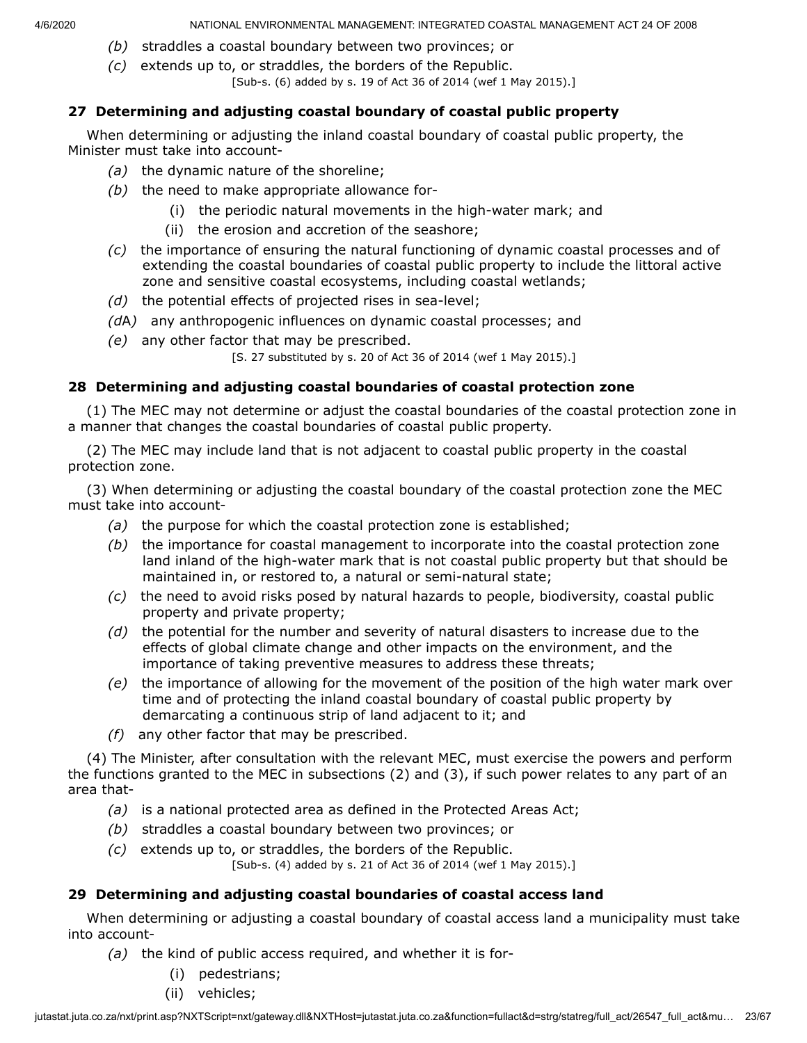- *(b)* straddles a coastal boundary between two provinces; or
- *(c)* extends up to, or straddles, the borders of the Republic.
	- [Sub-s. (6) added by s. 19 of Act 36 of 2014 (wef 1 May 2015).]

### **27 Determining and adjusting coastal boundary of coastal public property**

When determining or adjusting the inland coastal boundary of coastal public property, the Minister must take into account-

- *(a)* the dynamic nature of the shoreline;
- *(b)* the need to make appropriate allowance for-
	- (i) the periodic natural movements in the high-water mark; and
	- (ii) the erosion and accretion of the seashore;
- *(c)* the importance of ensuring the natural functioning of dynamic coastal processes and of extending the coastal boundaries of coastal public property to include the littoral active zone and sensitive coastal ecosystems, including coastal wetlands;
- *(d)* the potential effects of projected rises in sea-level;
- *(d*A*)* any anthropogenic influences on dynamic coastal processes; and
- *(e)* any other factor that may be prescribed.

[S. 27 substituted by s. 20 of Act 36 of 2014 (wef 1 May 2015).]

### **28 Determining and adjusting coastal boundaries of coastal protection zone**

(1) The MEC may not determine or adjust the coastal boundaries of the coastal protection zone in a manner that changes the coastal boundaries of coastal public property.

(2) The MEC may include land that is not adjacent to coastal public property in the coastal protection zone.

(3) When determining or adjusting the coastal boundary of the coastal protection zone the MEC must take into account-

- *(a)* the purpose for which the coastal protection zone is established;
- *(b)* the importance for coastal management to incorporate into the coastal protection zone land inland of the high-water mark that is not coastal public property but that should be maintained in, or restored to, a natural or semi-natural state;
- *(c)* the need to avoid risks posed by natural hazards to people, biodiversity, coastal public property and private property;
- *(d)* the potential for the number and severity of natural disasters to increase due to the effects of global climate change and other impacts on the environment, and the importance of taking preventive measures to address these threats;
- *(e)* the importance of allowing for the movement of the position of the high water mark over time and of protecting the inland coastal boundary of coastal public property by demarcating a continuous strip of land adjacent to it; and
- *(f)* any other factor that may be prescribed.

(4) The Minister, after consultation with the relevant MEC, must exercise the powers and perform the functions granted to the MEC in subsections (2) and (3), if such power relates to any part of an area that-

- *(a)* is a national protected area as defined in the Protected Areas Act;
- *(b)* straddles a coastal boundary between two provinces; or
- *(c)* extends up to, or straddles, the borders of the Republic. [Sub-s. (4) added by s. 21 of Act 36 of 2014 (wef 1 May 2015).]

## **29 Determining and adjusting coastal boundaries of coastal access land**

When determining or adjusting a coastal boundary of coastal access land a municipality must take into account-

- *(a)* the kind of public access required, and whether it is for-
	- (i) pedestrians;
	- (ii) vehicles;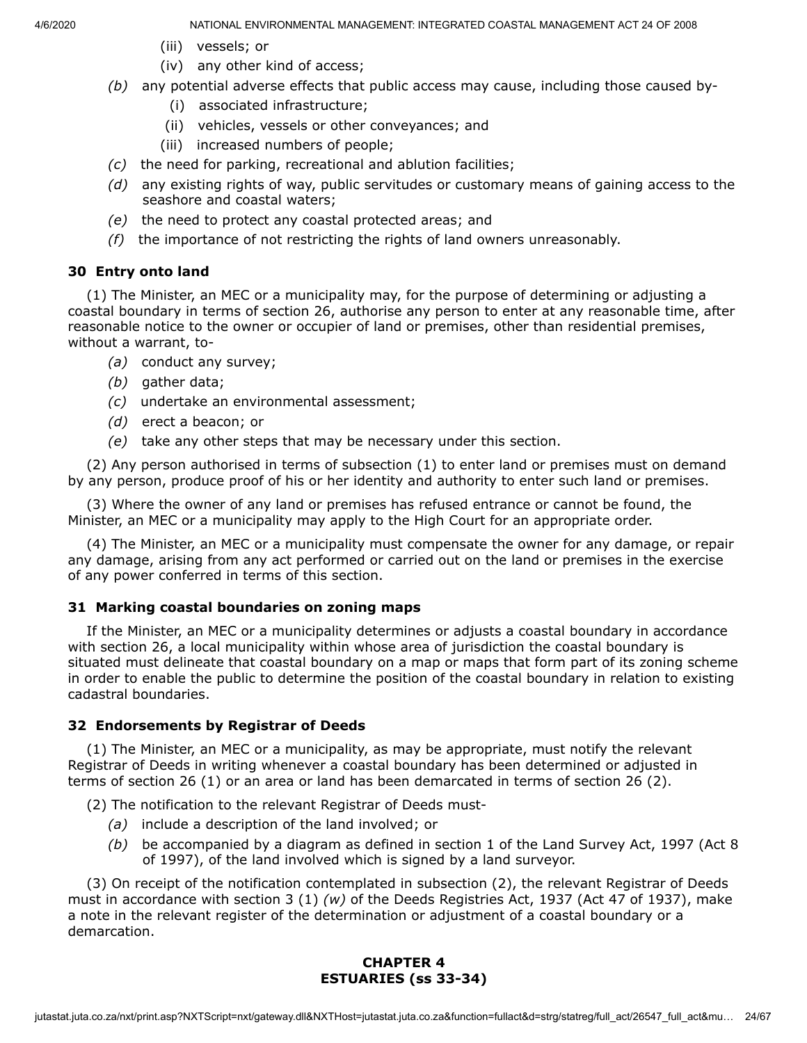- (iii) vessels; or
- (iv) any other kind of access;
- *(b)* any potential adverse effects that public access may cause, including those caused by-
	- (i) associated infrastructure;
	- (ii) vehicles, vessels or other conveyances; and
	- (iii) increased numbers of people;
- *(c)* the need for parking, recreational and ablution facilities;
- *(d)* any existing rights of way, public servitudes or customary means of gaining access to the seashore and coastal waters;
- *(e)* the need to protect any coastal protected areas; and
- *(f)* the importance of not restricting the rights of land owners unreasonably.

#### **30 Entry onto land**

(1) The Minister, an MEC or a municipality may, for the purpose of determining or adjusting a coastal boundary in terms of section 26, authorise any person to enter at any reasonable time, after reasonable notice to the owner or occupier of land or premises, other than residential premises, without a warrant, to-

- *(a)* conduct any survey;
- *(b)* gather data;
- *(c)* undertake an environmental assessment;
- *(d)* erect a beacon; or
- *(e)* take any other steps that may be necessary under this section.

(2) Any person authorised in terms of subsection (1) to enter land or premises must on demand by any person, produce proof of his or her identity and authority to enter such land or premises.

(3) Where the owner of any land or premises has refused entrance or cannot be found, the Minister, an MEC or a municipality may apply to the High Court for an appropriate order.

(4) The Minister, an MEC or a municipality must compensate the owner for any damage, or repair any damage, arising from any act performed or carried out on the land or premises in the exercise of any power conferred in terms of this section.

### **31 Marking coastal boundaries on zoning maps**

If the Minister, an MEC or a municipality determines or adjusts a coastal boundary in accordance with section 26, a local municipality within whose area of jurisdiction the coastal boundary is situated must delineate that coastal boundary on a map or maps that form part of its zoning scheme in order to enable the public to determine the position of the coastal boundary in relation to existing cadastral boundaries.

#### **32 Endorsements by Registrar of Deeds**

(1) The Minister, an MEC or a municipality, as may be appropriate, must notify the relevant Registrar of Deeds in writing whenever a coastal boundary has been determined or adjusted in terms of section 26 (1) or an area or land has been demarcated in terms of section 26 (2).

(2) The notification to the relevant Registrar of Deeds must-

- *(a)* include a description of the land involved; or
- *(b)* be accompanied by a diagram as defined in section 1 of the Land Survey Act, 1997 (Act 8 of 1997), of the land involved which is signed by a land surveyor.

(3) On receipt of the notification contemplated in subsection (2), the relevant Registrar of Deeds must in accordance with section 3 (1) *(w)* of the Deeds Registries Act, 1937 (Act 47 of 1937), make a note in the relevant register of the determination or adjustment of a coastal boundary or a demarcation.

### **CHAPTER 4 ESTUARIES (ss 33-34)**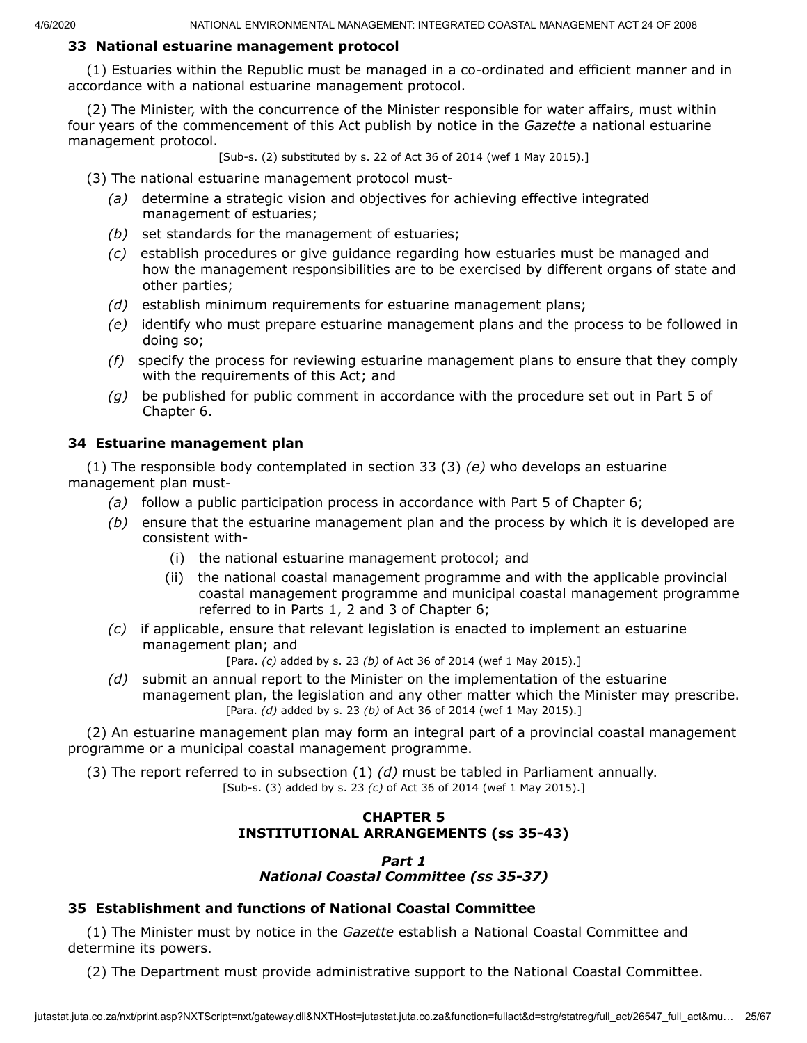## **33 National estuarine management protocol**

(1) Estuaries within the Republic must be managed in a co-ordinated and efficient manner and in accordance with a national estuarine management protocol.

(2) The Minister, with the concurrence of the Minister responsible for water affairs, must within four years of the commencement of this Act publish by notice in the *Gazette* a national estuarine management protocol.

[Sub-s. (2) substituted by s. 22 of Act 36 of 2014 (wef 1 May 2015).]

(3) The national estuarine management protocol must-

- *(a)* determine a strategic vision and objectives for achieving effective integrated management of estuaries;
- *(b)* set standards for the management of estuaries;
- *(c)* establish procedures or give guidance regarding how estuaries must be managed and how the management responsibilities are to be exercised by different organs of state and other parties;
- *(d)* establish minimum requirements for estuarine management plans;
- *(e)* identify who must prepare estuarine management plans and the process to be followed in doing so;
- *(f)* specify the process for reviewing estuarine management plans to ensure that they comply with the requirements of this Act; and
- *(g)* be published for public comment in accordance with the procedure set out in Part 5 of Chapter 6.

### **34 Estuarine management plan**

(1) The responsible body contemplated in section 33 (3) *(e)* who develops an estuarine management plan must-

- *(a)* follow a public participation process in accordance with Part 5 of Chapter 6;
- *(b)* ensure that the estuarine management plan and the process by which it is developed are consistent with-
	- (i) the national estuarine management protocol; and
	- (ii) the national coastal management programme and with the applicable provincial coastal management programme and municipal coastal management programme referred to in Parts 1, 2 and 3 of Chapter 6;
- *(c)* if applicable, ensure that relevant legislation is enacted to implement an estuarine management plan; and

[Para. *(c)* added by s. 23 *(b)* of Act 36 of 2014 (wef 1 May 2015).]

*(d)* submit an annual report to the Minister on the implementation of the estuarine management plan, the legislation and any other matter which the Minister may prescribe. [Para. *(d)* added by s. 23 *(b)* of Act 36 of 2014 (wef 1 May 2015).]

(2) An estuarine management plan may form an integral part of a provincial coastal management programme or a municipal coastal management programme.

(3) The report referred to in subsection (1) *(d)* must be tabled in Parliament annually. [Sub-s. (3) added by s. 23 *(c)* of Act 36 of 2014 (wef 1 May 2015).]

## **CHAPTER 5 INSTITUTIONAL ARRANGEMENTS (ss 35-43)**

#### *Part 1 National Coastal Committee (ss 35-37)*

### **35 Establishment and functions of National Coastal Committee**

(1) The Minister must by notice in the *Gazette* establish a National Coastal Committee and determine its powers.

(2) The Department must provide administrative support to the National Coastal Committee.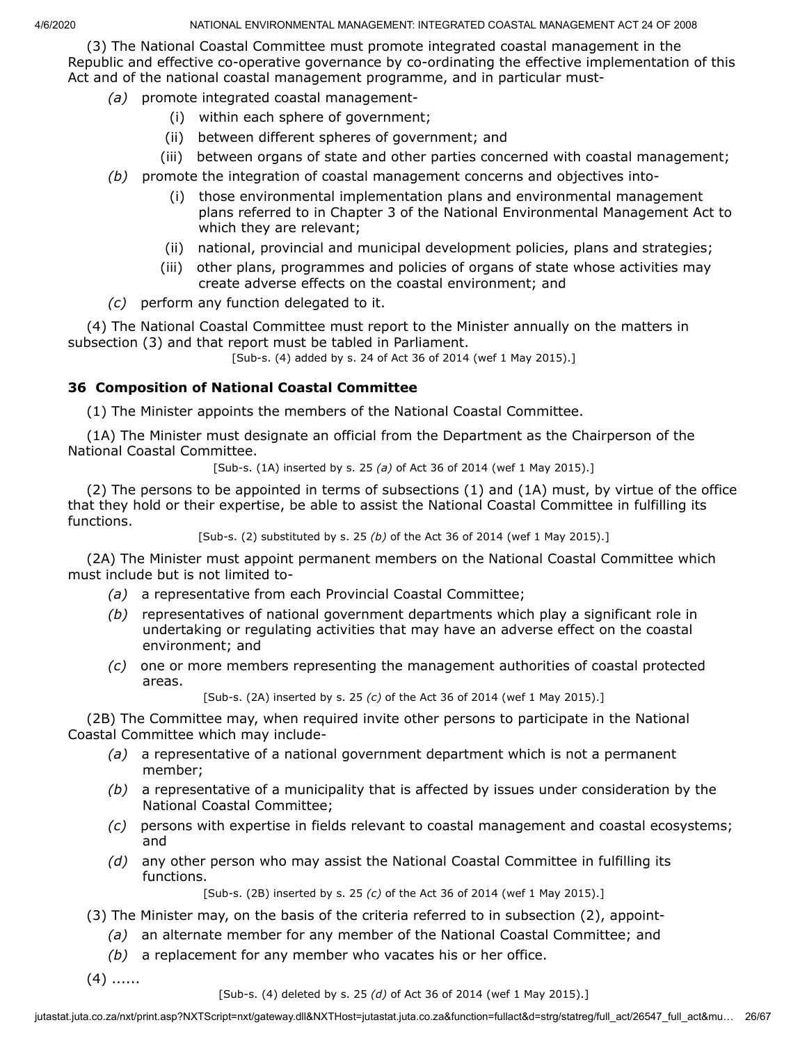(3) The National Coastal Committee must promote integrated coastal management in the Republic and effective co-operative governance by co-ordinating the effective implementation of this Act and of the national coastal management programme, and in particular must-

- *(a)* promote integrated coastal management-
	- (i) within each sphere of government;
	- (ii) between different spheres of government; and
	- (iii) between organs of state and other parties concerned with coastal management;
- *(b)* promote the integration of coastal management concerns and objectives into-
	- (i) those environmental implementation plans and environmental management plans referred to in Chapter 3 of the National Environmental Management Act to which they are relevant;
	- (ii) national, provincial and municipal development policies, plans and strategies;
	- (iii) other plans, programmes and policies of organs of state whose activities may create adverse effects on the coastal environment; and
- *(c)* perform any function delegated to it.

(4) The National Coastal Committee must report to the Minister annually on the matters in subsection (3) and that report must be tabled in Parliament.

```
[Sub-s. (4) added by s. 24 of Act 36 of 2014 (wef 1 May 2015).]
```
### **36 Composition of National Coastal Committee**

(1) The Minister appoints the members of the National Coastal Committee.

(1A) The Minister must designate an official from the Department as the Chairperson of the National Coastal Committee.

[Sub-s. (1A) inserted by s. 25 *(a)* of Act 36 of 2014 (wef 1 May 2015).]

(2) The persons to be appointed in terms of subsections (1) and (1A) must, by virtue of the office that they hold or their expertise, be able to assist the National Coastal Committee in fulfilling its functions.

[Sub-s. (2) substituted by s. 25 *(b)* of the Act 36 of 2014 (wef 1 May 2015).]

(2A) The Minister must appoint permanent members on the National Coastal Committee which must include but is not limited to-

- *(a)* a representative from each Provincial Coastal Committee;
- *(b)* representatives of national government departments which play a significant role in undertaking or regulating activities that may have an adverse effect on the coastal environment; and
- *(c)* one or more members representing the management authorities of coastal protected areas.

[Sub-s. (2A) inserted by s. 25 *(c)* of the Act 36 of 2014 (wef 1 May 2015).]

(2B) The Committee may, when required invite other persons to participate in the National Coastal Committee which may include-

- *(a)* a representative of a national government department which is not a permanent member;
- *(b)* a representative of a municipality that is affected by issues under consideration by the National Coastal Committee;
- *(c)* persons with expertise in fields relevant to coastal management and coastal ecosystems; and
- *(d)* any other person who may assist the National Coastal Committee in fulfilling its functions.

[Sub-s. (2B) inserted by s. 25 *(c)* of the Act 36 of 2014 (wef 1 May 2015).]

- (3) The Minister may, on the basis of the criteria referred to in subsection (2), appoint-
	- *(a)* an alternate member for any member of the National Coastal Committee; and
	- *(b)* a replacement for any member who vacates his or her office.
- $(4)$  ......

[Sub-s. (4) deleted by s. 25 *(d)* of Act 36 of 2014 (wef 1 May 2015).]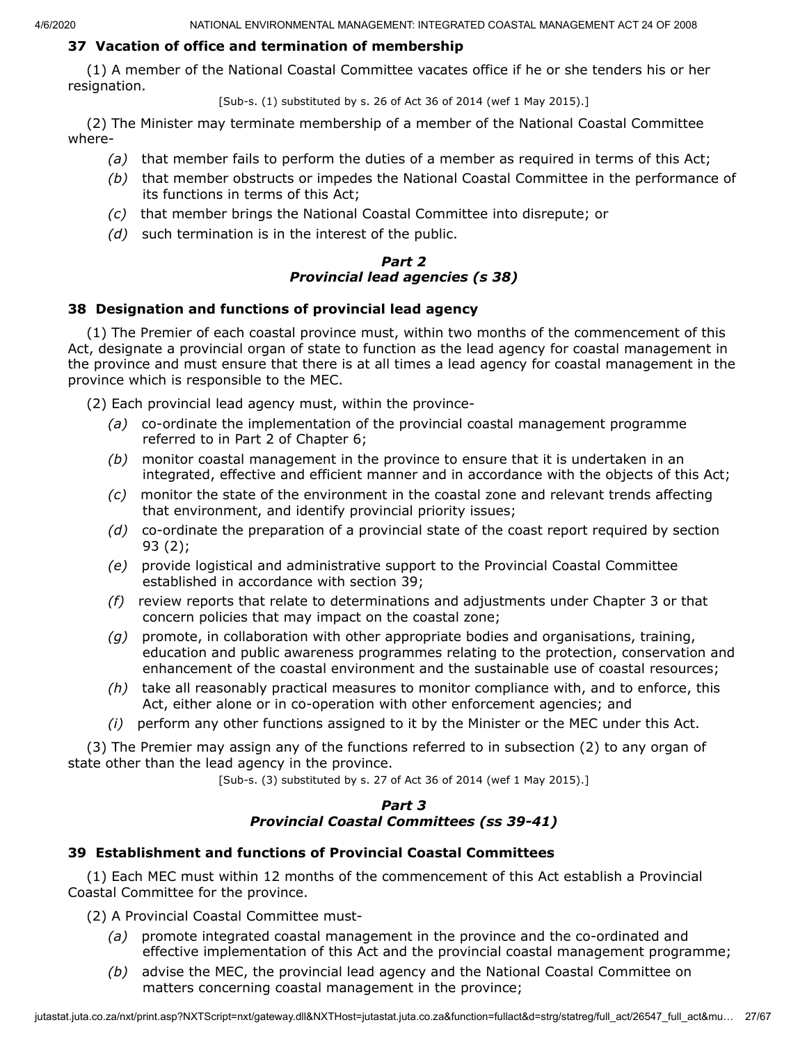## **37 Vacation of office and termination of membership**

(1) A member of the National Coastal Committee vacates office if he or she tenders his or her resignation.

[Sub-s. (1) substituted by s. 26 of Act 36 of 2014 (wef 1 May 2015).]

(2) The Minister may terminate membership of a member of the National Coastal Committee where-

- *(a)* that member fails to perform the duties of a member as required in terms of this Act;
- *(b)* that member obstructs or impedes the National Coastal Committee in the performance of its functions in terms of this Act;
- *(c)* that member brings the National Coastal Committee into disrepute; or
- *(d)* such termination is in the interest of the public.

#### *Part 2 Provincial lead agencies (s 38)*

### **38 Designation and functions of provincial lead agency**

(1) The Premier of each coastal province must, within two months of the commencement of this Act, designate a provincial organ of state to function as the lead agency for coastal management in the province and must ensure that there is at all times a lead agency for coastal management in the province which is responsible to the MEC.

(2) Each provincial lead agency must, within the province-

- *(a)* co-ordinate the implementation of the provincial coastal management programme referred to in Part 2 of Chapter 6;
- *(b)* monitor coastal management in the province to ensure that it is undertaken in an integrated, effective and efficient manner and in accordance with the objects of this Act;
- *(c)* monitor the state of the environment in the coastal zone and relevant trends affecting that environment, and identify provincial priority issues;
- *(d)* co-ordinate the preparation of a provincial state of the coast report required by section 93 (2);
- *(e)* provide logistical and administrative support to the Provincial Coastal Committee established in accordance with section 39;
- *(f)* review reports that relate to determinations and adjustments under Chapter 3 or that concern policies that may impact on the coastal zone;
- *(g)* promote, in collaboration with other appropriate bodies and organisations, training, education and public awareness programmes relating to the protection, conservation and enhancement of the coastal environment and the sustainable use of coastal resources;
- *(h)* take all reasonably practical measures to monitor compliance with, and to enforce, this Act, either alone or in co-operation with other enforcement agencies; and
- *(i)* perform any other functions assigned to it by the Minister or the MEC under this Act.

(3) The Premier may assign any of the functions referred to in subsection (2) to any organ of state other than the lead agency in the province.

[Sub-s. (3) substituted by s. 27 of Act 36 of 2014 (wef 1 May 2015).]

### *Part 3 Provincial Coastal Committees (ss 39-41)*

## **39 Establishment and functions of Provincial Coastal Committees**

(1) Each MEC must within 12 months of the commencement of this Act establish a Provincial Coastal Committee for the province.

(2) A Provincial Coastal Committee must-

- *(a)* promote integrated coastal management in the province and the co-ordinated and effective implementation of this Act and the provincial coastal management programme;
- *(b)* advise the MEC, the provincial lead agency and the National Coastal Committee on matters concerning coastal management in the province;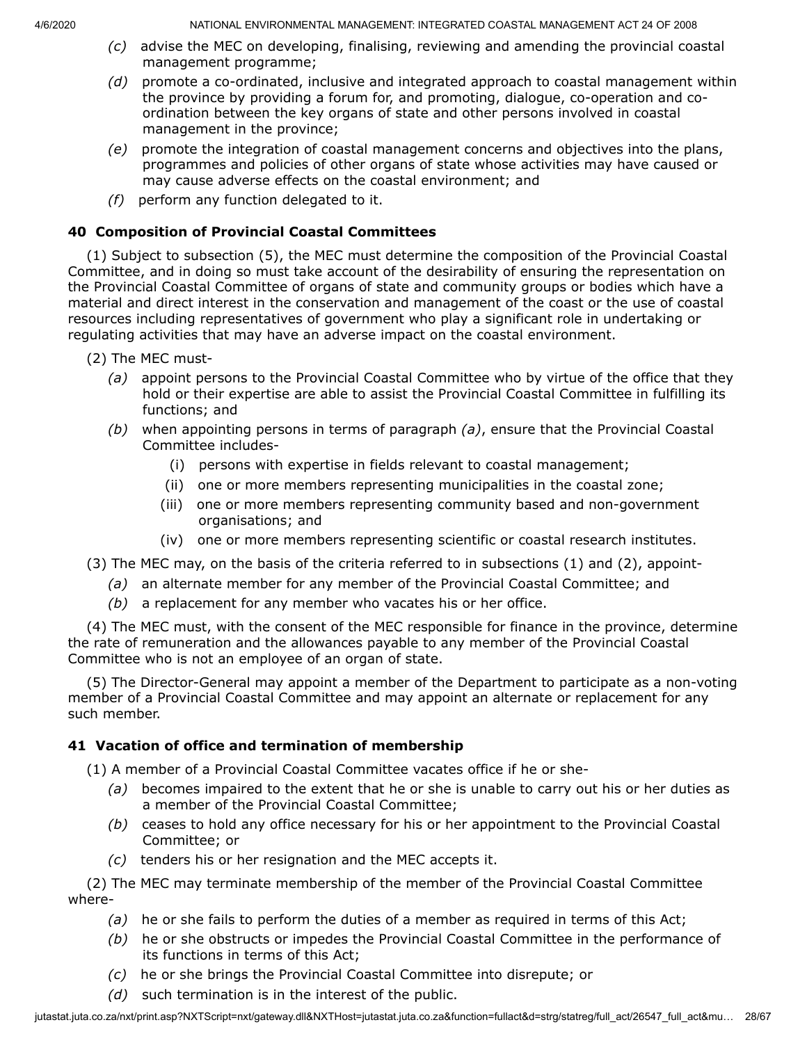- *(c)* advise the MEC on developing, finalising, reviewing and amending the provincial coastal management programme;
- *(d)* promote a co-ordinated, inclusive and integrated approach to coastal management within the province by providing a forum for, and promoting, dialogue, co-operation and coordination between the key organs of state and other persons involved in coastal management in the province;
- *(e)* promote the integration of coastal management concerns and objectives into the plans, programmes and policies of other organs of state whose activities may have caused or may cause adverse effects on the coastal environment; and
- *(f)* perform any function delegated to it.

## **40 Composition of Provincial Coastal Committees**

(1) Subject to subsection (5), the MEC must determine the composition of the Provincial Coastal Committee, and in doing so must take account of the desirability of ensuring the representation on the Provincial Coastal Committee of organs of state and community groups or bodies which have a material and direct interest in the conservation and management of the coast or the use of coastal resources including representatives of government who play a significant role in undertaking or regulating activities that may have an adverse impact on the coastal environment.

- (2) The MEC must-
	- *(a)* appoint persons to the Provincial Coastal Committee who by virtue of the office that they hold or their expertise are able to assist the Provincial Coastal Committee in fulfilling its functions; and
	- *(b)* when appointing persons in terms of paragraph *(a)*, ensure that the Provincial Coastal Committee includes-
		- (i) persons with expertise in fields relevant to coastal management;
		- (ii) one or more members representing municipalities in the coastal zone;
		- (iii) one or more members representing community based and non-government organisations; and
		- (iv) one or more members representing scientific or coastal research institutes.
- (3) The MEC may, on the basis of the criteria referred to in subsections (1) and (2), appoint-
	- *(a)* an alternate member for any member of the Provincial Coastal Committee; and
	- *(b)* a replacement for any member who vacates his or her office.

(4) The MEC must, with the consent of the MEC responsible for finance in the province, determine the rate of remuneration and the allowances payable to any member of the Provincial Coastal Committee who is not an employee of an organ of state.

(5) The Director-General may appoint a member of the Department to participate as a non-voting member of a Provincial Coastal Committee and may appoint an alternate or replacement for any such member.

## **41 Vacation of office and termination of membership**

(1) A member of a Provincial Coastal Committee vacates office if he or she-

- *(a)* becomes impaired to the extent that he or she is unable to carry out his or her duties as a member of the Provincial Coastal Committee;
- *(b)* ceases to hold any office necessary for his or her appointment to the Provincial Coastal Committee; or
- *(c)* tenders his or her resignation and the MEC accepts it.

(2) The MEC may terminate membership of the member of the Provincial Coastal Committee where-

- *(a)* he or she fails to perform the duties of a member as required in terms of this Act;
- *(b)* he or she obstructs or impedes the Provincial Coastal Committee in the performance of its functions in terms of this Act;
- *(c)* he or she brings the Provincial Coastal Committee into disrepute; or
- *(d)* such termination is in the interest of the public.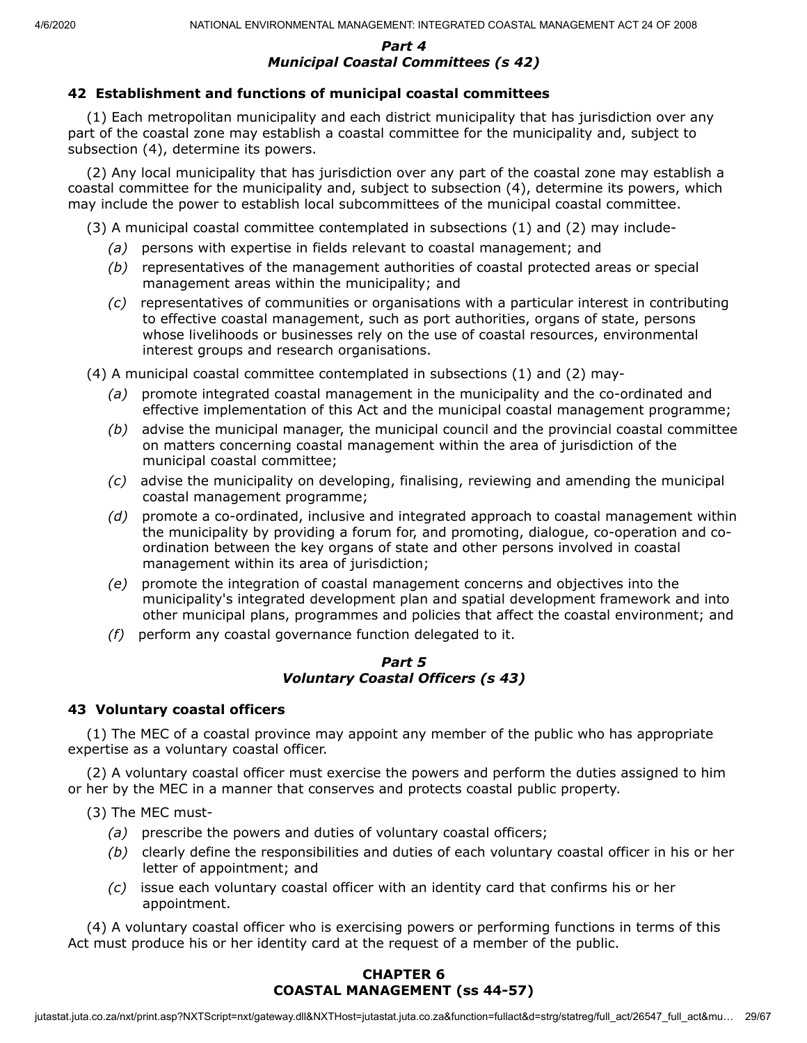### *Part 4 Municipal Coastal Committees (s 42)*

## **42 Establishment and functions of municipal coastal committees**

(1) Each metropolitan municipality and each district municipality that has jurisdiction over any part of the coastal zone may establish a coastal committee for the municipality and, subject to subsection (4), determine its powers.

(2) Any local municipality that has jurisdiction over any part of the coastal zone may establish a coastal committee for the municipality and, subject to subsection (4), determine its powers, which may include the power to establish local subcommittees of the municipal coastal committee.

(3) A municipal coastal committee contemplated in subsections (1) and (2) may include-

- *(a)* persons with expertise in fields relevant to coastal management; and
- *(b)* representatives of the management authorities of coastal protected areas or special management areas within the municipality; and
- *(c)* representatives of communities or organisations with a particular interest in contributing to effective coastal management, such as port authorities, organs of state, persons whose livelihoods or businesses rely on the use of coastal resources, environmental interest groups and research organisations.

(4) A municipal coastal committee contemplated in subsections (1) and (2) may-

- *(a)* promote integrated coastal management in the municipality and the co-ordinated and effective implementation of this Act and the municipal coastal management programme;
- *(b)* advise the municipal manager, the municipal council and the provincial coastal committee on matters concerning coastal management within the area of jurisdiction of the municipal coastal committee;
- *(c)* advise the municipality on developing, finalising, reviewing and amending the municipal coastal management programme;
- *(d)* promote a co-ordinated, inclusive and integrated approach to coastal management within the municipality by providing a forum for, and promoting, dialogue, co-operation and coordination between the key organs of state and other persons involved in coastal management within its area of jurisdiction;
- *(e)* promote the integration of coastal management concerns and objectives into the municipality's integrated development plan and spatial development framework and into other municipal plans, programmes and policies that affect the coastal environment; and
- *(f)* perform any coastal governance function delegated to it.

### *Part 5 Voluntary Coastal Officers (s 43)*

## **43 Voluntary coastal officers**

(1) The MEC of a coastal province may appoint any member of the public who has appropriate expertise as a voluntary coastal officer.

(2) A voluntary coastal officer must exercise the powers and perform the duties assigned to him or her by the MEC in a manner that conserves and protects coastal public property.

- (3) The MEC must-
	- *(a)* prescribe the powers and duties of voluntary coastal officers;
	- *(b)* clearly define the responsibilities and duties of each voluntary coastal officer in his or her letter of appointment; and
	- *(c)* issue each voluntary coastal officer with an identity card that confirms his or her appointment.

(4) A voluntary coastal officer who is exercising powers or performing functions in terms of this Act must produce his or her identity card at the request of a member of the public.

### **CHAPTER 6 COASTAL MANAGEMENT (ss 44-57)**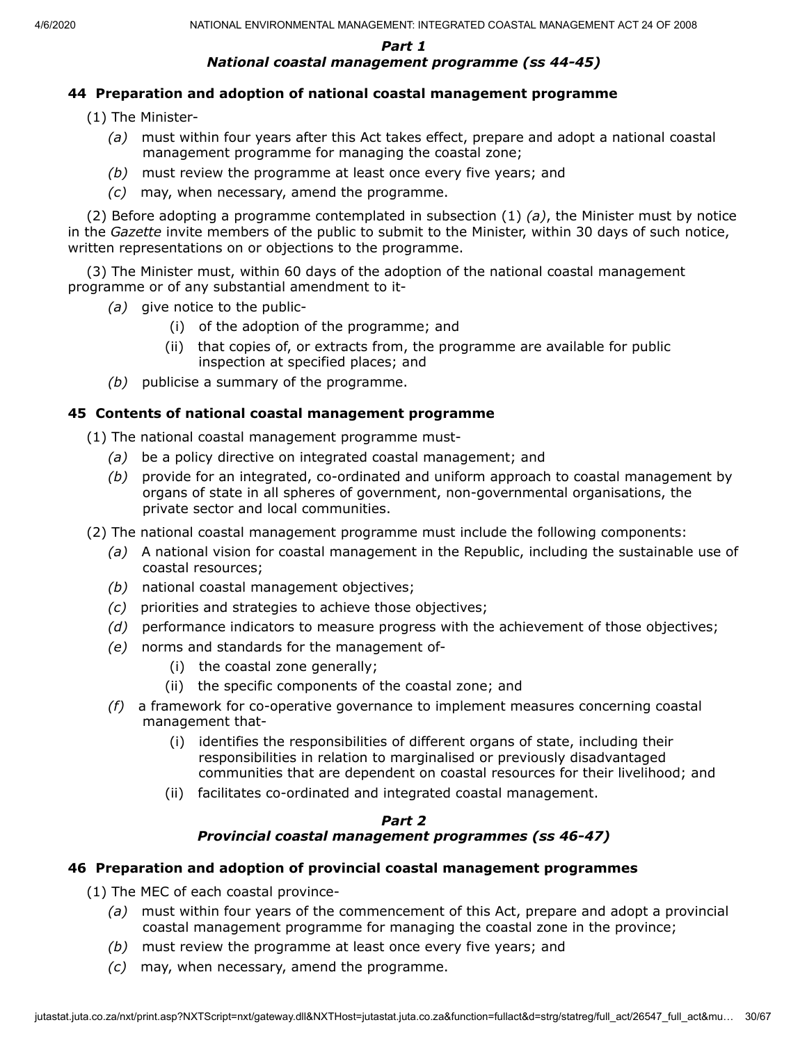### *Part 1 National coastal management programme (ss 44-45)*

### **44 Preparation and adoption of national coastal management programme**

- (1) The Minister-
	- *(a)* must within four years after this Act takes effect, prepare and adopt a national coastal management programme for managing the coastal zone;
	- *(b)* must review the programme at least once every five years; and
	- *(c)* may, when necessary, amend the programme.

(2) Before adopting a programme contemplated in subsection (1) *(a)*, the Minister must by notice in the *Gazette* invite members of the public to submit to the Minister, within 30 days of such notice, written representations on or objections to the programme.

(3) The Minister must, within 60 days of the adoption of the national coastal management programme or of any substantial amendment to it-

- *(a)* give notice to the public-
	- (i) of the adoption of the programme; and
	- (ii) that copies of, or extracts from, the programme are available for public inspection at specified places; and
- *(b)* publicise a summary of the programme.

#### **45 Contents of national coastal management programme**

(1) The national coastal management programme must-

- *(a)* be a policy directive on integrated coastal management; and
- *(b)* provide for an integrated, co-ordinated and uniform approach to coastal management by organs of state in all spheres of government, non-governmental organisations, the private sector and local communities.
- (2) The national coastal management programme must include the following components:
	- *(a)* A national vision for coastal management in the Republic, including the sustainable use of coastal resources;
	- *(b)* national coastal management objectives;
	- *(c)* priorities and strategies to achieve those objectives;
	- *(d)* performance indicators to measure progress with the achievement of those objectives;
	- *(e)* norms and standards for the management of-
		- (i) the coastal zone generally;
		- (ii) the specific components of the coastal zone; and
	- *(f)* a framework for co-operative governance to implement measures concerning coastal management that-
		- (i) identifies the responsibilities of different organs of state, including their responsibilities in relation to marginalised or previously disadvantaged communities that are dependent on coastal resources for their livelihood; and
		- (ii) facilitates co-ordinated and integrated coastal management.

### *Part 2 Provincial coastal management programmes (ss 46-47)*

#### **46 Preparation and adoption of provincial coastal management programmes**

(1) The MEC of each coastal province-

- *(a)* must within four years of the commencement of this Act, prepare and adopt a provincial coastal management programme for managing the coastal zone in the province;
- *(b)* must review the programme at least once every five years; and
- *(c)* may, when necessary, amend the programme.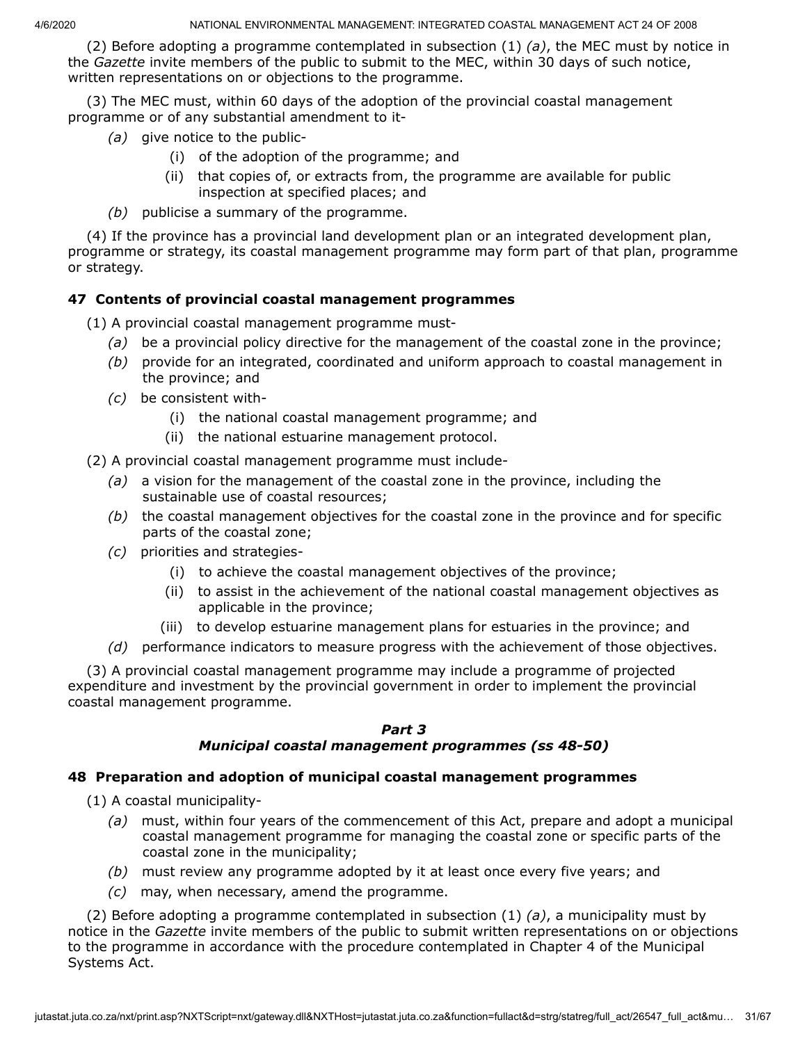(2) Before adopting a programme contemplated in subsection (1) *(a)*, the MEC must by notice in the *Gazette* invite members of the public to submit to the MEC, within 30 days of such notice, written representations on or objections to the programme.

(3) The MEC must, within 60 days of the adoption of the provincial coastal management programme or of any substantial amendment to it-

- *(a)* give notice to the public-
	- (i) of the adoption of the programme; and
	- (ii) that copies of, or extracts from, the programme are available for public inspection at specified places; and
- *(b)* publicise a summary of the programme.

(4) If the province has a provincial land development plan or an integrated development plan, programme or strategy, its coastal management programme may form part of that plan, programme or strategy.

## **47 Contents of provincial coastal management programmes**

(1) A provincial coastal management programme must-

- *(a)* be a provincial policy directive for the management of the coastal zone in the province;
- *(b)* provide for an integrated, coordinated and uniform approach to coastal management in the province; and
- *(c)* be consistent with-
	- (i) the national coastal management programme; and
	- (ii) the national estuarine management protocol.

(2) A provincial coastal management programme must include-

- *(a)* a vision for the management of the coastal zone in the province, including the sustainable use of coastal resources;
- *(b)* the coastal management objectives for the coastal zone in the province and for specific parts of the coastal zone;
- *(c)* priorities and strategies-
	- (i) to achieve the coastal management objectives of the province;
	- (ii) to assist in the achievement of the national coastal management objectives as applicable in the province;
	- (iii) to develop estuarine management plans for estuaries in the province; and
- *(d)* performance indicators to measure progress with the achievement of those objectives.

(3) A provincial coastal management programme may include a programme of projected expenditure and investment by the provincial government in order to implement the provincial coastal management programme.

### *Part 3*

### *Municipal coastal management programmes (ss 48-50)*

### **48 Preparation and adoption of municipal coastal management programmes**

(1) A coastal municipality-

- *(a)* must, within four years of the commencement of this Act, prepare and adopt a municipal coastal management programme for managing the coastal zone or specific parts of the coastal zone in the municipality;
- *(b)* must review any programme adopted by it at least once every five years; and
- *(c)* may, when necessary, amend the programme.

(2) Before adopting a programme contemplated in subsection (1) *(a)*, a municipality must by notice in the *Gazette* invite members of the public to submit written representations on or objections to the programme in accordance with the procedure contemplated in Chapter 4 of the Municipal Systems Act.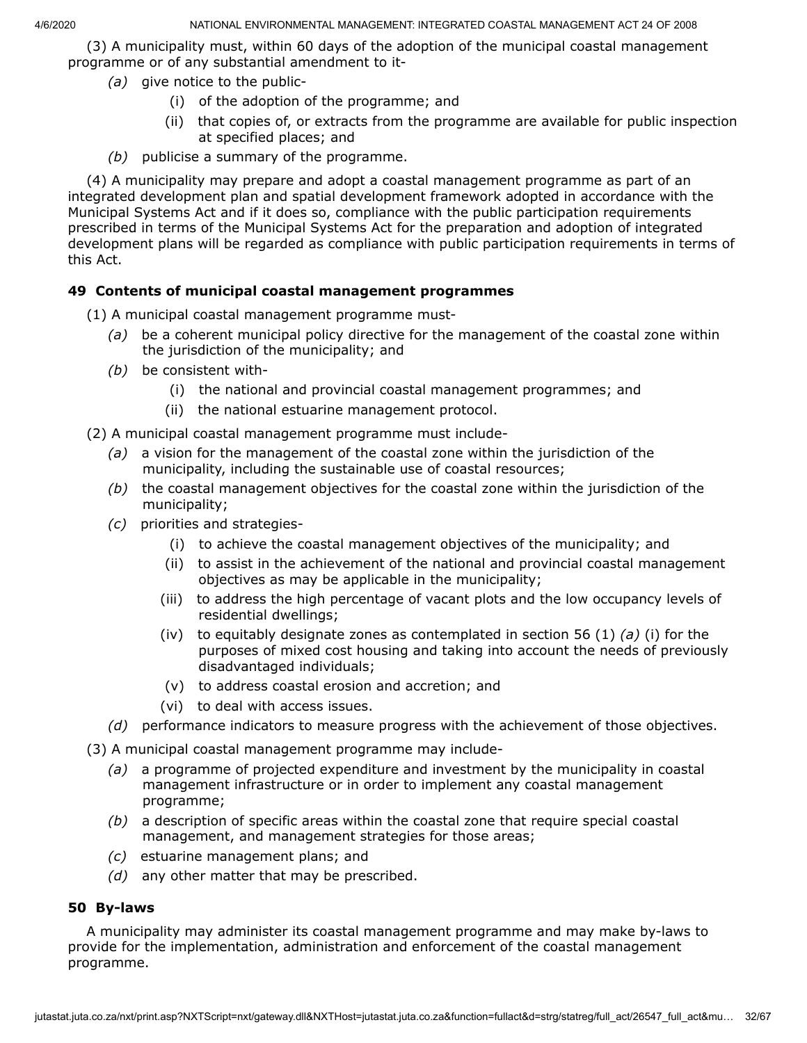(3) A municipality must, within 60 days of the adoption of the municipal coastal management programme or of any substantial amendment to it-

- *(a)* give notice to the public-
	- (i) of the adoption of the programme; and
	- (ii) that copies of, or extracts from the programme are available for public inspection at specified places; and
- *(b)* publicise a summary of the programme.

(4) A municipality may prepare and adopt a coastal management programme as part of an integrated development plan and spatial development framework adopted in accordance with the Municipal Systems Act and if it does so, compliance with the public participation requirements prescribed in terms of the Municipal Systems Act for the preparation and adoption of integrated development plans will be regarded as compliance with public participation requirements in terms of this Act.

### **49 Contents of municipal coastal management programmes**

- (1) A municipal coastal management programme must-
	- *(a)* be a coherent municipal policy directive for the management of the coastal zone within the jurisdiction of the municipality; and
	- *(b)* be consistent with-
		- (i) the national and provincial coastal management programmes; and
		- (ii) the national estuarine management protocol.

(2) A municipal coastal management programme must include-

- *(a)* a vision for the management of the coastal zone within the jurisdiction of the municipality, including the sustainable use of coastal resources;
- *(b)* the coastal management objectives for the coastal zone within the jurisdiction of the municipality;
- *(c)* priorities and strategies-
	- (i) to achieve the coastal management objectives of the municipality; and
	- (ii) to assist in the achievement of the national and provincial coastal management objectives as may be applicable in the municipality;
	- (iii) to address the high percentage of vacant plots and the low occupancy levels of residential dwellings;
	- (iv) to equitably designate zones as contemplated in section 56 (1) *(a)* (i) for the purposes of mixed cost housing and taking into account the needs of previously disadvantaged individuals;
	- (v) to address coastal erosion and accretion; and
	- (vi) to deal with access issues.
- *(d)* performance indicators to measure progress with the achievement of those objectives.
- (3) A municipal coastal management programme may include-
	- *(a)* a programme of projected expenditure and investment by the municipality in coastal management infrastructure or in order to implement any coastal management programme;
	- *(b)* a description of specific areas within the coastal zone that require special coastal management, and management strategies for those areas;
	- *(c)* estuarine management plans; and
	- *(d)* any other matter that may be prescribed.

### **50 By-laws**

A municipality may administer its coastal management programme and may make by-laws to provide for the implementation, administration and enforcement of the coastal management programme.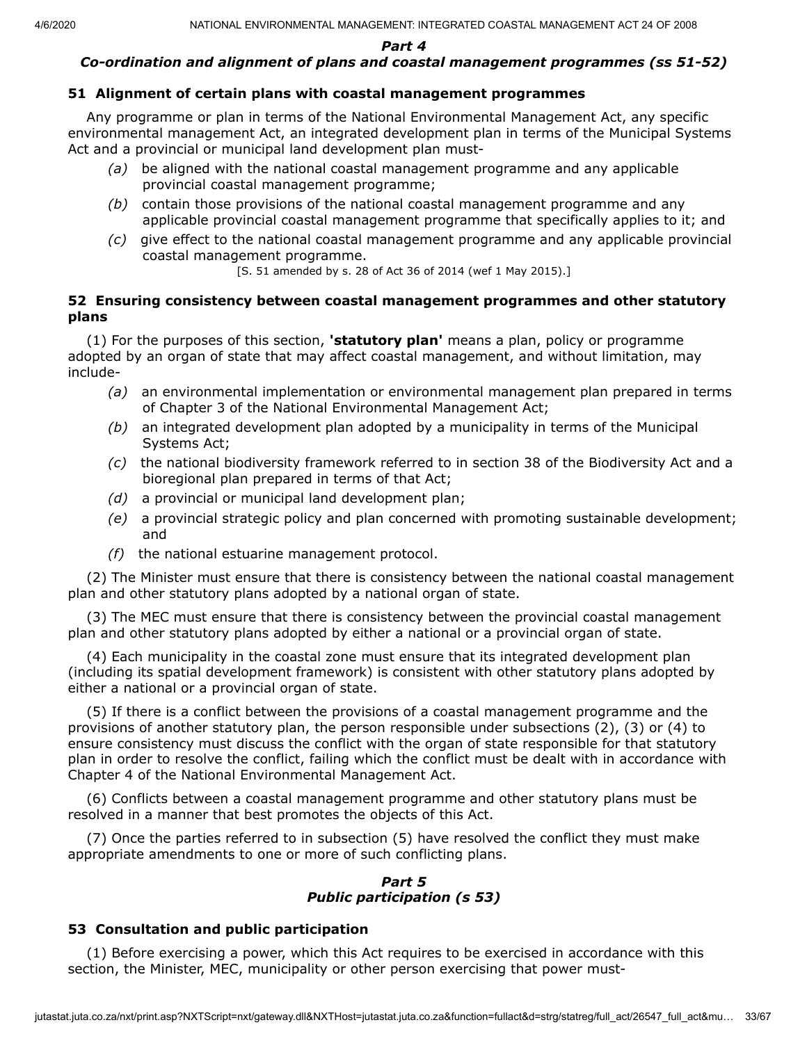*Part 4*

## *Co-ordination and alignment of plans and coastal management programmes (ss 51-52)*

## **51 Alignment of certain plans with coastal management programmes**

Any programme or plan in terms of the National Environmental Management Act, any specific environmental management Act, an integrated development plan in terms of the Municipal Systems Act and a provincial or municipal land development plan must-

- *(a)* be aligned with the national coastal management programme and any applicable provincial coastal management programme;
- *(b)* contain those provisions of the national coastal management programme and any applicable provincial coastal management programme that specifically applies to it; and
- *(c)* give effect to the national coastal management programme and any applicable provincial coastal management programme.

[S. 51 amended by s. 28 of Act 36 of 2014 (wef 1 May 2015).]

### **52 Ensuring consistency between coastal management programmes and other statutory plans**

(1) For the purposes of this section, **'statutory plan'** means a plan, policy or programme adopted by an organ of state that may affect coastal management, and without limitation, may include-

- *(a)* an environmental implementation or environmental management plan prepared in terms of Chapter 3 of the National Environmental Management Act;
- *(b)* an integrated development plan adopted by a municipality in terms of the Municipal Systems Act;
- *(c)* the national biodiversity framework referred to in section 38 of the Biodiversity Act and a bioregional plan prepared in terms of that Act;
- *(d)* a provincial or municipal land development plan;
- *(e)* a provincial strategic policy and plan concerned with promoting sustainable development; and
- *(f)* the national estuarine management protocol.

(2) The Minister must ensure that there is consistency between the national coastal management plan and other statutory plans adopted by a national organ of state.

(3) The MEC must ensure that there is consistency between the provincial coastal management plan and other statutory plans adopted by either a national or a provincial organ of state.

(4) Each municipality in the coastal zone must ensure that its integrated development plan (including its spatial development framework) is consistent with other statutory plans adopted by either a national or a provincial organ of state.

(5) If there is a conflict between the provisions of a coastal management programme and the provisions of another statutory plan, the person responsible under subsections (2), (3) or (4) to ensure consistency must discuss the conflict with the organ of state responsible for that statutory plan in order to resolve the conflict, failing which the conflict must be dealt with in accordance with Chapter 4 of the National Environmental Management Act.

(6) Conflicts between a coastal management programme and other statutory plans must be resolved in a manner that best promotes the objects of this Act.

(7) Once the parties referred to in subsection (5) have resolved the conflict they must make appropriate amendments to one or more of such conflicting plans.

### *Part 5 Public participation (s 53)*

## **53 Consultation and public participation**

(1) Before exercising a power, which this Act requires to be exercised in accordance with this section, the Minister, MEC, municipality or other person exercising that power must-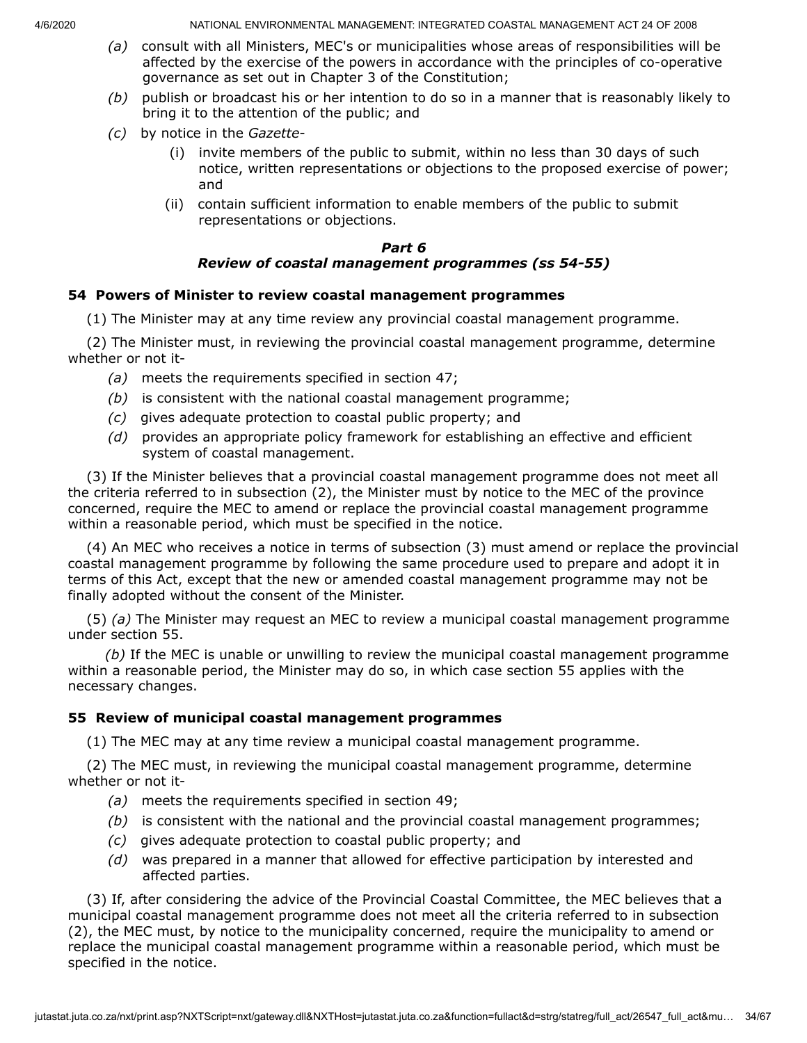- *(a)* consult with all Ministers, MEC's or municipalities whose areas of responsibilities will be affected by the exercise of the powers in accordance with the principles of co-operative governance as set out in Chapter 3 of the Constitution;
- *(b)* publish or broadcast his or her intention to do so in a manner that is reasonably likely to bring it to the attention of the public; and
- *(c)* by notice in the *Gazette*
	- (i) invite members of the public to submit, within no less than 30 days of such notice, written representations or objections to the proposed exercise of power; and
	- (ii) contain sufficient information to enable members of the public to submit representations or objections.

#### *Part 6 Review of coastal management programmes (ss 54-55)*

### **54 Powers of Minister to review coastal management programmes**

(1) The Minister may at any time review any provincial coastal management programme.

(2) The Minister must, in reviewing the provincial coastal management programme, determine whether or not it-

- *(a)* meets the requirements specified in section 47;
- *(b)* is consistent with the national coastal management programme;
- *(c)* gives adequate protection to coastal public property; and
- *(d)* provides an appropriate policy framework for establishing an effective and efficient system of coastal management.

(3) If the Minister believes that a provincial coastal management programme does not meet all the criteria referred to in subsection (2), the Minister must by notice to the MEC of the province concerned, require the MEC to amend or replace the provincial coastal management programme within a reasonable period, which must be specified in the notice.

(4) An MEC who receives a notice in terms of subsection (3) must amend or replace the provincial coastal management programme by following the same procedure used to prepare and adopt it in terms of this Act, except that the new or amended coastal management programme may not be finally adopted without the consent of the Minister.

(5) *(a)* The Minister may request an MEC to review a municipal coastal management programme under section 55.

*(b)* If the MEC is unable or unwilling to review the municipal coastal management programme within a reasonable period, the Minister may do so, in which case section 55 applies with the necessary changes.

### **55 Review of municipal coastal management programmes**

(1) The MEC may at any time review a municipal coastal management programme.

(2) The MEC must, in reviewing the municipal coastal management programme, determine whether or not it-

- *(a)* meets the requirements specified in section 49;
- *(b)* is consistent with the national and the provincial coastal management programmes;
- *(c)* gives adequate protection to coastal public property; and
- *(d)* was prepared in a manner that allowed for effective participation by interested and affected parties.

(3) If, after considering the advice of the Provincial Coastal Committee, the MEC believes that a municipal coastal management programme does not meet all the criteria referred to in subsection (2), the MEC must, by notice to the municipality concerned, require the municipality to amend or replace the municipal coastal management programme within a reasonable period, which must be specified in the notice.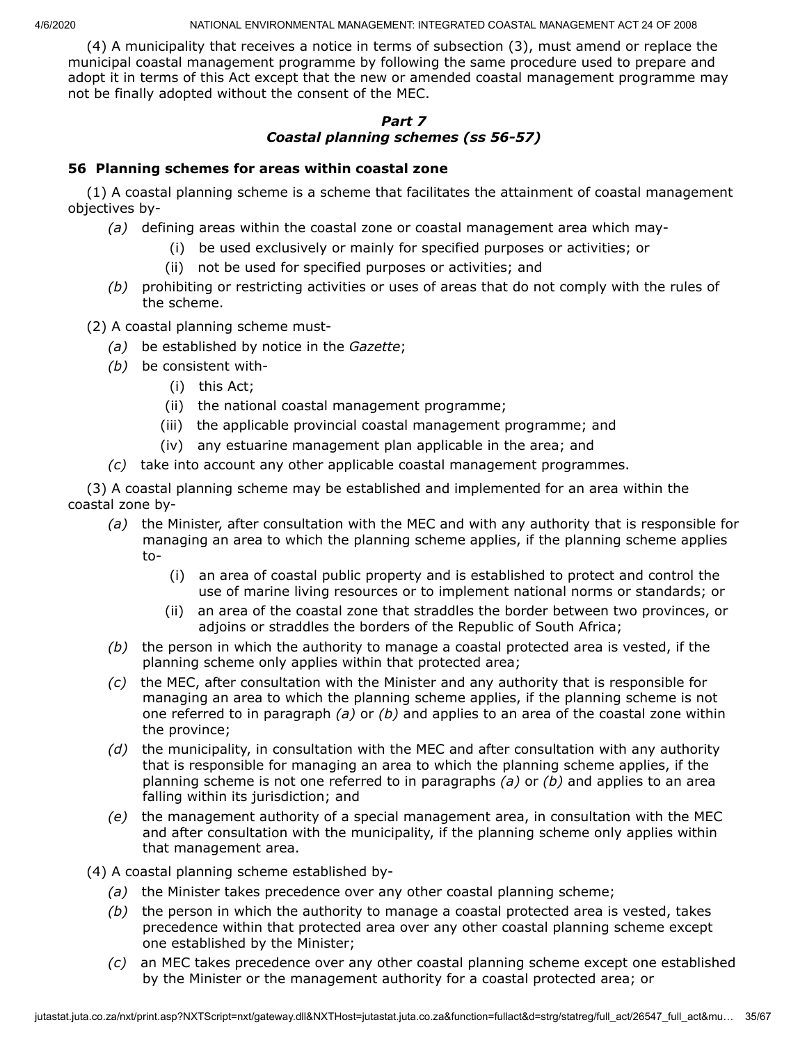(4) A municipality that receives a notice in terms of subsection (3), must amend or replace the municipal coastal management programme by following the same procedure used to prepare and adopt it in terms of this Act except that the new or amended coastal management programme may not be finally adopted without the consent of the MEC.

## *Part 7 Coastal planning schemes (ss 56-57)*

### **56 Planning schemes for areas within coastal zone**

(1) A coastal planning scheme is a scheme that facilitates the attainment of coastal management objectives by-

- *(a)* defining areas within the coastal zone or coastal management area which may-
	- (i) be used exclusively or mainly for specified purposes or activities; or
	- (ii) not be used for specified purposes or activities; and
- *(b)* prohibiting or restricting activities or uses of areas that do not comply with the rules of the scheme.

(2) A coastal planning scheme must-

- *(a)* be established by notice in the *Gazette*;
- *(b)* be consistent with-
	- (i) this Act;
	- (ii) the national coastal management programme;
	- (iii) the applicable provincial coastal management programme; and
	- (iv) any estuarine management plan applicable in the area; and
- *(c)* take into account any other applicable coastal management programmes.

(3) A coastal planning scheme may be established and implemented for an area within the coastal zone by-

- *(a)* the Minister, after consultation with the MEC and with any authority that is responsible for managing an area to which the planning scheme applies, if the planning scheme applies to-
	- (i) an area of coastal public property and is established to protect and control the use of marine living resources or to implement national norms or standards; or
	- (ii) an area of the coastal zone that straddles the border between two provinces, or adjoins or straddles the borders of the Republic of South Africa;
- *(b)* the person in which the authority to manage a coastal protected area is vested, if the planning scheme only applies within that protected area;
- *(c)* the MEC, after consultation with the Minister and any authority that is responsible for managing an area to which the planning scheme applies, if the planning scheme is not one referred to in paragraph *(a)* or *(b)* and applies to an area of the coastal zone within the province;
- *(d)* the municipality, in consultation with the MEC and after consultation with any authority that is responsible for managing an area to which the planning scheme applies, if the planning scheme is not one referred to in paragraphs *(a)* or *(b)* and applies to an area falling within its jurisdiction; and
- *(e)* the management authority of a special management area, in consultation with the MEC and after consultation with the municipality, if the planning scheme only applies within that management area.
- (4) A coastal planning scheme established by-
	- *(a)* the Minister takes precedence over any other coastal planning scheme;
	- *(b)* the person in which the authority to manage a coastal protected area is vested, takes precedence within that protected area over any other coastal planning scheme except one established by the Minister;
	- *(c)* an MEC takes precedence over any other coastal planning scheme except one established by the Minister or the management authority for a coastal protected area; or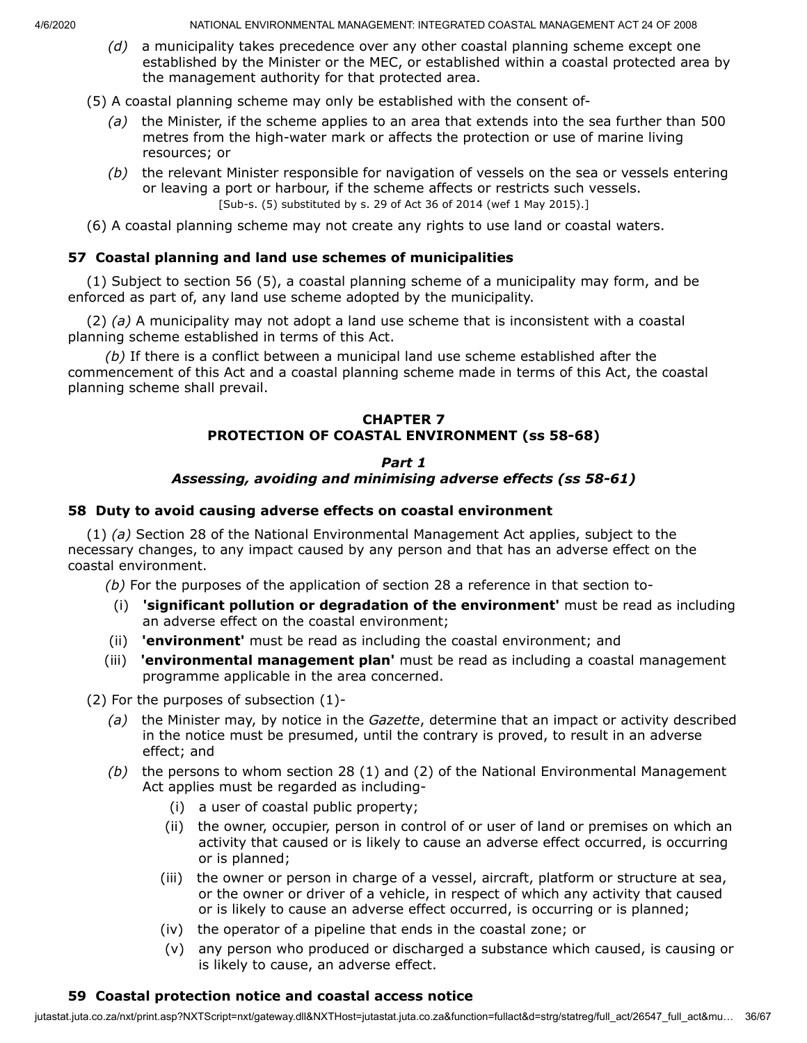- *(d)* a municipality takes precedence over any other coastal planning scheme except one established by the Minister or the MEC, or established within a coastal protected area by the management authority for that protected area.
- (5) A coastal planning scheme may only be established with the consent of-
	- *(a)* the Minister, if the scheme applies to an area that extends into the sea further than 500 metres from the high-water mark or affects the protection or use of marine living resources; or
	- *(b)* the relevant Minister responsible for navigation of vessels on the sea or vessels entering or leaving a port or harbour, if the scheme affects or restricts such vessels. [Sub-s. (5) substituted by s. 29 of Act 36 of 2014 (wef 1 May 2015).]
- (6) A coastal planning scheme may not create any rights to use land or coastal waters.

## **57 Coastal planning and land use schemes of municipalities**

(1) Subject to section 56 (5), a coastal planning scheme of a municipality may form, and be enforced as part of, any land use scheme adopted by the municipality.

(2) *(a)* A municipality may not adopt a land use scheme that is inconsistent with a coastal planning scheme established in terms of this Act.

*(b)* If there is a conflict between a municipal land use scheme established after the commencement of this Act and a coastal planning scheme made in terms of this Act, the coastal planning scheme shall prevail.

### **CHAPTER 7 PROTECTION OF COASTAL ENVIRONMENT (ss 58-68)**

## *Part 1 Assessing, avoiding and minimising adverse effects (ss 58-61)*

### **58 Duty to avoid causing adverse effects on coastal environment**

(1) *(a)* Section 28 of the National Environmental Management Act applies, subject to the necessary changes, to any impact caused by any person and that has an adverse effect on the coastal environment.

*(b)* For the purposes of the application of section 28 a reference in that section to-

- (i) **'significant pollution or degradation of the environment'** must be read as including an adverse effect on the coastal environment;
- (ii) **'environment'** must be read as including the coastal environment; and
- (iii) **'environmental management plan'** must be read as including a coastal management programme applicable in the area concerned.

(2) For the purposes of subsection (1)-

- *(a)* the Minister may, by notice in the *Gazette*, determine that an impact or activity described in the notice must be presumed, until the contrary is proved, to result in an adverse effect; and
- *(b)* the persons to whom section 28 (1) and (2) of the National Environmental Management Act applies must be regarded as including-
	- (i) a user of coastal public property;
	- (ii) the owner, occupier, person in control of or user of land or premises on which an activity that caused or is likely to cause an adverse effect occurred, is occurring or is planned;
	- (iii) the owner or person in charge of a vessel, aircraft, platform or structure at sea, or the owner or driver of a vehicle, in respect of which any activity that caused or is likely to cause an adverse effect occurred, is occurring or is planned;
	- (iv) the operator of a pipeline that ends in the coastal zone; or
	- (v) any person who produced or discharged a substance which caused, is causing or is likely to cause, an adverse effect.

## **59 Coastal protection notice and coastal access notice**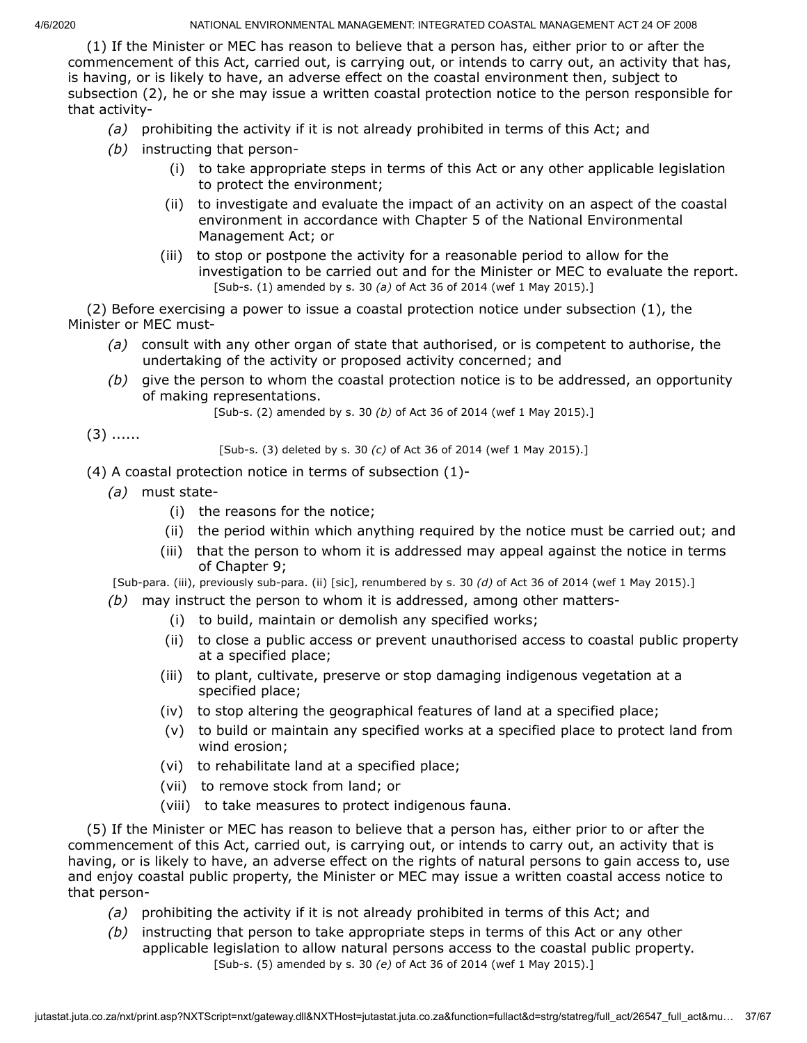(1) If the Minister or MEC has reason to believe that a person has, either prior to or after the commencement of this Act, carried out, is carrying out, or intends to carry out, an activity that has, is having, or is likely to have, an adverse effect on the coastal environment then, subject to subsection (2), he or she may issue a written coastal protection notice to the person responsible for that activity-

- *(a)* prohibiting the activity if it is not already prohibited in terms of this Act; and
- *(b)* instructing that person-
	- (i) to take appropriate steps in terms of this Act or any other applicable legislation to protect the environment;
	- (ii) to investigate and evaluate the impact of an activity on an aspect of the coastal environment in accordance with Chapter 5 of the National Environmental Management Act; or
	- (iii) to stop or postpone the activity for a reasonable period to allow for the investigation to be carried out and for the Minister or MEC to evaluate the report. [Sub-s. (1) amended by s. 30 *(a)* of Act 36 of 2014 (wef 1 May 2015).]

(2) Before exercising a power to issue a coastal protection notice under subsection (1), the Minister or MEC must-

- *(a)* consult with any other organ of state that authorised, or is competent to authorise, the undertaking of the activity or proposed activity concerned; and
- *(b)* give the person to whom the coastal protection notice is to be addressed, an opportunity of making representations.

[Sub-s. (2) amended by s. 30 *(b)* of Act 36 of 2014 (wef 1 May 2015).]

```
(3) ......
```
[Sub-s. (3) deleted by s. 30 *(c)* of Act 36 of 2014 (wef 1 May 2015).]

- (4) A coastal protection notice in terms of subsection (1)-
	- *(a)* must state-
		- (i) the reasons for the notice;
		- (ii) the period within which anything required by the notice must be carried out; and
		- (iii) that the person to whom it is addressed may appeal against the notice in terms of Chapter 9;
	- [Sub-para. (iii), previously sub-para. (ii) [sic], renumbered by s. 30 *(d)* of Act 36 of 2014 (wef 1 May 2015).]
	- *(b)* may instruct the person to whom it is addressed, among other matters-
		- (i) to build, maintain or demolish any specified works;
		- (ii) to close a public access or prevent unauthorised access to coastal public property at a specified place;
		- (iii) to plant, cultivate, preserve or stop damaging indigenous vegetation at a specified place;
		- (iv) to stop altering the geographical features of land at a specified place;
		- (v) to build or maintain any specified works at a specified place to protect land from wind erosion;
		- (vi) to rehabilitate land at a specified place;
		- (vii) to remove stock from land; or
		- (viii) to take measures to protect indigenous fauna.

(5) If the Minister or MEC has reason to believe that a person has, either prior to or after the commencement of this Act, carried out, is carrying out, or intends to carry out, an activity that is having, or is likely to have, an adverse effect on the rights of natural persons to gain access to, use and enjoy coastal public property, the Minister or MEC may issue a written coastal access notice to that person-

- *(a)* prohibiting the activity if it is not already prohibited in terms of this Act; and
- *(b)* instructing that person to take appropriate steps in terms of this Act or any other applicable legislation to allow natural persons access to the coastal public property. [Sub-s. (5) amended by s. 30 *(e)* of Act 36 of 2014 (wef 1 May 2015).]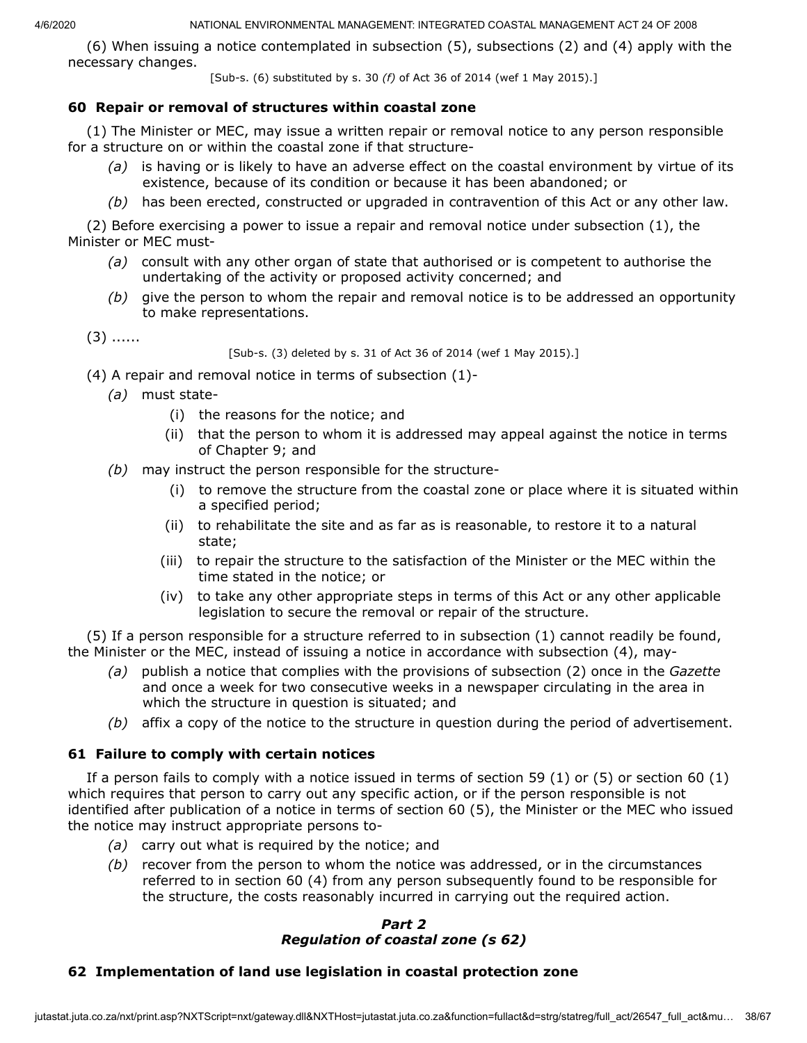(6) When issuing a notice contemplated in subsection (5), subsections (2) and (4) apply with the necessary changes.

[Sub-s. (6) substituted by s. 30 *(f)* of Act 36 of 2014 (wef 1 May 2015).]

### **60 Repair or removal of structures within coastal zone**

(1) The Minister or MEC, may issue a written repair or removal notice to any person responsible for a structure on or within the coastal zone if that structure-

- *(a)* is having or is likely to have an adverse effect on the coastal environment by virtue of its existence, because of its condition or because it has been abandoned; or
- *(b)* has been erected, constructed or upgraded in contravention of this Act or any other law.

(2) Before exercising a power to issue a repair and removal notice under subsection (1), the Minister or MEC must-

- *(a)* consult with any other organ of state that authorised or is competent to authorise the undertaking of the activity or proposed activity concerned; and
- *(b)* give the person to whom the repair and removal notice is to be addressed an opportunity to make representations.

 $(3)$  ......

[Sub-s. (3) deleted by s. 31 of Act 36 of 2014 (wef 1 May 2015).]

- (4) A repair and removal notice in terms of subsection (1)-
	- *(a)* must state-
		- (i) the reasons for the notice; and
		- (ii) that the person to whom it is addressed may appeal against the notice in terms of Chapter 9; and
	- *(b)* may instruct the person responsible for the structure-
		- (i) to remove the structure from the coastal zone or place where it is situated within a specified period;
		- (ii) to rehabilitate the site and as far as is reasonable, to restore it to a natural state;
		- (iii) to repair the structure to the satisfaction of the Minister or the MEC within the time stated in the notice; or
		- (iv) to take any other appropriate steps in terms of this Act or any other applicable legislation to secure the removal or repair of the structure.

(5) If a person responsible for a structure referred to in subsection (1) cannot readily be found, the Minister or the MEC, instead of issuing a notice in accordance with subsection (4), may-

- *(a)* publish a notice that complies with the provisions of subsection (2) once in the *Gazette* and once a week for two consecutive weeks in a newspaper circulating in the area in which the structure in question is situated; and
- *(b)* affix a copy of the notice to the structure in question during the period of advertisement.

## **61 Failure to comply with certain notices**

If a person fails to comply with a notice issued in terms of section 59 (1) or (5) or section 60 (1) which requires that person to carry out any specific action, or if the person responsible is not identified after publication of a notice in terms of section 60 (5), the Minister or the MEC who issued the notice may instruct appropriate persons to-

- *(a)* carry out what is required by the notice; and
- *(b)* recover from the person to whom the notice was addressed, or in the circumstances referred to in section 60 (4) from any person subsequently found to be responsible for the structure, the costs reasonably incurred in carrying out the required action.

### *Part 2 Regulation of coastal zone (s 62)*

## **62 Implementation of land use legislation in coastal protection zone**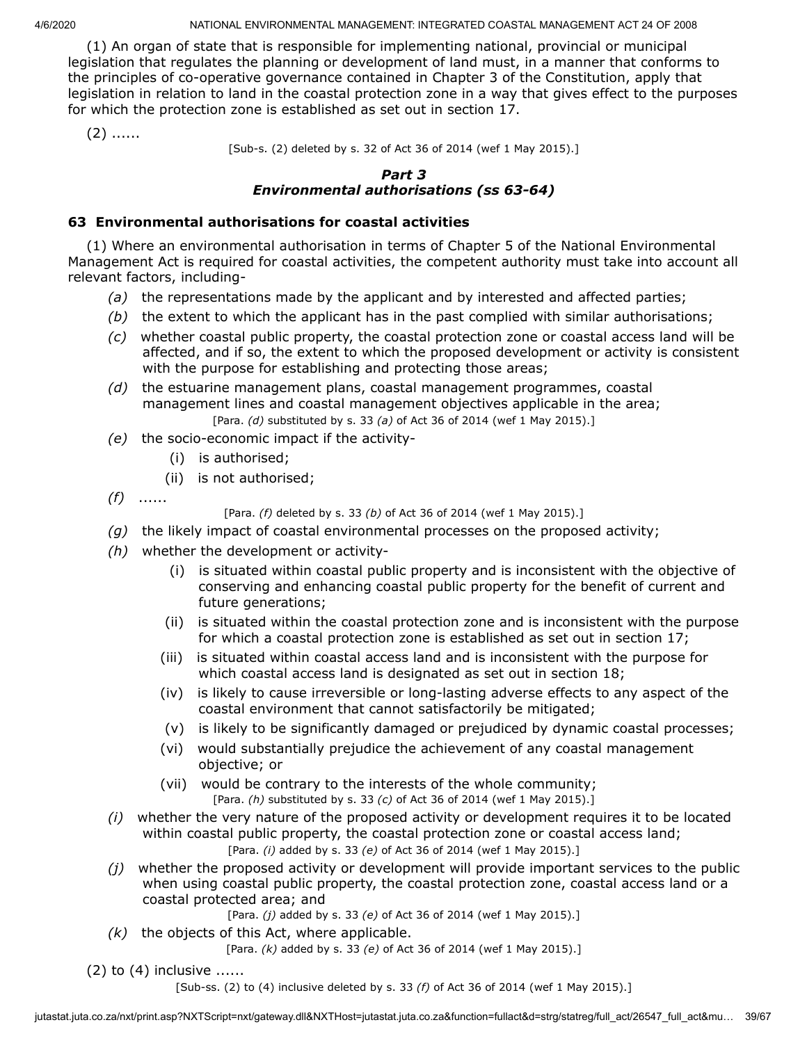(1) An organ of state that is responsible for implementing national, provincial or municipal legislation that regulates the planning or development of land must, in a manner that conforms to the principles of co-operative governance contained in Chapter 3 of the Constitution, apply that legislation in relation to land in the coastal protection zone in a way that gives effect to the purposes for which the protection zone is established as set out in section 17.

 $(2)$  ......

[Sub-s. (2) deleted by s. 32 of Act 36 of 2014 (wef 1 May 2015).]

### *Part 3 Environmental authorisations (ss 63-64)*

## **63 Environmental authorisations for coastal activities**

(1) Where an environmental authorisation in terms of Chapter 5 of the National Environmental Management Act is required for coastal activities, the competent authority must take into account all relevant factors, including-

- *(a)* the representations made by the applicant and by interested and affected parties;
- *(b)* the extent to which the applicant has in the past complied with similar authorisations;
- *(c)* whether coastal public property, the coastal protection zone or coastal access land will be affected, and if so, the extent to which the proposed development or activity is consistent with the purpose for establishing and protecting those areas;
- *(d)* the estuarine management plans, coastal management programmes, coastal management lines and coastal management objectives applicable in the area; [Para. *(d)* substituted by s. 33 *(a)* of Act 36 of 2014 (wef 1 May 2015).]
- *(e)* the socio-economic impact if the activity-
	- (i) is authorised;
	- (ii) is not authorised;
- *(f)* ......

[Para. *(f)* deleted by s. 33 *(b)* of Act 36 of 2014 (wef 1 May 2015).]

- *(g)* the likely impact of coastal environmental processes on the proposed activity;
- *(h)* whether the development or activity-
	- (i) is situated within coastal public property and is inconsistent with the objective of conserving and enhancing coastal public property for the benefit of current and future generations;
	- (ii) is situated within the coastal protection zone and is inconsistent with the purpose for which a coastal protection zone is established as set out in section 17;
	- (iii) is situated within coastal access land and is inconsistent with the purpose for which coastal access land is designated as set out in section 18;
	- (iv) is likely to cause irreversible or long-lasting adverse effects to any aspect of the coastal environment that cannot satisfactorily be mitigated;
	- (v) is likely to be significantly damaged or prejudiced by dynamic coastal processes;
	- (vi) would substantially prejudice the achievement of any coastal management objective; or
	- (vii) would be contrary to the interests of the whole community; [Para. *(h)* substituted by s. 33 *(c)* of Act 36 of 2014 (wef 1 May 2015).]
- *(i)* whether the very nature of the proposed activity or development requires it to be located within coastal public property, the coastal protection zone or coastal access land; [Para. *(i)* added by s. 33 *(e)* of Act 36 of 2014 (wef 1 May 2015).]
- *(j)* whether the proposed activity or development will provide important services to the public when using coastal public property, the coastal protection zone, coastal access land or a coastal protected area; and

[Para. *(j)* added by s. 33 *(e)* of Act 36 of 2014 (wef 1 May 2015).]

*(k)* the objects of this Act, where applicable.

[Para. *(k)* added by s. 33 *(e)* of Act 36 of 2014 (wef 1 May 2015).]

 $(2)$  to  $(4)$  inclusive ......

[Sub-ss. (2) to (4) inclusive deleted by s. 33 *(f)* of Act 36 of 2014 (wef 1 May 2015).]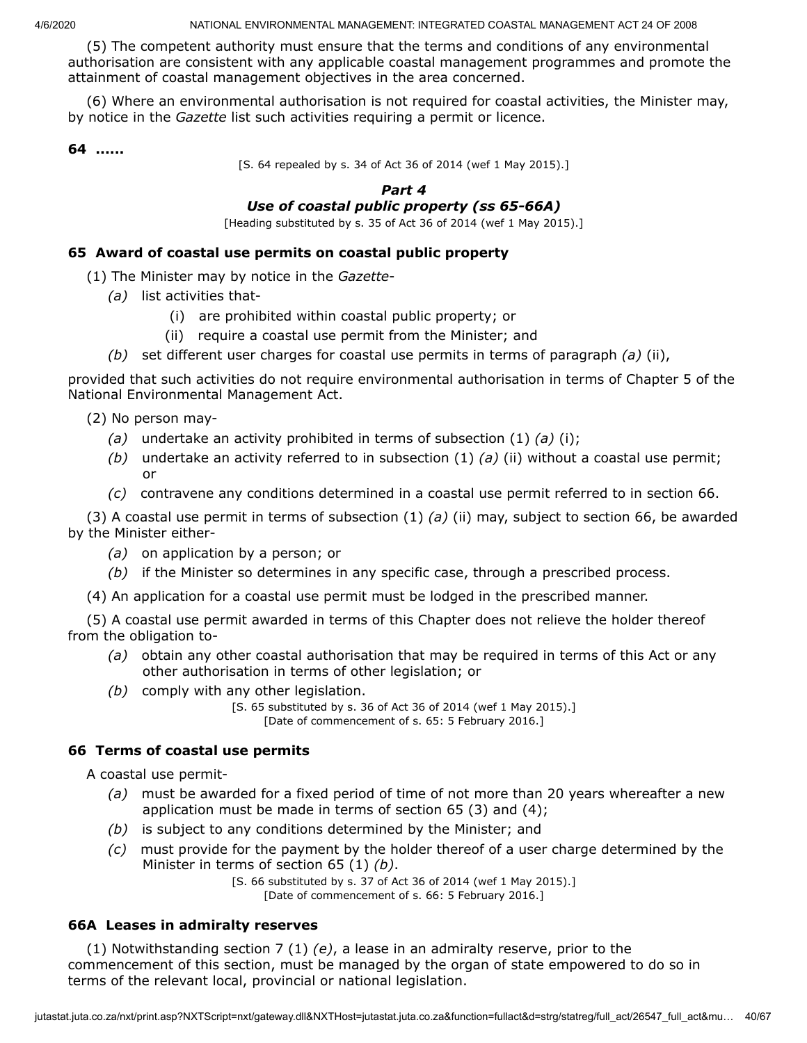(5) The competent authority must ensure that the terms and conditions of any environmental authorisation are consistent with any applicable coastal management programmes and promote the attainment of coastal management objectives in the area concerned.

(6) Where an environmental authorisation is not required for coastal activities, the Minister may, by notice in the *Gazette* list such activities requiring a permit or licence.

**64 ......**

[S. 64 repealed by s. 34 of Act 36 of 2014 (wef 1 May 2015).]

### *Part 4 Use of coastal public property (ss 65-66A)*

[Heading substituted by s. 35 of Act 36 of 2014 (wef 1 May 2015).]

### **65 Award of coastal use permits on coastal public property**

- (1) The Minister may by notice in the *Gazette*
	- *(a)* list activities that-
		- (i) are prohibited within coastal public property; or
		- (ii) require a coastal use permit from the Minister; and
	- *(b)* set different user charges for coastal use permits in terms of paragraph *(a)* (ii),

provided that such activities do not require environmental authorisation in terms of Chapter 5 of the National Environmental Management Act.

- (2) No person may-
	- *(a)* undertake an activity prohibited in terms of subsection (1) *(a)* (i);
	- *(b)* undertake an activity referred to in subsection (1) *(a)* (ii) without a coastal use permit; or
	- *(c)* contravene any conditions determined in a coastal use permit referred to in section 66.

(3) A coastal use permit in terms of subsection (1) *(a)* (ii) may, subject to section 66, be awarded by the Minister either-

- *(a)* on application by a person; or
- *(b)* if the Minister so determines in any specific case, through a prescribed process.
- (4) An application for a coastal use permit must be lodged in the prescribed manner.

(5) A coastal use permit awarded in terms of this Chapter does not relieve the holder thereof from the obligation to-

- *(a)* obtain any other coastal authorisation that may be required in terms of this Act or any other authorisation in terms of other legislation; or
- *(b)* comply with any other legislation.

[S. 65 substituted by s. 36 of Act 36 of 2014 (wef 1 May 2015).] [Date of commencement of s. 65: 5 February 2016.]

### **66 Terms of coastal use permits**

A coastal use permit-

- *(a)* must be awarded for a fixed period of time of not more than 20 years whereafter a new application must be made in terms of section 65 (3) and (4);
- *(b)* is subject to any conditions determined by the Minister; and
- *(c)* must provide for the payment by the holder thereof of a user charge determined by the Minister in terms of section 65 (1) *(b)*.

[S. 66 substituted by s. 37 of Act 36 of 2014 (wef 1 May 2015).] [Date of commencement of s. 66: 5 February 2016.]

### **66A Leases in admiralty reserves**

(1) Notwithstanding section 7 (1) *(e)*, a lease in an admiralty reserve, prior to the commencement of this section, must be managed by the organ of state empowered to do so in terms of the relevant local, provincial or national legislation.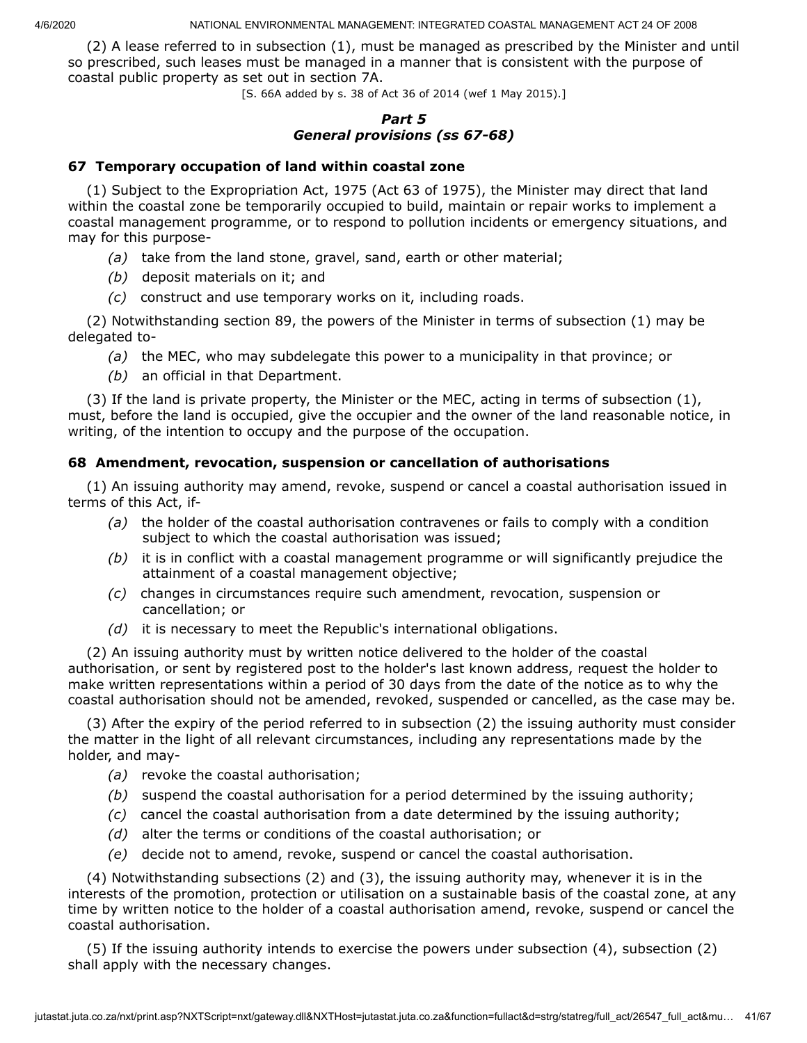(2) A lease referred to in subsection (1), must be managed as prescribed by the Minister and until so prescribed, such leases must be managed in a manner that is consistent with the purpose of coastal public property as set out in section 7A.

[S. 66A added by s. 38 of Act 36 of 2014 (wef 1 May 2015).]

### *Part 5 General provisions (ss 67-68)*

### **67 Temporary occupation of land within coastal zone**

(1) Subject to the Expropriation Act, 1975 (Act 63 of 1975), the Minister may direct that land within the coastal zone be temporarily occupied to build, maintain or repair works to implement a coastal management programme, or to respond to pollution incidents or emergency situations, and may for this purpose-

- *(a)* take from the land stone, gravel, sand, earth or other material;
- *(b)* deposit materials on it; and
- *(c)* construct and use temporary works on it, including roads.

(2) Notwithstanding section 89, the powers of the Minister in terms of subsection (1) may be delegated to-

- *(a)* the MEC, who may subdelegate this power to a municipality in that province; or
- *(b)* an official in that Department.

(3) If the land is private property, the Minister or the MEC, acting in terms of subsection (1), must, before the land is occupied, give the occupier and the owner of the land reasonable notice, in writing, of the intention to occupy and the purpose of the occupation.

## **68 Amendment, revocation, suspension or cancellation of authorisations**

(1) An issuing authority may amend, revoke, suspend or cancel a coastal authorisation issued in terms of this Act, if-

- *(a)* the holder of the coastal authorisation contravenes or fails to comply with a condition subject to which the coastal authorisation was issued;
- *(b)* it is in conflict with a coastal management programme or will significantly prejudice the attainment of a coastal management objective;
- *(c)* changes in circumstances require such amendment, revocation, suspension or cancellation; or
- *(d)* it is necessary to meet the Republic's international obligations.

(2) An issuing authority must by written notice delivered to the holder of the coastal authorisation, or sent by registered post to the holder's last known address, request the holder to make written representations within a period of 30 days from the date of the notice as to why the coastal authorisation should not be amended, revoked, suspended or cancelled, as the case may be.

(3) After the expiry of the period referred to in subsection (2) the issuing authority must consider the matter in the light of all relevant circumstances, including any representations made by the holder, and may-

- *(a)* revoke the coastal authorisation;
- *(b)* suspend the coastal authorisation for a period determined by the issuing authority;
- *(c)* cancel the coastal authorisation from a date determined by the issuing authority;
- *(d)* alter the terms or conditions of the coastal authorisation; or
- *(e)* decide not to amend, revoke, suspend or cancel the coastal authorisation.

(4) Notwithstanding subsections (2) and (3), the issuing authority may, whenever it is in the interests of the promotion, protection or utilisation on a sustainable basis of the coastal zone, at any time by written notice to the holder of a coastal authorisation amend, revoke, suspend or cancel the coastal authorisation.

(5) If the issuing authority intends to exercise the powers under subsection (4), subsection (2) shall apply with the necessary changes.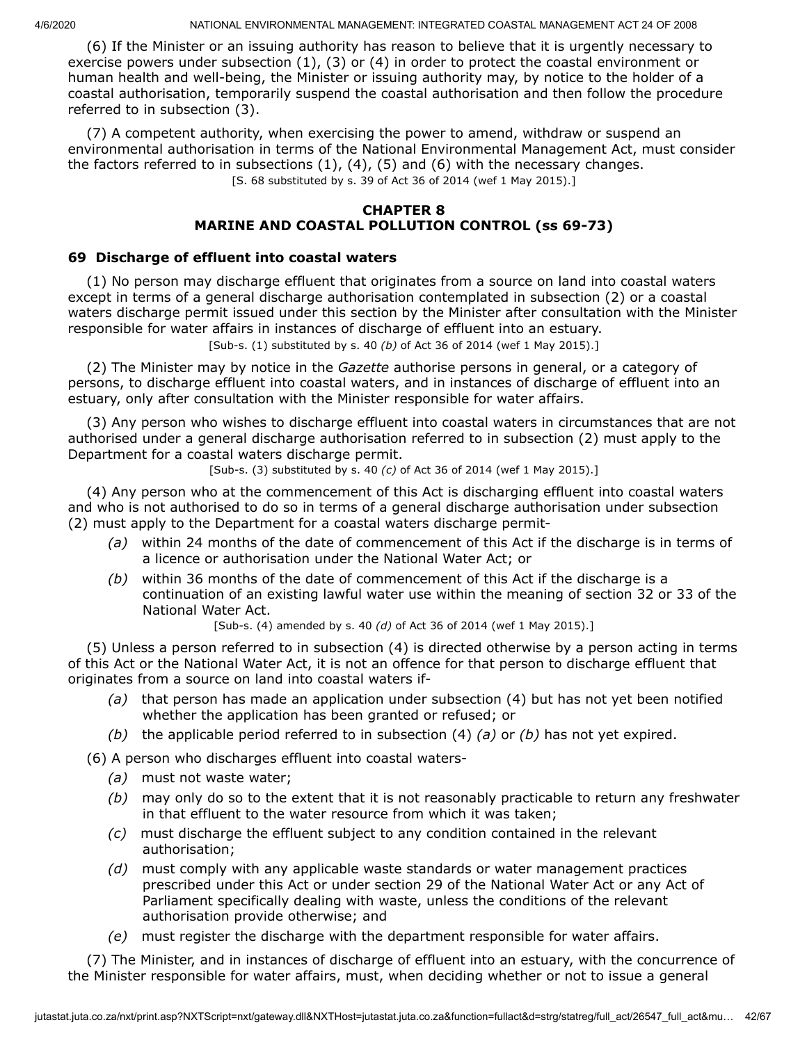(6) If the Minister or an issuing authority has reason to believe that it is urgently necessary to exercise powers under subsection (1), (3) or (4) in order to protect the coastal environment or human health and well-being, the Minister or issuing authority may, by notice to the holder of a coastal authorisation, temporarily suspend the coastal authorisation and then follow the procedure referred to in subsection (3).

(7) A competent authority, when exercising the power to amend, withdraw or suspend an environmental authorisation in terms of the National Environmental Management Act, must consider the factors referred to in subsections  $(1)$ ,  $(4)$ ,  $(5)$  and  $(6)$  with the necessary changes. [S. 68 substituted by s. 39 of Act 36 of 2014 (wef 1 May 2015).]

### **CHAPTER 8 MARINE AND COASTAL POLLUTION CONTROL (ss 69-73)**

### **69 Discharge of effluent into coastal waters**

(1) No person may discharge effluent that originates from a source on land into coastal waters except in terms of a general discharge authorisation contemplated in subsection (2) or a coastal waters discharge permit issued under this section by the Minister after consultation with the Minister responsible for water affairs in instances of discharge of effluent into an estuary.

[Sub-s. (1) substituted by s. 40 *(b)* of Act 36 of 2014 (wef 1 May 2015).]

(2) The Minister may by notice in the *Gazette* authorise persons in general, or a category of persons, to discharge effluent into coastal waters, and in instances of discharge of effluent into an estuary, only after consultation with the Minister responsible for water affairs.

(3) Any person who wishes to discharge effluent into coastal waters in circumstances that are not authorised under a general discharge authorisation referred to in subsection (2) must apply to the Department for a coastal waters discharge permit.

[Sub-s. (3) substituted by s. 40 *(c)* of Act 36 of 2014 (wef 1 May 2015).]

(4) Any person who at the commencement of this Act is discharging effluent into coastal waters and who is not authorised to do so in terms of a general discharge authorisation under subsection (2) must apply to the Department for a coastal waters discharge permit-

- *(a)* within 24 months of the date of commencement of this Act if the discharge is in terms of a licence or authorisation under the National Water Act; or
- *(b)* within 36 months of the date of commencement of this Act if the discharge is a continuation of an existing lawful water use within the meaning of section 32 or 33 of the National Water Act.

[Sub-s. (4) amended by s. 40 *(d)* of Act 36 of 2014 (wef 1 May 2015).]

(5) Unless a person referred to in subsection (4) is directed otherwise by a person acting in terms of this Act or the National Water Act, it is not an offence for that person to discharge effluent that originates from a source on land into coastal waters if-

- *(a)* that person has made an application under subsection (4) but has not yet been notified whether the application has been granted or refused; or
- *(b)* the applicable period referred to in subsection (4) *(a)* or *(b)* has not yet expired.

(6) A person who discharges effluent into coastal waters-

- *(a)* must not waste water;
- *(b)* may only do so to the extent that it is not reasonably practicable to return any freshwater in that effluent to the water resource from which it was taken;
- *(c)* must discharge the effluent subject to any condition contained in the relevant authorisation;
- *(d)* must comply with any applicable waste standards or water management practices prescribed under this Act or under section 29 of the National Water Act or any Act of Parliament specifically dealing with waste, unless the conditions of the relevant authorisation provide otherwise; and
- *(e)* must register the discharge with the department responsible for water affairs.

(7) The Minister, and in instances of discharge of effluent into an estuary, with the concurrence of the Minister responsible for water affairs, must, when deciding whether or not to issue a general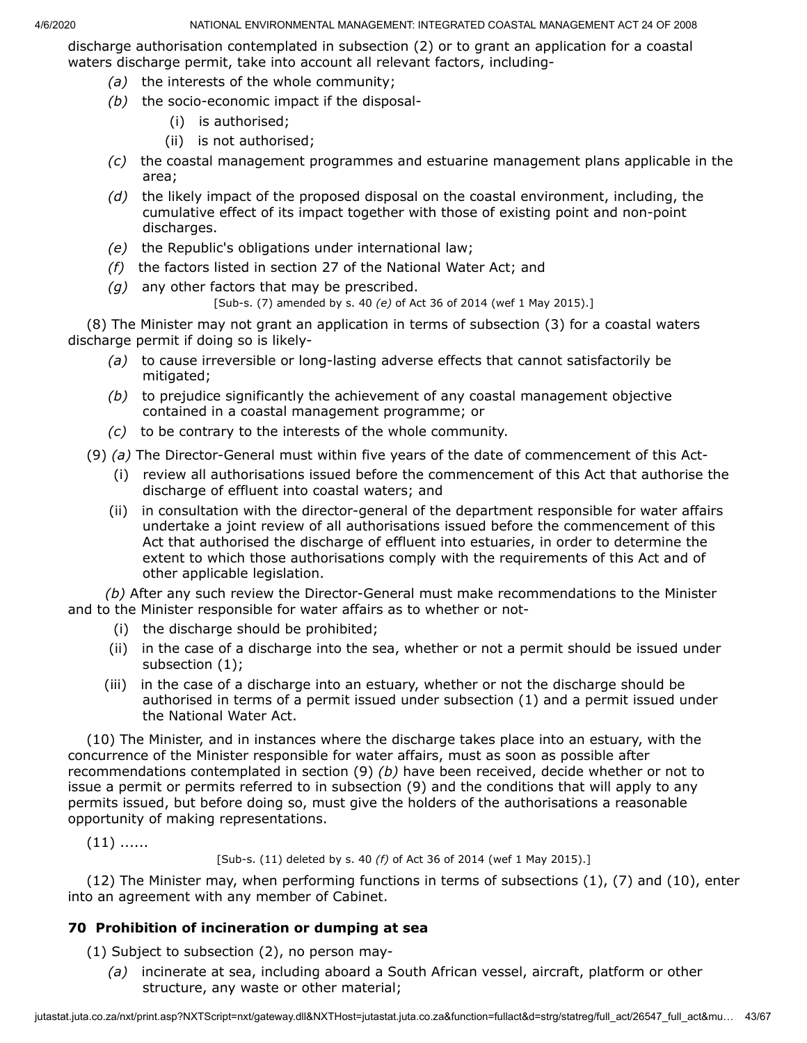discharge authorisation contemplated in subsection (2) or to grant an application for a coastal waters discharge permit, take into account all relevant factors, including-

- *(a)* the interests of the whole community;
- *(b)* the socio-economic impact if the disposal-
	- (i) is authorised;
	- (ii) is not authorised;
- *(c)* the coastal management programmes and estuarine management plans applicable in the area;
- *(d)* the likely impact of the proposed disposal on the coastal environment, including, the cumulative effect of its impact together with those of existing point and non-point discharges.
- *(e)* the Republic's obligations under international law;
- *(f)* the factors listed in section 27 of the National Water Act; and
- *(g)* any other factors that may be prescribed.
	- [Sub-s. (7) amended by s. 40 *(e)* of Act 36 of 2014 (wef 1 May 2015).]

(8) The Minister may not grant an application in terms of subsection (3) for a coastal waters discharge permit if doing so is likely-

- *(a)* to cause irreversible or long-lasting adverse effects that cannot satisfactorily be mitigated;
- *(b)* to prejudice significantly the achievement of any coastal management objective contained in a coastal management programme; or
- *(c)* to be contrary to the interests of the whole community.
- (9) *(a)* The Director-General must within five years of the date of commencement of this Act-
	- (i) review all authorisations issued before the commencement of this Act that authorise the discharge of effluent into coastal waters; and
	- (ii) in consultation with the director-general of the department responsible for water affairs undertake a joint review of all authorisations issued before the commencement of this Act that authorised the discharge of effluent into estuaries, in order to determine the extent to which those authorisations comply with the requirements of this Act and of other applicable legislation.

*(b)* After any such review the Director-General must make recommendations to the Minister and to the Minister responsible for water affairs as to whether or not-

- (i) the discharge should be prohibited;
- (ii) in the case of a discharge into the sea, whether or not a permit should be issued under subsection (1);
- (iii) in the case of a discharge into an estuary, whether or not the discharge should be authorised in terms of a permit issued under subsection (1) and a permit issued under the National Water Act.

(10) The Minister, and in instances where the discharge takes place into an estuary, with the concurrence of the Minister responsible for water affairs, must as soon as possible after recommendations contemplated in section (9) *(b)* have been received, decide whether or not to issue a permit or permits referred to in subsection (9) and the conditions that will apply to any permits issued, but before doing so, must give the holders of the authorisations a reasonable opportunity of making representations.

 $(11)$  ......

[Sub-s. (11) deleted by s. 40 *(f)* of Act 36 of 2014 (wef 1 May 2015).]

(12) The Minister may, when performing functions in terms of subsections (1), (7) and (10), enter into an agreement with any member of Cabinet.

# **70 Prohibition of incineration or dumping at sea**

- (1) Subject to subsection (2), no person may-
	- *(a)* incinerate at sea, including aboard a South African vessel, aircraft, platform or other structure, any waste or other material;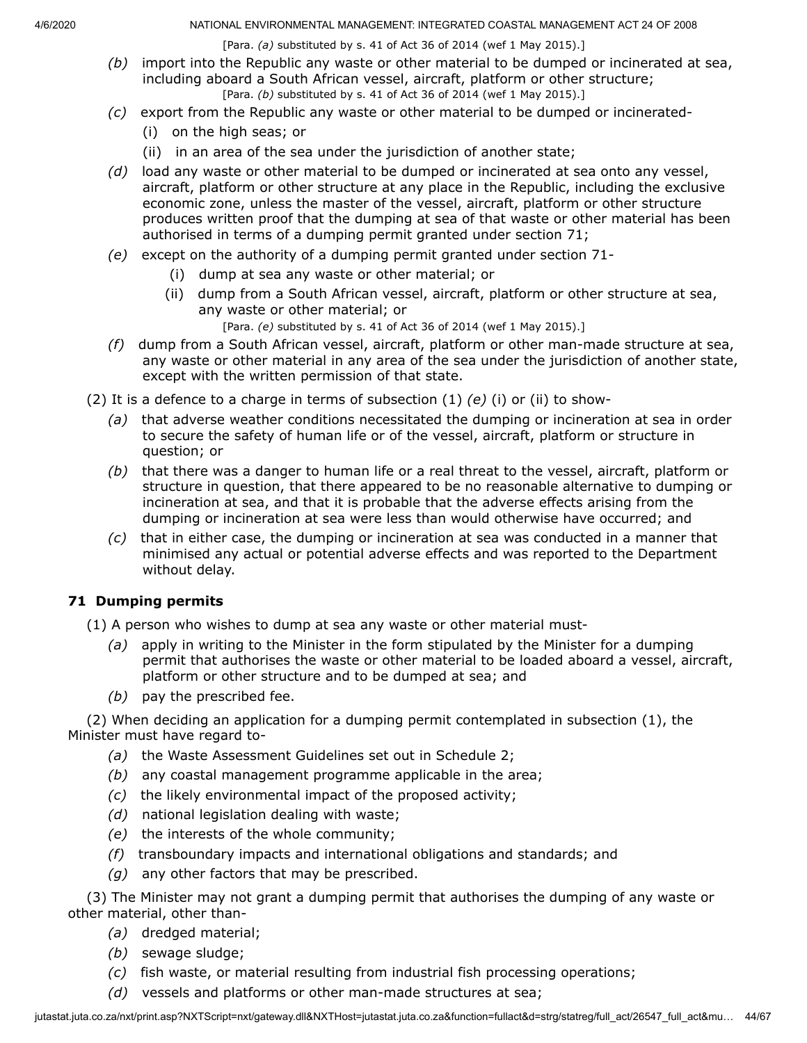[Para. *(a)* substituted by s. 41 of Act 36 of 2014 (wef 1 May 2015).]

- *(b)* import into the Republic any waste or other material to be dumped or incinerated at sea, including aboard a South African vessel, aircraft, platform or other structure; [Para. *(b)* substituted by s. 41 of Act 36 of 2014 (wef 1 May 2015).]
- *(c)* export from the Republic any waste or other material to be dumped or incinerated-
	- (i) on the high seas; or
	- (ii) in an area of the sea under the jurisdiction of another state;
- *(d)* load any waste or other material to be dumped or incinerated at sea onto any vessel, aircraft, platform or other structure at any place in the Republic, including the exclusive economic zone, unless the master of the vessel, aircraft, platform or other structure produces written proof that the dumping at sea of that waste or other material has been authorised in terms of a dumping permit granted under section 71;
- *(e)* except on the authority of a dumping permit granted under section 71-
	- (i) dump at sea any waste or other material; or
	- (ii) dump from a South African vessel, aircraft, platform or other structure at sea, any waste or other material; or
		- [Para. *(e)* substituted by s. 41 of Act 36 of 2014 (wef 1 May 2015).]
- *(f)* dump from a South African vessel, aircraft, platform or other man-made structure at sea, any waste or other material in any area of the sea under the jurisdiction of another state, except with the written permission of that state.
- (2) It is a defence to a charge in terms of subsection (1) *(e)* (i) or (ii) to show-
	- *(a)* that adverse weather conditions necessitated the dumping or incineration at sea in order to secure the safety of human life or of the vessel, aircraft, platform or structure in question; or
	- *(b)* that there was a danger to human life or a real threat to the vessel, aircraft, platform or structure in question, that there appeared to be no reasonable alternative to dumping or incineration at sea, and that it is probable that the adverse effects arising from the dumping or incineration at sea were less than would otherwise have occurred; and
	- *(c)* that in either case, the dumping or incineration at sea was conducted in a manner that minimised any actual or potential adverse effects and was reported to the Department without delay.

## **71 Dumping permits**

(1) A person who wishes to dump at sea any waste or other material must-

- *(a)* apply in writing to the Minister in the form stipulated by the Minister for a dumping permit that authorises the waste or other material to be loaded aboard a vessel, aircraft, platform or other structure and to be dumped at sea; and
- *(b)* pay the prescribed fee.

(2) When deciding an application for a dumping permit contemplated in subsection (1), the Minister must have regard to-

- *(a)* the Waste Assessment Guidelines set out in Schedule 2;
- *(b)* any coastal management programme applicable in the area;
- *(c)* the likely environmental impact of the proposed activity;
- *(d)* national legislation dealing with waste;
- *(e)* the interests of the whole community;
- *(f)* transboundary impacts and international obligations and standards; and
- *(g)* any other factors that may be prescribed.

(3) The Minister may not grant a dumping permit that authorises the dumping of any waste or other material, other than-

- *(a)* dredged material;
- *(b)* sewage sludge;
- *(c)* fish waste, or material resulting from industrial fish processing operations;
- *(d)* vessels and platforms or other man-made structures at sea;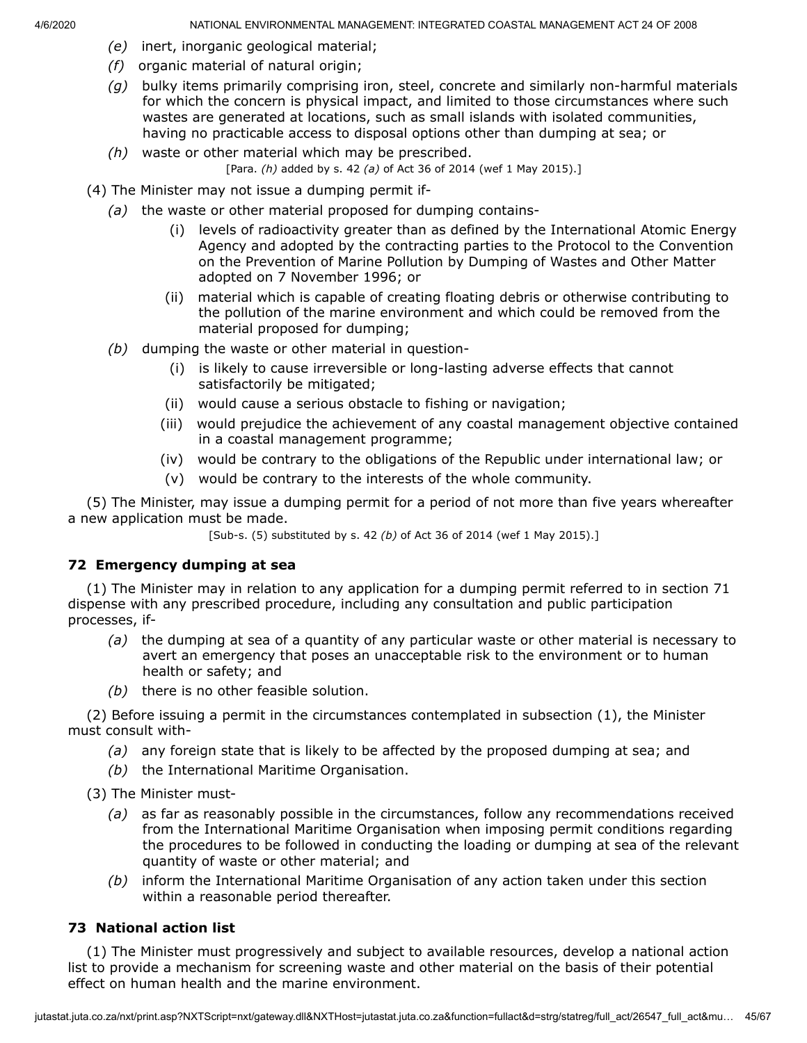- *(e)* inert, inorganic geological material;
- *(f)* organic material of natural origin;
- *(g)* bulky items primarily comprising iron, steel, concrete and similarly non-harmful materials for which the concern is physical impact, and limited to those circumstances where such wastes are generated at locations, such as small islands with isolated communities, having no practicable access to disposal options other than dumping at sea; or
- *(h)* waste or other material which may be prescribed. [Para. *(h)* added by s. 42 *(a)* of Act 36 of 2014 (wef 1 May 2015).]
- (4) The Minister may not issue a dumping permit if-
	- *(a)* the waste or other material proposed for dumping contains-
		- (i) levels of radioactivity greater than as defined by the International Atomic Energy Agency and adopted by the contracting parties to the Protocol to the Convention on the Prevention of Marine Pollution by Dumping of Wastes and Other Matter adopted on 7 November 1996; or
		- (ii) material which is capable of creating floating debris or otherwise contributing to the pollution of the marine environment and which could be removed from the material proposed for dumping;
	- *(b)* dumping the waste or other material in question-
		- (i) is likely to cause irreversible or long-lasting adverse effects that cannot satisfactorily be mitigated;
		- (ii) would cause a serious obstacle to fishing or navigation;
		- (iii) would prejudice the achievement of any coastal management objective contained in a coastal management programme;
		- (iv) would be contrary to the obligations of the Republic under international law; or
		- (v) would be contrary to the interests of the whole community.

(5) The Minister, may issue a dumping permit for a period of not more than five years whereafter a new application must be made.

[Sub-s. (5) substituted by s. 42 *(b)* of Act 36 of 2014 (wef 1 May 2015).]

## **72 Emergency dumping at sea**

(1) The Minister may in relation to any application for a dumping permit referred to in section 71 dispense with any prescribed procedure, including any consultation and public participation processes, if-

- *(a)* the dumping at sea of a quantity of any particular waste or other material is necessary to avert an emergency that poses an unacceptable risk to the environment or to human health or safety; and
- *(b)* there is no other feasible solution.

(2) Before issuing a permit in the circumstances contemplated in subsection (1), the Minister must consult with-

- *(a)* any foreign state that is likely to be affected by the proposed dumping at sea; and
- *(b)* the International Maritime Organisation.

(3) The Minister must-

- *(a)* as far as reasonably possible in the circumstances, follow any recommendations received from the International Maritime Organisation when imposing permit conditions regarding the procedures to be followed in conducting the loading or dumping at sea of the relevant quantity of waste or other material; and
- *(b)* inform the International Maritime Organisation of any action taken under this section within a reasonable period thereafter.

## **73 National action list**

(1) The Minister must progressively and subject to available resources, develop a national action list to provide a mechanism for screening waste and other material on the basis of their potential effect on human health and the marine environment.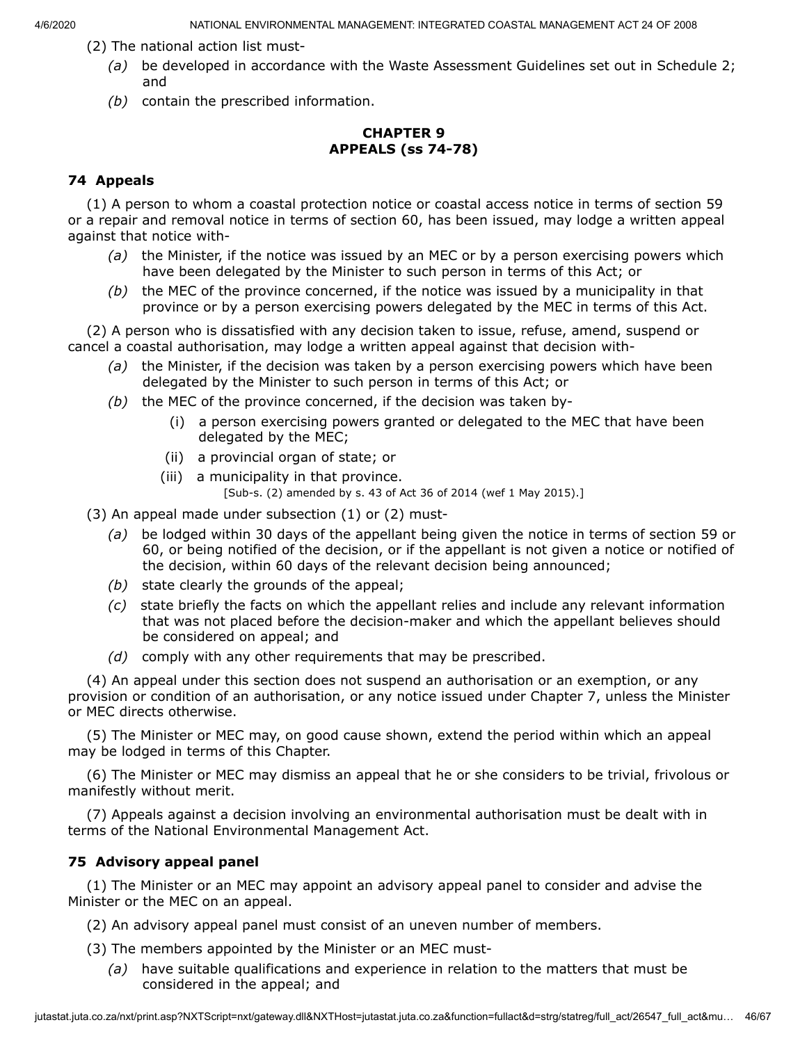- (2) The national action list must-
	- *(a)* be developed in accordance with the Waste Assessment Guidelines set out in Schedule 2; and
	- *(b)* contain the prescribed information.

## **CHAPTER 9 APPEALS (ss 74-78)**

## **74 Appeals**

(1) A person to whom a coastal protection notice or coastal access notice in terms of section 59 or a repair and removal notice in terms of section 60, has been issued, may lodge a written appeal against that notice with-

- *(a)* the Minister, if the notice was issued by an MEC or by a person exercising powers which have been delegated by the Minister to such person in terms of this Act; or
- *(b)* the MEC of the province concerned, if the notice was issued by a municipality in that province or by a person exercising powers delegated by the MEC in terms of this Act.

(2) A person who is dissatisfied with any decision taken to issue, refuse, amend, suspend or cancel a coastal authorisation, may lodge a written appeal against that decision with-

- *(a)* the Minister, if the decision was taken by a person exercising powers which have been delegated by the Minister to such person in terms of this Act; or
- *(b)* the MEC of the province concerned, if the decision was taken by-
	- (i) a person exercising powers granted or delegated to the MEC that have been delegated by the MEC;
	- (ii) a provincial organ of state; or
	- (iii) a municipality in that province. [Sub-s. (2) amended by s. 43 of Act 36 of 2014 (wef 1 May 2015).]
- (3) An appeal made under subsection (1) or (2) must-
	- *(a)* be lodged within 30 days of the appellant being given the notice in terms of section 59 or 60, or being notified of the decision, or if the appellant is not given a notice or notified of the decision, within 60 days of the relevant decision being announced;
	- *(b)* state clearly the grounds of the appeal;
	- *(c)* state briefly the facts on which the appellant relies and include any relevant information that was not placed before the decision-maker and which the appellant believes should be considered on appeal; and
	- *(d)* comply with any other requirements that may be prescribed.

(4) An appeal under this section does not suspend an authorisation or an exemption, or any provision or condition of an authorisation, or any notice issued under Chapter 7, unless the Minister or MEC directs otherwise.

(5) The Minister or MEC may, on good cause shown, extend the period within which an appeal may be lodged in terms of this Chapter.

(6) The Minister or MEC may dismiss an appeal that he or she considers to be trivial, frivolous or manifestly without merit.

(7) Appeals against a decision involving an environmental authorisation must be dealt with in terms of the National Environmental Management Act.

# **75 Advisory appeal panel**

(1) The Minister or an MEC may appoint an advisory appeal panel to consider and advise the Minister or the MEC on an appeal.

(2) An advisory appeal panel must consist of an uneven number of members.

- (3) The members appointed by the Minister or an MEC must-
	- *(a)* have suitable qualifications and experience in relation to the matters that must be considered in the appeal; and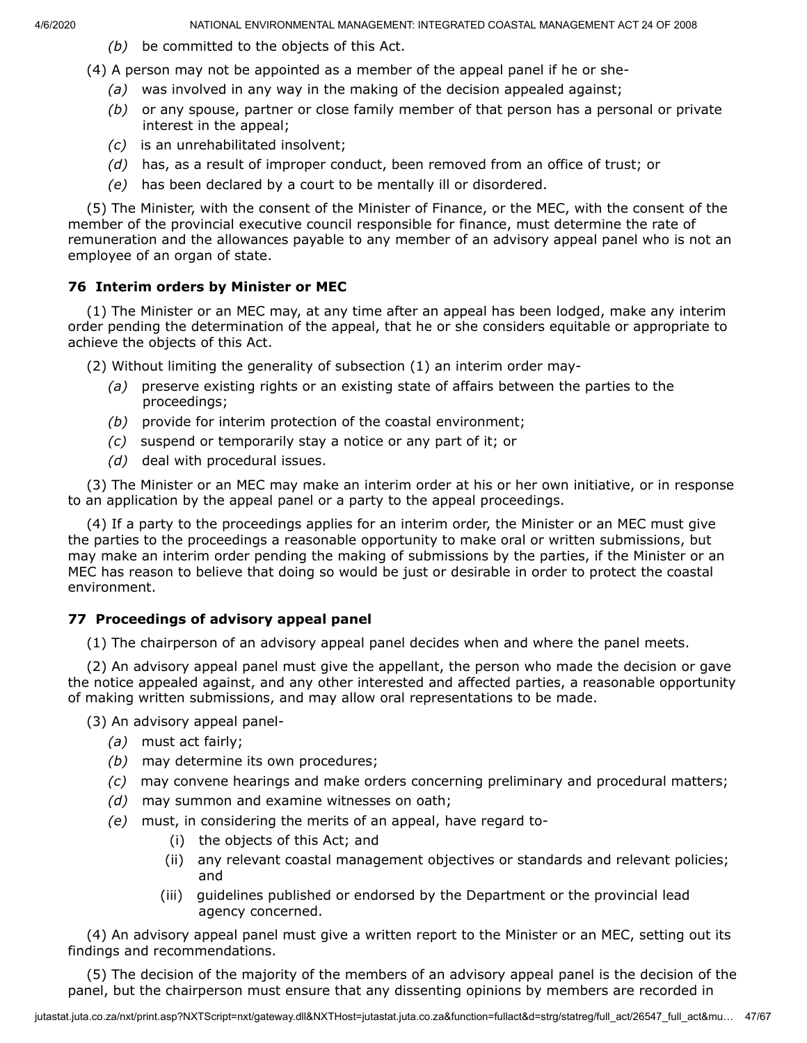- *(b)* be committed to the objects of this Act.
- (4) A person may not be appointed as a member of the appeal panel if he or she-
	- *(a)* was involved in any way in the making of the decision appealed against;
	- *(b)* or any spouse, partner or close family member of that person has a personal or private interest in the appeal;
	- *(c)* is an unrehabilitated insolvent;
	- *(d)* has, as a result of improper conduct, been removed from an office of trust; or
	- *(e)* has been declared by a court to be mentally ill or disordered.

(5) The Minister, with the consent of the Minister of Finance, or the MEC, with the consent of the member of the provincial executive council responsible for finance, must determine the rate of remuneration and the allowances payable to any member of an advisory appeal panel who is not an employee of an organ of state.

### **76 Interim orders by Minister or MEC**

(1) The Minister or an MEC may, at any time after an appeal has been lodged, make any interim order pending the determination of the appeal, that he or she considers equitable or appropriate to achieve the objects of this Act.

(2) Without limiting the generality of subsection (1) an interim order may-

- *(a)* preserve existing rights or an existing state of affairs between the parties to the proceedings;
- *(b)* provide for interim protection of the coastal environment;
- *(c)* suspend or temporarily stay a notice or any part of it; or
- *(d)* deal with procedural issues.

(3) The Minister or an MEC may make an interim order at his or her own initiative, or in response to an application by the appeal panel or a party to the appeal proceedings.

(4) If a party to the proceedings applies for an interim order, the Minister or an MEC must give the parties to the proceedings a reasonable opportunity to make oral or written submissions, but may make an interim order pending the making of submissions by the parties, if the Minister or an MEC has reason to believe that doing so would be just or desirable in order to protect the coastal environment.

### **77 Proceedings of advisory appeal panel**

(1) The chairperson of an advisory appeal panel decides when and where the panel meets.

(2) An advisory appeal panel must give the appellant, the person who made the decision or gave the notice appealed against, and any other interested and affected parties, a reasonable opportunity of making written submissions, and may allow oral representations to be made.

(3) An advisory appeal panel-

- *(a)* must act fairly;
- *(b)* may determine its own procedures;
- *(c)* may convene hearings and make orders concerning preliminary and procedural matters;
- *(d)* may summon and examine witnesses on oath;
- *(e)* must, in considering the merits of an appeal, have regard to-
	- (i) the objects of this Act; and
	- (ii) any relevant coastal management objectives or standards and relevant policies; and
	- (iii) guidelines published or endorsed by the Department or the provincial lead agency concerned.

(4) An advisory appeal panel must give a written report to the Minister or an MEC, setting out its findings and recommendations.

(5) The decision of the majority of the members of an advisory appeal panel is the decision of the panel, but the chairperson must ensure that any dissenting opinions by members are recorded in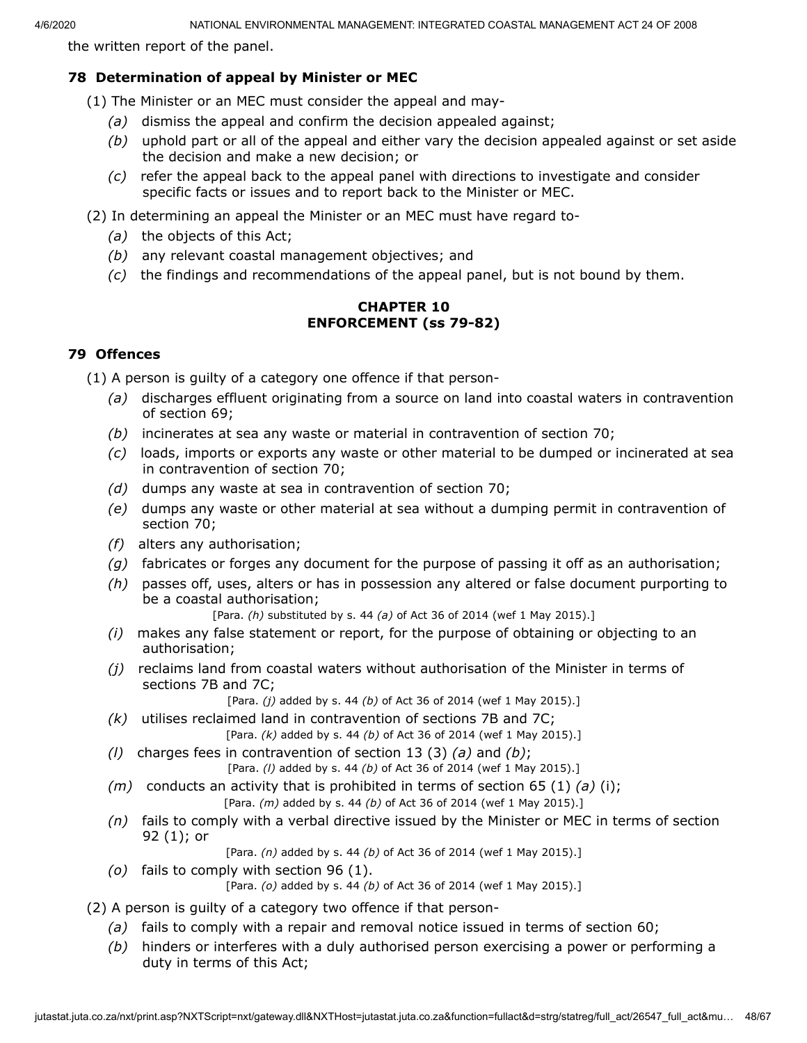the written report of the panel.

## **78 Determination of appeal by Minister or MEC**

(1) The Minister or an MEC must consider the appeal and may-

- *(a)* dismiss the appeal and confirm the decision appealed against;
- *(b)* uphold part or all of the appeal and either vary the decision appealed against or set aside the decision and make a new decision; or
- *(c)* refer the appeal back to the appeal panel with directions to investigate and consider specific facts or issues and to report back to the Minister or MEC.
- (2) In determining an appeal the Minister or an MEC must have regard to-
	- *(a)* the objects of this Act;
	- *(b)* any relevant coastal management objectives; and
	- *(c)* the findings and recommendations of the appeal panel, but is not bound by them.

### **CHAPTER 10 ENFORCEMENT (ss 79-82)**

## **79 Offences**

(1) A person is guilty of a category one offence if that person-

- *(a)* discharges effluent originating from a source on land into coastal waters in contravention of section 69;
- *(b)* incinerates at sea any waste or material in contravention of section 70;
- *(c)* loads, imports or exports any waste or other material to be dumped or incinerated at sea in contravention of section 70;
- *(d)* dumps any waste at sea in contravention of section 70;
- *(e)* dumps any waste or other material at sea without a dumping permit in contravention of section 70;
- *(f)* alters any authorisation;
- *(g)* fabricates or forges any document for the purpose of passing it off as an authorisation;
- *(h)* passes off, uses, alters or has in possession any altered or false document purporting to be a coastal authorisation;

[Para. *(h)* substituted by s. 44 *(a)* of Act 36 of 2014 (wef 1 May 2015).]

- *(i)* makes any false statement or report, for the purpose of obtaining or objecting to an authorisation;
- *(j)* reclaims land from coastal waters without authorisation of the Minister in terms of sections 7B and 7C;

[Para. *(j)* added by s. 44 *(b)* of Act 36 of 2014 (wef 1 May 2015).]

- *(k)* utilises reclaimed land in contravention of sections 7B and 7C; [Para. *(k)* added by s. 44 *(b)* of Act 36 of 2014 (wef 1 May 2015).]
- *(l)* charges fees in contravention of section 13 (3) *(a)* and *(b)*;

[Para. *(l)* added by s. 44 *(b)* of Act 36 of 2014 (wef 1 May 2015).]

- *(m)* conducts an activity that is prohibited in terms of section 65 (1) *(a)* (i); [Para. *(m)* added by s. 44 *(b)* of Act 36 of 2014 (wef 1 May 2015).]
- *(n)* fails to comply with a verbal directive issued by the Minister or MEC in terms of section 92 (1); or

[Para. *(n)* added by s. 44 *(b)* of Act 36 of 2014 (wef 1 May 2015).]

*(o)* fails to comply with section 96 (1).

[Para. *(o)* added by s. 44 *(b)* of Act 36 of 2014 (wef 1 May 2015).]

(2) A person is guilty of a category two offence if that person-

- *(a)* fails to comply with a repair and removal notice issued in terms of section 60;
- *(b)* hinders or interferes with a duly authorised person exercising a power or performing a duty in terms of this Act;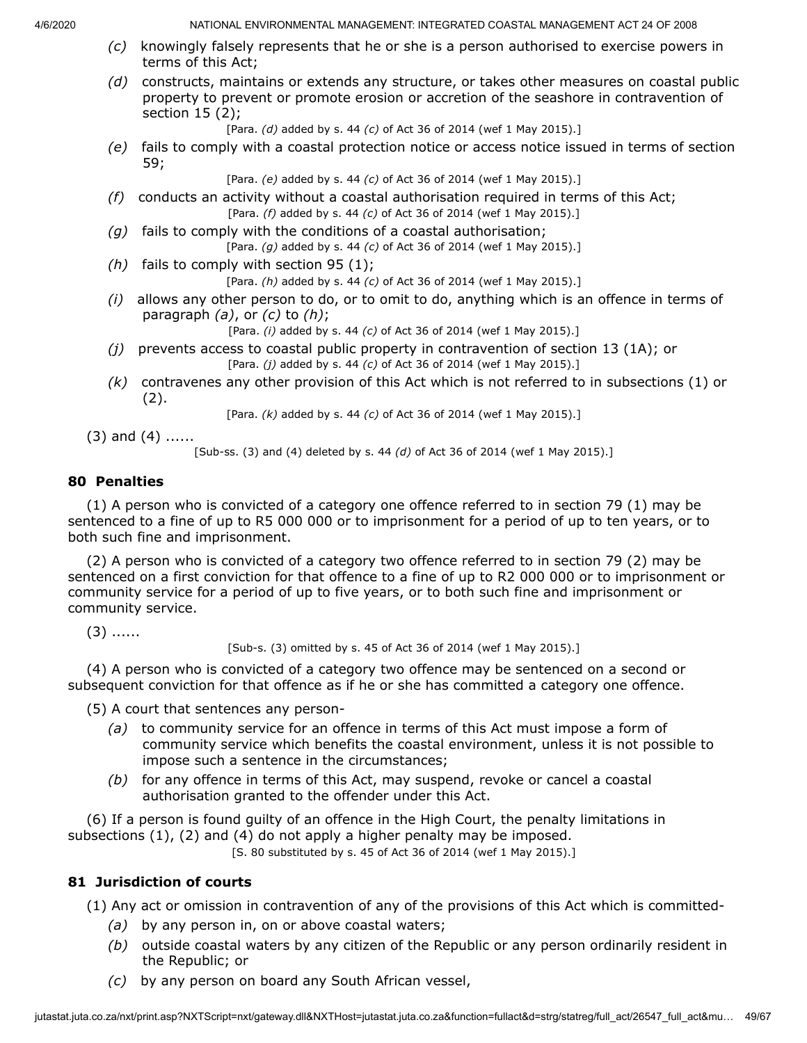- *(c)* knowingly falsely represents that he or she is a person authorised to exercise powers in terms of this Act;
- *(d)* constructs, maintains or extends any structure, or takes other measures on coastal public property to prevent or promote erosion or accretion of the seashore in contravention of section 15 (2);

[Para. *(d)* added by s. 44 *(c)* of Act 36 of 2014 (wef 1 May 2015).]

*(e)* fails to comply with a coastal protection notice or access notice issued in terms of section 59;

[Para. *(e)* added by s. 44 *(c)* of Act 36 of 2014 (wef 1 May 2015).]

- *(f)* conducts an activity without a coastal authorisation required in terms of this Act; [Para. *(f)* added by s. 44 *(c)* of Act 36 of 2014 (wef 1 May 2015).]
- *(g)* fails to comply with the conditions of a coastal authorisation; [Para. *(g)* added by s. 44 *(c)* of Act 36 of 2014 (wef 1 May 2015).]
- *(h)* fails to comply with section 95 (1);

[Para. *(h)* added by s. 44 *(c)* of Act 36 of 2014 (wef 1 May 2015).]

*(i)* allows any other person to do, or to omit to do, anything which is an offence in terms of paragraph *(a)*, or *(c)* to *(h)*;

[Para. *(i)* added by s. 44 *(c)* of Act 36 of 2014 (wef 1 May 2015).]

- *(j)* prevents access to coastal public property in contravention of section 13 (1A); or [Para. *(j)* added by s. 44 *(c)* of Act 36 of 2014 (wef 1 May 2015).]
- *(k)* contravenes any other provision of this Act which is not referred to in subsections (1) or  $(2).$

[Para. *(k)* added by s. 44 *(c)* of Act 36 of 2014 (wef 1 May 2015).]

 $(3)$  and  $(4)$  ......

[Sub-ss. (3) and (4) deleted by s. 44 *(d)* of Act 36 of 2014 (wef 1 May 2015).]

### **80 Penalties**

(1) A person who is convicted of a category one offence referred to in section 79 (1) may be sentenced to a fine of up to R5 000 000 or to imprisonment for a period of up to ten years, or to both such fine and imprisonment.

(2) A person who is convicted of a category two offence referred to in section 79 (2) may be sentenced on a first conviction for that offence to a fine of up to R2 000 000 or to imprisonment or community service for a period of up to five years, or to both such fine and imprisonment or community service.

 $(3)$  ......

[Sub-s. (3) omitted by s. 45 of Act 36 of 2014 (wef 1 May 2015).]

(4) A person who is convicted of a category two offence may be sentenced on a second or subsequent conviction for that offence as if he or she has committed a category one offence.

(5) A court that sentences any person-

- *(a)* to community service for an offence in terms of this Act must impose a form of community service which benefits the coastal environment, unless it is not possible to impose such a sentence in the circumstances;
- *(b)* for any offence in terms of this Act, may suspend, revoke or cancel a coastal authorisation granted to the offender under this Act.

(6) If a person is found guilty of an offence in the High Court, the penalty limitations in subsections (1), (2) and (4) do not apply a higher penalty may be imposed.

[S. 80 substituted by s. 45 of Act 36 of 2014 (wef 1 May 2015).]

## **81 Jurisdiction of courts**

(1) Any act or omission in contravention of any of the provisions of this Act which is committed-

- *(a)* by any person in, on or above coastal waters;
- *(b)* outside coastal waters by any citizen of the Republic or any person ordinarily resident in the Republic; or
- *(c)* by any person on board any South African vessel,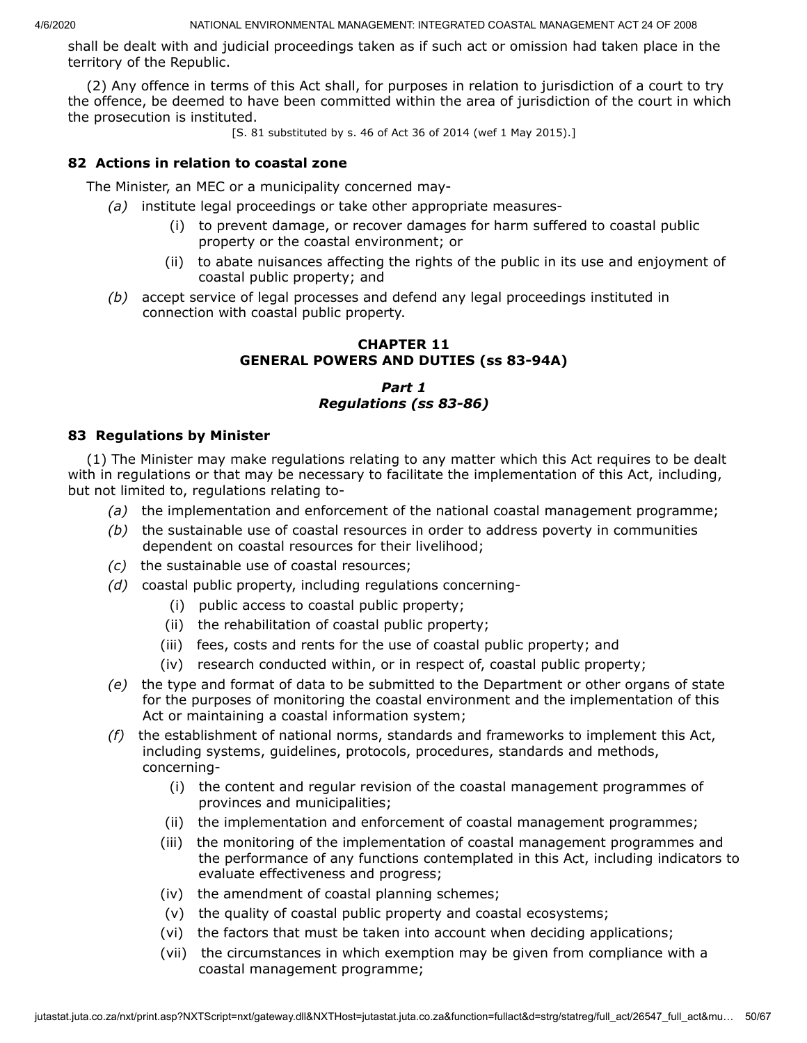shall be dealt with and judicial proceedings taken as if such act or omission had taken place in the territory of the Republic.

(2) Any offence in terms of this Act shall, for purposes in relation to jurisdiction of a court to try the offence, be deemed to have been committed within the area of jurisdiction of the court in which the prosecution is instituted.

[S. 81 substituted by s. 46 of Act 36 of 2014 (wef 1 May 2015).]

### **82 Actions in relation to coastal zone**

The Minister, an MEC or a municipality concerned may-

- *(a)* institute legal proceedings or take other appropriate measures-
	- (i) to prevent damage, or recover damages for harm suffered to coastal public property or the coastal environment; or
	- (ii) to abate nuisances affecting the rights of the public in its use and enjoyment of coastal public property; and
- *(b)* accept service of legal processes and defend any legal proceedings instituted in connection with coastal public property.

### **CHAPTER 11 GENERAL POWERS AND DUTIES (ss 83-94A)**

## *Part 1 Regulations (ss 83-86)*

### **83 Regulations by Minister**

(1) The Minister may make regulations relating to any matter which this Act requires to be dealt with in regulations or that may be necessary to facilitate the implementation of this Act, including, but not limited to, regulations relating to-

- *(a)* the implementation and enforcement of the national coastal management programme;
- *(b)* the sustainable use of coastal resources in order to address poverty in communities dependent on coastal resources for their livelihood;
- *(c)* the sustainable use of coastal resources;
- *(d)* coastal public property, including regulations concerning-
	- (i) public access to coastal public property;
	- (ii) the rehabilitation of coastal public property;
	- (iii) fees, costs and rents for the use of coastal public property; and
	- (iv) research conducted within, or in respect of, coastal public property;
- *(e)* the type and format of data to be submitted to the Department or other organs of state for the purposes of monitoring the coastal environment and the implementation of this Act or maintaining a coastal information system;
- *(f)* the establishment of national norms, standards and frameworks to implement this Act, including systems, guidelines, protocols, procedures, standards and methods, concerning-
	- (i) the content and regular revision of the coastal management programmes of provinces and municipalities;
	- (ii) the implementation and enforcement of coastal management programmes;
	- (iii) the monitoring of the implementation of coastal management programmes and the performance of any functions contemplated in this Act, including indicators to evaluate effectiveness and progress;
	- (iv) the amendment of coastal planning schemes;
	- (v) the quality of coastal public property and coastal ecosystems;
	- (vi) the factors that must be taken into account when deciding applications;
	- (vii) the circumstances in which exemption may be given from compliance with a coastal management programme;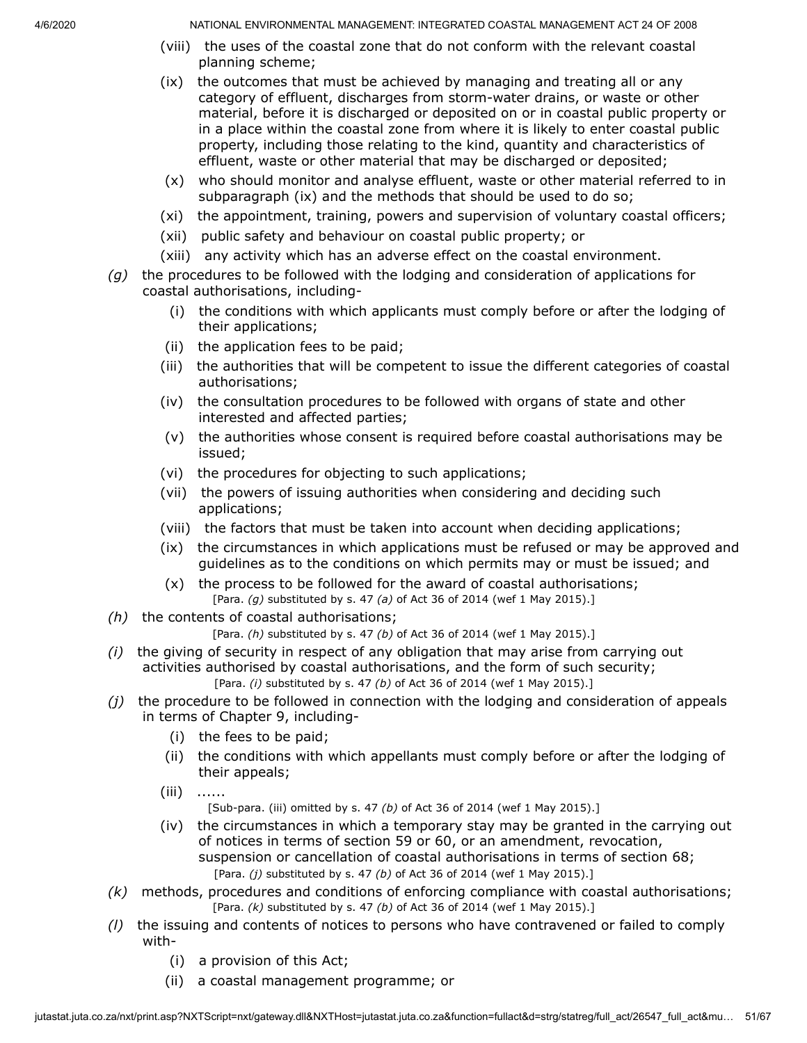- (viii) the uses of the coastal zone that do not conform with the relevant coastal planning scheme;
- (ix) the outcomes that must be achieved by managing and treating all or any category of effluent, discharges from storm-water drains, or waste or other material, before it is discharged or deposited on or in coastal public property or in a place within the coastal zone from where it is likely to enter coastal public property, including those relating to the kind, quantity and characteristics of effluent, waste or other material that may be discharged or deposited;
- (x) who should monitor and analyse effluent, waste or other material referred to in subparagraph (ix) and the methods that should be used to do so;
- (xi) the appointment, training, powers and supervision of voluntary coastal officers;
- (xii) public safety and behaviour on coastal public property; or
- (xiii) any activity which has an adverse effect on the coastal environment.
- *(g)* the procedures to be followed with the lodging and consideration of applications for coastal authorisations, including-
	- (i) the conditions with which applicants must comply before or after the lodging of their applications;
	- (ii) the application fees to be paid;
	- (iii) the authorities that will be competent to issue the different categories of coastal authorisations;
	- (iv) the consultation procedures to be followed with organs of state and other interested and affected parties;
	- (v) the authorities whose consent is required before coastal authorisations may be issued;
	- (vi) the procedures for objecting to such applications;
	- (vii) the powers of issuing authorities when considering and deciding such applications;
	- (viii) the factors that must be taken into account when deciding applications;
	- (ix) the circumstances in which applications must be refused or may be approved and guidelines as to the conditions on which permits may or must be issued; and
	- (x) the process to be followed for the award of coastal authorisations; [Para. *(g)* substituted by s. 47 *(a)* of Act 36 of 2014 (wef 1 May 2015).]
- *(h)* the contents of coastal authorisations;

[Para. *(h)* substituted by s. 47 *(b)* of Act 36 of 2014 (wef 1 May 2015).]

- *(i)* the giving of security in respect of any obligation that may arise from carrying out activities authorised by coastal authorisations, and the form of such security; [Para. *(i)* substituted by s. 47 *(b)* of Act 36 of 2014 (wef 1 May 2015).]
- *(j)* the procedure to be followed in connection with the lodging and consideration of appeals in terms of Chapter 9, including-
	- (i) the fees to be paid;
	- (ii) the conditions with which appellants must comply before or after the lodging of their appeals;
	- (iii) ......

[Sub-para. (iii) omitted by s. 47 *(b)* of Act 36 of 2014 (wef 1 May 2015).]

- (iv) the circumstances in which a temporary stay may be granted in the carrying out of notices in terms of section 59 or 60, or an amendment, revocation, suspension or cancellation of coastal authorisations in terms of section 68; [Para. *(j)* substituted by s. 47 *(b)* of Act 36 of 2014 (wef 1 May 2015).]
- *(k)* methods, procedures and conditions of enforcing compliance with coastal authorisations; [Para. *(k)* substituted by s. 47 *(b)* of Act 36 of 2014 (wef 1 May 2015).]
- *(l)* the issuing and contents of notices to persons who have contravened or failed to comply with-
	- (i) a provision of this Act;
	- (ii) a coastal management programme; or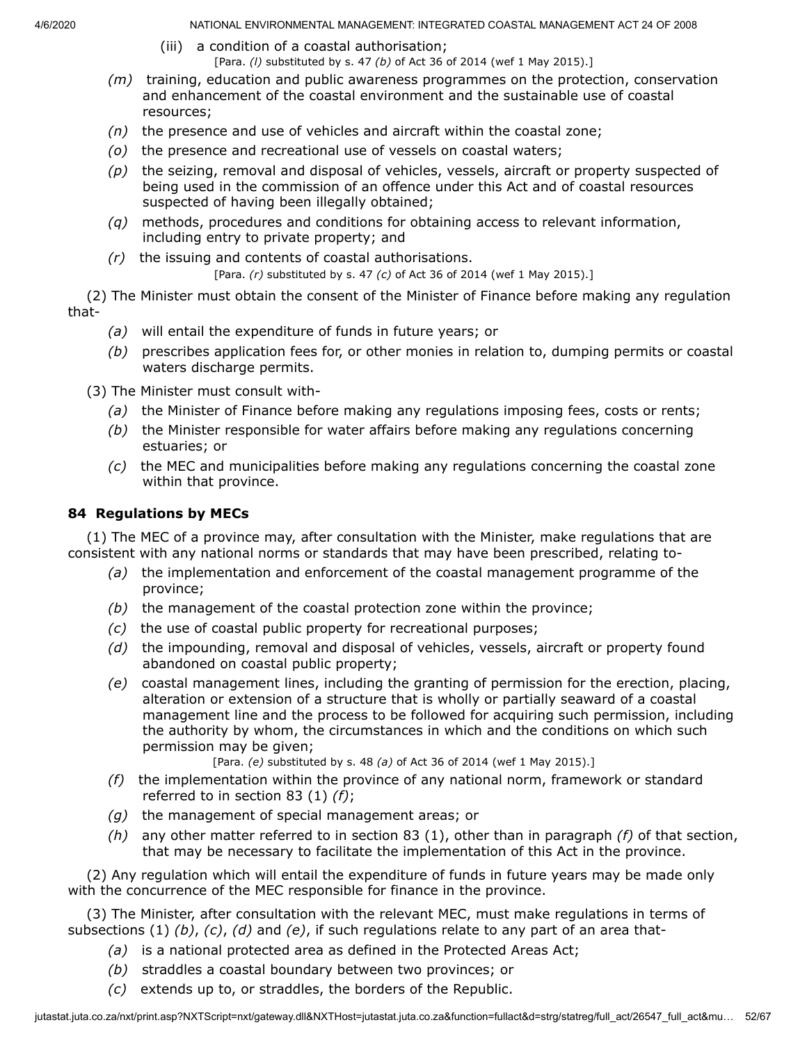- (iii) a condition of a coastal authorisation; [Para. *(l)* substituted by s. 47 *(b)* of Act 36 of 2014 (wef 1 May 2015).]
- *(m)* training, education and public awareness programmes on the protection, conservation and enhancement of the coastal environment and the sustainable use of coastal resources;
- *(n)* the presence and use of vehicles and aircraft within the coastal zone;
- *(o)* the presence and recreational use of vessels on coastal waters;
- *(p)* the seizing, removal and disposal of vehicles, vessels, aircraft or property suspected of being used in the commission of an offence under this Act and of coastal resources suspected of having been illegally obtained;
- *(q)* methods, procedures and conditions for obtaining access to relevant information, including entry to private property; and
- *(r)* the issuing and contents of coastal authorisations.

[Para. *(r)* substituted by s. 47 *(c)* of Act 36 of 2014 (wef 1 May 2015).]

(2) The Minister must obtain the consent of the Minister of Finance before making any regulation that-

- *(a)* will entail the expenditure of funds in future years; or
- *(b)* prescribes application fees for, or other monies in relation to, dumping permits or coastal waters discharge permits.

(3) The Minister must consult with-

- *(a)* the Minister of Finance before making any regulations imposing fees, costs or rents;
- *(b)* the Minister responsible for water affairs before making any regulations concerning estuaries; or
- *(c)* the MEC and municipalities before making any regulations concerning the coastal zone within that province.

# **84 Regulations by MECs**

(1) The MEC of a province may, after consultation with the Minister, make regulations that are consistent with any national norms or standards that may have been prescribed, relating to-

- *(a)* the implementation and enforcement of the coastal management programme of the province;
- *(b)* the management of the coastal protection zone within the province;
- *(c)* the use of coastal public property for recreational purposes;
- *(d)* the impounding, removal and disposal of vehicles, vessels, aircraft or property found abandoned on coastal public property;
- *(e)* coastal management lines, including the granting of permission for the erection, placing, alteration or extension of a structure that is wholly or partially seaward of a coastal management line and the process to be followed for acquiring such permission, including the authority by whom, the circumstances in which and the conditions on which such permission may be given;

[Para. *(e)* substituted by s. 48 *(a)* of Act 36 of 2014 (wef 1 May 2015).]

- *(f)* the implementation within the province of any national norm, framework or standard referred to in section 83 (1) *(f)*;
- *(g)* the management of special management areas; or
- *(h)* any other matter referred to in section 83 (1), other than in paragraph *(f)* of that section, that may be necessary to facilitate the implementation of this Act in the province.

(2) Any regulation which will entail the expenditure of funds in future years may be made only with the concurrence of the MEC responsible for finance in the province.

(3) The Minister, after consultation with the relevant MEC, must make regulations in terms of subsections (1) *(b)*, *(c)*, *(d)* and *(e)*, if such regulations relate to any part of an area that-

- *(a)* is a national protected area as defined in the Protected Areas Act;
- *(b)* straddles a coastal boundary between two provinces; or
- *(c)* extends up to, or straddles, the borders of the Republic.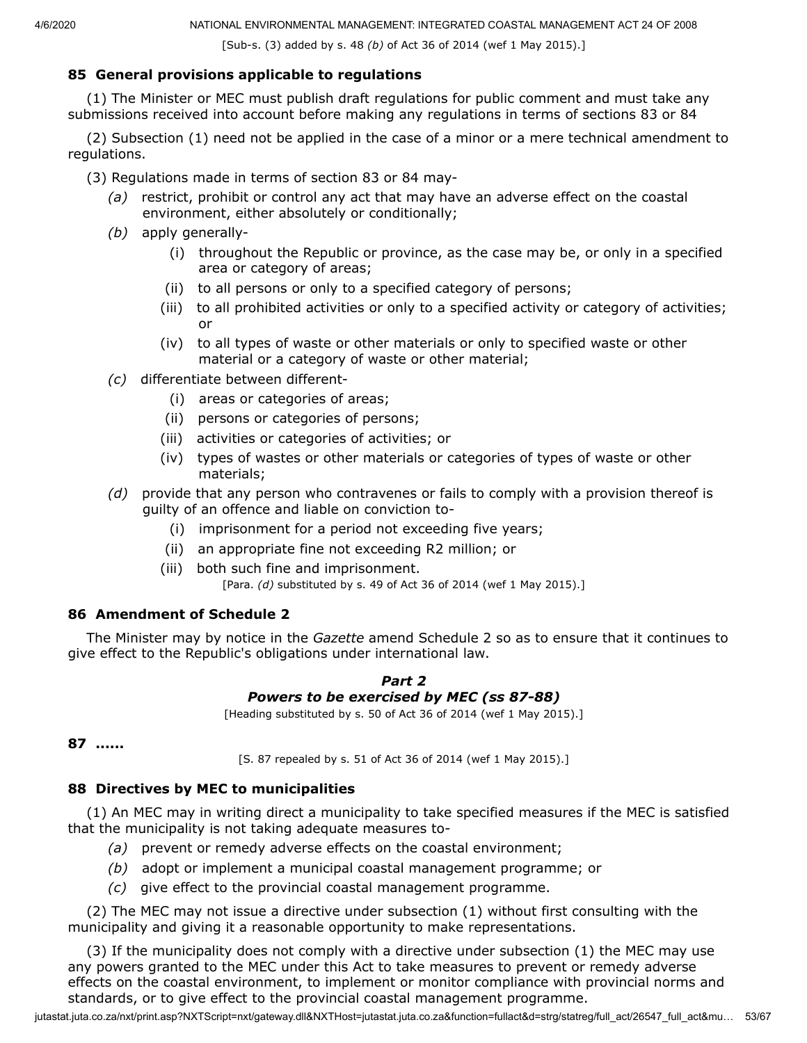[Sub-s. (3) added by s. 48 *(b)* of Act 36 of 2014 (wef 1 May 2015).]

## **85 General provisions applicable to regulations**

(1) The Minister or MEC must publish draft regulations for public comment and must take any submissions received into account before making any regulations in terms of sections 83 or 84

(2) Subsection (1) need not be applied in the case of a minor or a mere technical amendment to regulations.

- (3) Regulations made in terms of section 83 or 84 may-
	- *(a)* restrict, prohibit or control any act that may have an adverse effect on the coastal environment, either absolutely or conditionally;
	- *(b)* apply generally-
		- (i) throughout the Republic or province, as the case may be, or only in a specified area or category of areas;
		- (ii) to all persons or only to a specified category of persons;
		- (iii) to all prohibited activities or only to a specified activity or category of activities; or
		- (iv) to all types of waste or other materials or only to specified waste or other material or a category of waste or other material;
	- *(c)* differentiate between different-
		- (i) areas or categories of areas;
		- (ii) persons or categories of persons;
		- (iii) activities or categories of activities; or
		- (iv) types of wastes or other materials or categories of types of waste or other materials;
	- *(d)* provide that any person who contravenes or fails to comply with a provision thereof is guilty of an offence and liable on conviction to-
		- (i) imprisonment for a period not exceeding five years;
		- (ii) an appropriate fine not exceeding R2 million; or
		- (iii) both such fine and imprisonment. [Para. *(d)* substituted by s. 49 of Act 36 of 2014 (wef 1 May 2015).]

## **86 Amendment of Schedule 2**

The Minister may by notice in the *Gazette* amend Schedule 2 so as to ensure that it continues to give effect to the Republic's obligations under international law.

#### *Part 2 Powers to be exercised by MEC (ss 87-88)*

[Heading substituted by s. 50 of Act 36 of 2014 (wef 1 May 2015).]

```
87 ......
```
[S. 87 repealed by s. 51 of Act 36 of 2014 (wef 1 May 2015).]

## **88 Directives by MEC to municipalities**

(1) An MEC may in writing direct a municipality to take specified measures if the MEC is satisfied that the municipality is not taking adequate measures to-

- *(a)* prevent or remedy adverse effects on the coastal environment;
- *(b)* adopt or implement a municipal coastal management programme; or
- *(c)* give effect to the provincial coastal management programme.

(2) The MEC may not issue a directive under subsection (1) without first consulting with the municipality and giving it a reasonable opportunity to make representations.

(3) If the municipality does not comply with a directive under subsection (1) the MEC may use any powers granted to the MEC under this Act to take measures to prevent or remedy adverse effects on the coastal environment, to implement or monitor compliance with provincial norms and standards, or to give effect to the provincial coastal management programme.

jutastat.juta.co.za/nxt/print.asp?NXTScript=nxt/gateway.dll&NXTHost=jutastat.juta.co.za&function=fullact&d=strg/statreg/full\_act/26547\_full\_act&mu… 53/67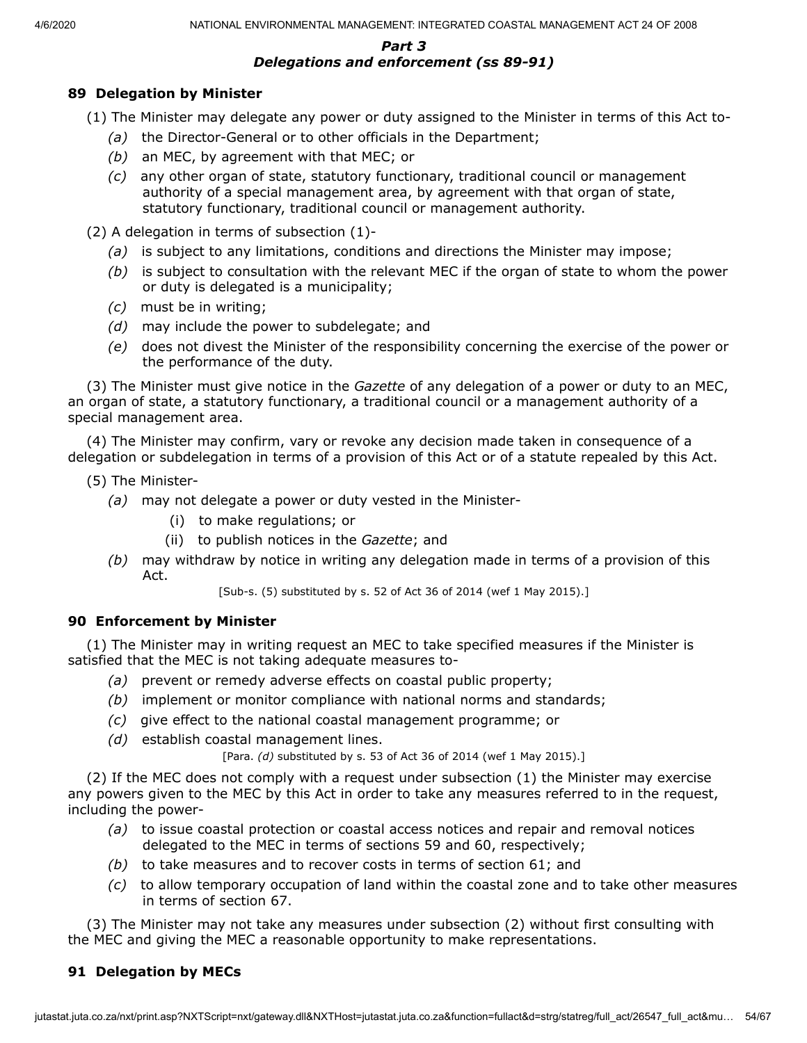#### *Part 3 Delegations and enforcement (ss 89-91)*

### **89 Delegation by Minister**

- (1) The Minister may delegate any power or duty assigned to the Minister in terms of this Act to-
	- *(a)* the Director-General or to other officials in the Department;
	- *(b)* an MEC, by agreement with that MEC; or
	- *(c)* any other organ of state, statutory functionary, traditional council or management authority of a special management area, by agreement with that organ of state, statutory functionary, traditional council or management authority.

(2) A delegation in terms of subsection (1)-

- *(a)* is subject to any limitations, conditions and directions the Minister may impose;
- *(b)* is subject to consultation with the relevant MEC if the organ of state to whom the power or duty is delegated is a municipality;
- *(c)* must be in writing;
- *(d)* may include the power to subdelegate; and
- *(e)* does not divest the Minister of the responsibility concerning the exercise of the power or the performance of the duty.

(3) The Minister must give notice in the *Gazette* of any delegation of a power or duty to an MEC, an organ of state, a statutory functionary, a traditional council or a management authority of a special management area.

(4) The Minister may confirm, vary or revoke any decision made taken in consequence of a delegation or subdelegation in terms of a provision of this Act or of a statute repealed by this Act.

- (5) The Minister-
	- *(a)* may not delegate a power or duty vested in the Minister-
		- (i) to make regulations; or
		- (ii) to publish notices in the *Gazette*; and
	- *(b)* may withdraw by notice in writing any delegation made in terms of a provision of this Act.

[Sub-s. (5) substituted by s. 52 of Act 36 of 2014 (wef 1 May 2015).]

#### **90 Enforcement by Minister**

(1) The Minister may in writing request an MEC to take specified measures if the Minister is satisfied that the MEC is not taking adequate measures to-

- *(a)* prevent or remedy adverse effects on coastal public property;
- *(b)* implement or monitor compliance with national norms and standards;
- *(c)* give effect to the national coastal management programme; or
- *(d)* establish coastal management lines.

[Para. *(d)* substituted by s. 53 of Act 36 of 2014 (wef 1 May 2015).]

(2) If the MEC does not comply with a request under subsection (1) the Minister may exercise any powers given to the MEC by this Act in order to take any measures referred to in the request, including the power-

- *(a)* to issue coastal protection or coastal access notices and repair and removal notices delegated to the MEC in terms of sections 59 and 60, respectively;
- *(b)* to take measures and to recover costs in terms of section 61; and
- *(c)* to allow temporary occupation of land within the coastal zone and to take other measures in terms of section 67.

(3) The Minister may not take any measures under subsection (2) without first consulting with the MEC and giving the MEC a reasonable opportunity to make representations.

### **91 Delegation by MECs**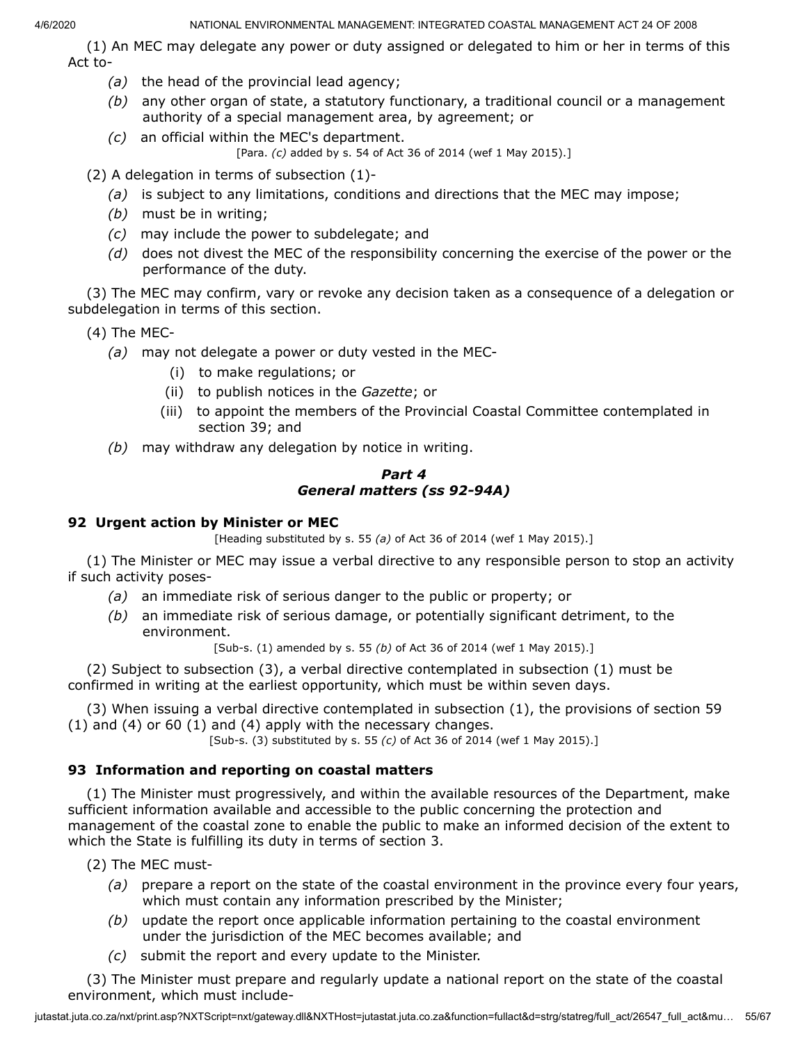(1) An MEC may delegate any power or duty assigned or delegated to him or her in terms of this Act to-

- *(a)* the head of the provincial lead agency;
- *(b)* any other organ of state, a statutory functionary, a traditional council or a management authority of a special management area, by agreement; or
- *(c)* an official within the MEC's department. [Para. *(c)* added by s. 54 of Act 36 of 2014 (wef 1 May 2015).]

(2) A delegation in terms of subsection (1)-

- *(a)* is subject to any limitations, conditions and directions that the MEC may impose;
- *(b)* must be in writing;
- *(c)* may include the power to subdelegate; and
- *(d)* does not divest the MEC of the responsibility concerning the exercise of the power or the performance of the duty.

(3) The MEC may confirm, vary or revoke any decision taken as a consequence of a delegation or subdelegation in terms of this section.

- (4) The MEC-
	- *(a)* may not delegate a power or duty vested in the MEC-
		- (i) to make regulations; or
		- (ii) to publish notices in the *Gazette*; or
		- (iii) to appoint the members of the Provincial Coastal Committee contemplated in section 39; and
	- *(b)* may withdraw any delegation by notice in writing.

### *Part 4 General matters (ss 92-94A)*

### **92 Urgent action by Minister or MEC**

[Heading substituted by s. 55 *(a)* of Act 36 of 2014 (wef 1 May 2015).]

(1) The Minister or MEC may issue a verbal directive to any responsible person to stop an activity if such activity poses-

- *(a)* an immediate risk of serious danger to the public or property; or
- *(b)* an immediate risk of serious damage, or potentially significant detriment, to the environment.

[Sub-s. (1) amended by s. 55 *(b)* of Act 36 of 2014 (wef 1 May 2015).]

(2) Subject to subsection (3), a verbal directive contemplated in subsection (1) must be confirmed in writing at the earliest opportunity, which must be within seven days.

(3) When issuing a verbal directive contemplated in subsection (1), the provisions of section 59 (1) and (4) or 60 (1) and (4) apply with the necessary changes.

[Sub-s. (3) substituted by s. 55 *(c)* of Act 36 of 2014 (wef 1 May 2015).]

## **93 Information and reporting on coastal matters**

(1) The Minister must progressively, and within the available resources of the Department, make sufficient information available and accessible to the public concerning the protection and management of the coastal zone to enable the public to make an informed decision of the extent to which the State is fulfilling its duty in terms of section 3.

(2) The MEC must-

- *(a)* prepare a report on the state of the coastal environment in the province every four years, which must contain any information prescribed by the Minister;
- *(b)* update the report once applicable information pertaining to the coastal environment under the jurisdiction of the MEC becomes available; and
- *(c)* submit the report and every update to the Minister.

(3) The Minister must prepare and regularly update a national report on the state of the coastal environment, which must include-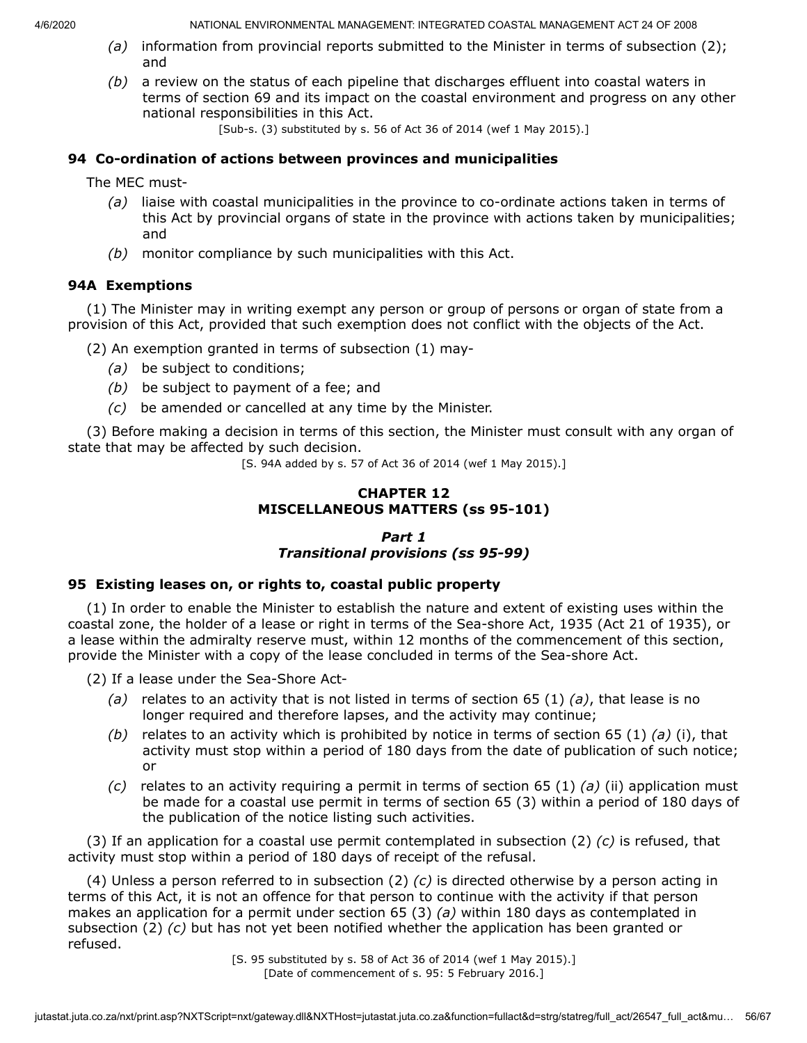- *(a)* information from provincial reports submitted to the Minister in terms of subsection (2); and
- *(b)* a review on the status of each pipeline that discharges effluent into coastal waters in terms of section 69 and its impact on the coastal environment and progress on any other national responsibilities in this Act.

[Sub-s. (3) substituted by s. 56 of Act 36 of 2014 (wef 1 May 2015).]

### **94 Co-ordination of actions between provinces and municipalities**

The MEC must-

- *(a)* liaise with coastal municipalities in the province to co-ordinate actions taken in terms of this Act by provincial organs of state in the province with actions taken by municipalities; and
- *(b)* monitor compliance by such municipalities with this Act.

### **94A Exemptions**

(1) The Minister may in writing exempt any person or group of persons or organ of state from a provision of this Act, provided that such exemption does not conflict with the objects of the Act.

(2) An exemption granted in terms of subsection (1) may-

- *(a)* be subject to conditions;
- *(b)* be subject to payment of a fee; and
- *(c)* be amended or cancelled at any time by the Minister.

(3) Before making a decision in terms of this section, the Minister must consult with any organ of state that may be affected by such decision.

[S. 94A added by s. 57 of Act 36 of 2014 (wef 1 May 2015).]

### **CHAPTER 12 MISCELLANEOUS MATTERS (ss 95-101)**

## *Part 1 Transitional provisions (ss 95-99)*

### **95 Existing leases on, or rights to, coastal public property**

(1) In order to enable the Minister to establish the nature and extent of existing uses within the coastal zone, the holder of a lease or right in terms of the Sea-shore Act, 1935 (Act 21 of 1935), or a lease within the admiralty reserve must, within 12 months of the commencement of this section, provide the Minister with a copy of the lease concluded in terms of the Sea-shore Act.

(2) If a lease under the Sea-Shore Act-

- *(a)* relates to an activity that is not listed in terms of section 65 (1) *(a)*, that lease is no longer required and therefore lapses, and the activity may continue;
- *(b)* relates to an activity which is prohibited by notice in terms of section 65 (1) *(a)* (i), that activity must stop within a period of 180 days from the date of publication of such notice; or
- *(c)* relates to an activity requiring a permit in terms of section 65 (1) *(a)* (ii) application must be made for a coastal use permit in terms of section 65 (3) within a period of 180 days of the publication of the notice listing such activities.

(3) If an application for a coastal use permit contemplated in subsection (2) *(c)* is refused, that activity must stop within a period of 180 days of receipt of the refusal.

(4) Unless a person referred to in subsection (2) *(c)* is directed otherwise by a person acting in terms of this Act, it is not an offence for that person to continue with the activity if that person makes an application for a permit under section 65 (3) *(a)* within 180 days as contemplated in subsection (2) *(c)* but has not yet been notified whether the application has been granted or refused.

[S. 95 substituted by s. 58 of Act 36 of 2014 (wef 1 May 2015).] [Date of commencement of s. 95: 5 February 2016.]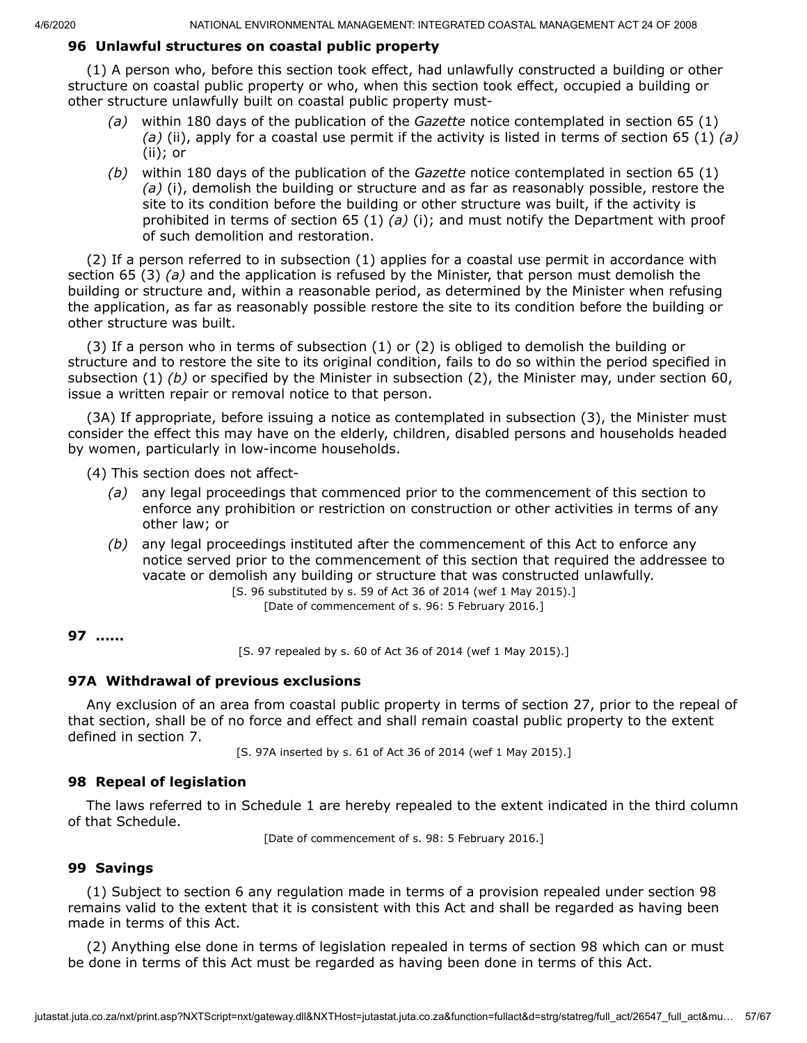# **96 Unlawful structures on coastal public property**

(1) A person who, before this section took effect, had unlawfully constructed a building or other structure on coastal public property or who, when this section took effect, occupied a building or other structure unlawfully built on coastal public property must-

- *(a)* within 180 days of the publication of the *Gazette* notice contemplated in section 65 (1) *(a)* (ii), apply for a coastal use permit if the activity is listed in terms of section 65 (1) *(a)* (ii); or
- *(b)* within 180 days of the publication of the *Gazette* notice contemplated in section 65 (1) *(a)* (i), demolish the building or structure and as far as reasonably possible, restore the site to its condition before the building or other structure was built, if the activity is prohibited in terms of section 65 (1) *(a)* (i); and must notify the Department with proof of such demolition and restoration.

(2) If a person referred to in subsection (1) applies for a coastal use permit in accordance with section 65 (3) *(a)* and the application is refused by the Minister, that person must demolish the building or structure and, within a reasonable period, as determined by the Minister when refusing the application, as far as reasonably possible restore the site to its condition before the building or other structure was built.

(3) If a person who in terms of subsection (1) or (2) is obliged to demolish the building or structure and to restore the site to its original condition, fails to do so within the period specified in subsection (1) *(b)* or specified by the Minister in subsection (2), the Minister may, under section 60, issue a written repair or removal notice to that person.

(3A) If appropriate, before issuing a notice as contemplated in subsection (3), the Minister must consider the effect this may have on the elderly, children, disabled persons and households headed by women, particularly in low-income households.

(4) This section does not affect-

- *(a)* any legal proceedings that commenced prior to the commencement of this section to enforce any prohibition or restriction on construction or other activities in terms of any other law; or
- *(b)* any legal proceedings instituted after the commencement of this Act to enforce any notice served prior to the commencement of this section that required the addressee to vacate or demolish any building or structure that was constructed unlawfully.

[S. 96 substituted by s. 59 of Act 36 of 2014 (wef 1 May 2015).] [Date of commencement of s. 96: 5 February 2016.]

### **97 ......**

[S. 97 repealed by s. 60 of Act 36 of 2014 (wef 1 May 2015).]

### **97A Withdrawal of previous exclusions**

Any exclusion of an area from coastal public property in terms of section 27, prior to the repeal of that section, shall be of no force and effect and shall remain coastal public property to the extent defined in section 7.

[S. 97A inserted by s. 61 of Act 36 of 2014 (wef 1 May 2015).]

### **98 Repeal of legislation**

The laws referred to in Schedule 1 are hereby repealed to the extent indicated in the third column of that Schedule.

[Date of commencement of s. 98: 5 February 2016.]

### **99 Savings**

(1) Subject to section 6 any regulation made in terms of a provision repealed under section 98 remains valid to the extent that it is consistent with this Act and shall be regarded as having been made in terms of this Act.

(2) Anything else done in terms of legislation repealed in terms of section 98 which can or must be done in terms of this Act must be regarded as having been done in terms of this Act.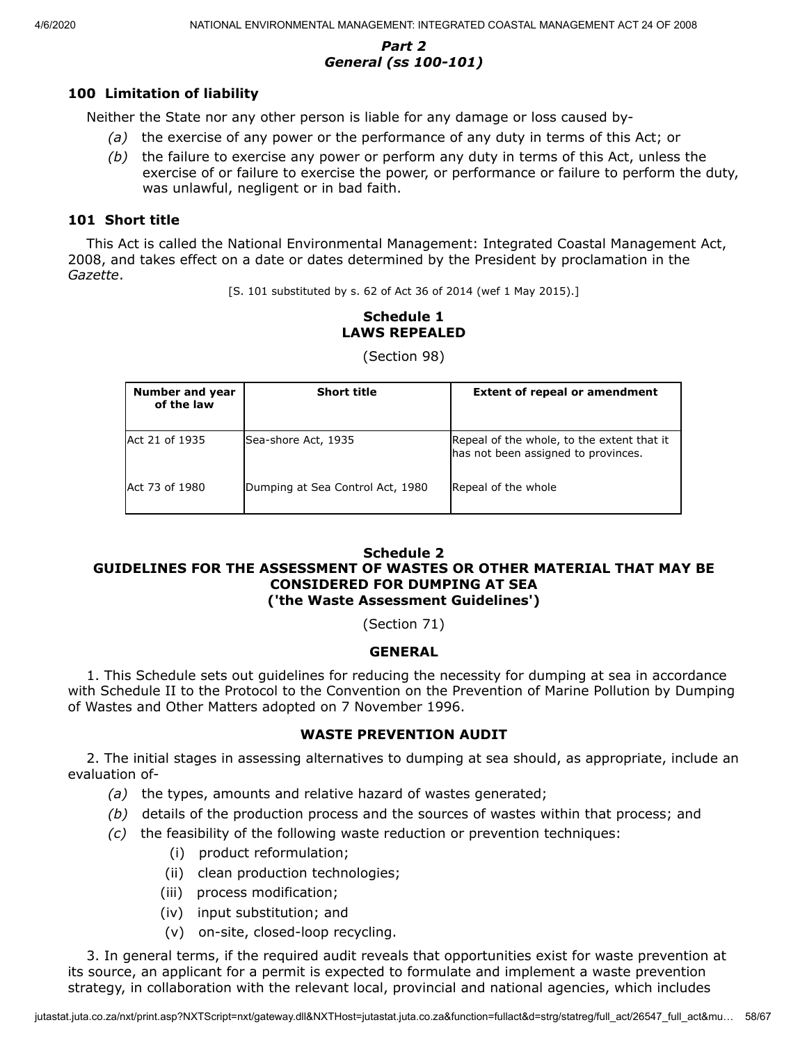## *Part 2 General (ss 100-101)*

## **100 Limitation of liability**

Neither the State nor any other person is liable for any damage or loss caused by-

- *(a)* the exercise of any power or the performance of any duty in terms of this Act; or
- *(b)* the failure to exercise any power or perform any duty in terms of this Act, unless the exercise of or failure to exercise the power, or performance or failure to perform the duty, was unlawful, negligent or in bad faith.

### **101 Short title**

This Act is called the National Environmental Management: Integrated Coastal Management Act, 2008, and takes effect on a date or dates determined by the President by proclamation in the *Gazette*.

[S. 101 substituted by s. 62 of Act 36 of 2014 (wef 1 May 2015).]

# **Schedule 1 LAWS REPEALED**

| Number and year<br>of the law | <b>Short title</b>               | <b>Extent of repeal or amendment</b>                                              |
|-------------------------------|----------------------------------|-----------------------------------------------------------------------------------|
| Act 21 of 1935                | Sea-shore Act, 1935              | Repeal of the whole, to the extent that it<br>has not been assigned to provinces. |
| Act 73 of 1980                | Dumping at Sea Control Act, 1980 | Repeal of the whole                                                               |

(Section 98)

#### **Schedule 2 GUIDELINES FOR THE ASSESSMENT OF WASTES OR OTHER MATERIAL THAT MAY BE CONSIDERED FOR DUMPING AT SEA ('the Waste Assessment Guidelines')**

(Section 71)

## **GENERAL**

1. This Schedule sets out guidelines for reducing the necessity for dumping at sea in accordance with Schedule II to the Protocol to the Convention on the Prevention of Marine Pollution by Dumping of Wastes and Other Matters adopted on 7 November 1996.

### **WASTE PREVENTION AUDIT**

2. The initial stages in assessing alternatives to dumping at sea should, as appropriate, include an evaluation of-

- *(a)* the types, amounts and relative hazard of wastes generated;
- *(b)* details of the production process and the sources of wastes within that process; and
- *(c)* the feasibility of the following waste reduction or prevention techniques:
	- (i) product reformulation;
	- (ii) clean production technologies;
	- (iii) process modification;
	- (iv) input substitution; and
	- (v) on-site, closed-loop recycling.

3. In general terms, if the required audit reveals that opportunities exist for waste prevention at its source, an applicant for a permit is expected to formulate and implement a waste prevention strategy, in collaboration with the relevant local, provincial and national agencies, which includes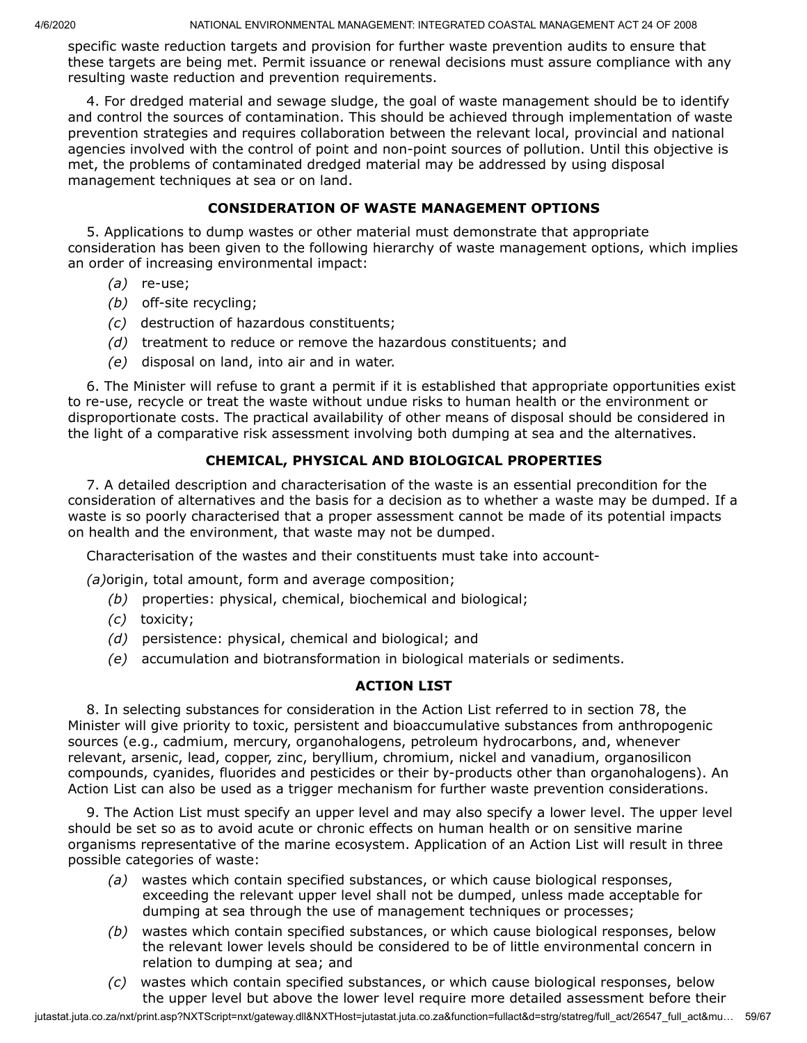specific waste reduction targets and provision for further waste prevention audits to ensure that these targets are being met. Permit issuance or renewal decisions must assure compliance with any resulting waste reduction and prevention requirements.

4. For dredged material and sewage sludge, the goal of waste management should be to identify and control the sources of contamination. This should be achieved through implementation of waste prevention strategies and requires collaboration between the relevant local, provincial and national agencies involved with the control of point and non-point sources of pollution. Until this objective is met, the problems of contaminated dredged material may be addressed by using disposal management techniques at sea or on land.

## **CONSIDERATION OF WASTE MANAGEMENT OPTIONS**

5. Applications to dump wastes or other material must demonstrate that appropriate consideration has been given to the following hierarchy of waste management options, which implies an order of increasing environmental impact:

- *(a)* re-use;
- *(b)* off-site recycling;
- *(c)* destruction of hazardous constituents;
- *(d)* treatment to reduce or remove the hazardous constituents; and
- *(e)* disposal on land, into air and in water.

6. The Minister will refuse to grant a permit if it is established that appropriate opportunities exist to re-use, recycle or treat the waste without undue risks to human health or the environment or disproportionate costs. The practical availability of other means of disposal should be considered in the light of a comparative risk assessment involving both dumping at sea and the alternatives.

## **CHEMICAL, PHYSICAL AND BIOLOGICAL PROPERTIES**

7. A detailed description and characterisation of the waste is an essential precondition for the consideration of alternatives and the basis for a decision as to whether a waste may be dumped. If a waste is so poorly characterised that a proper assessment cannot be made of its potential impacts on health and the environment, that waste may not be dumped.

Characterisation of the wastes and their constituents must take into account-

*(a)*origin, total amount, form and average composition;

- *(b)* properties: physical, chemical, biochemical and biological;
- *(c)* toxicity;
- *(d)* persistence: physical, chemical and biological; and
- *(e)* accumulation and biotransformation in biological materials or sediments.

## **ACTION LIST**

8. In selecting substances for consideration in the Action List referred to in section 78, the Minister will give priority to toxic, persistent and bioaccumulative substances from anthropogenic sources (e.g., cadmium, mercury, organohalogens, petroleum hydrocarbons, and, whenever relevant, arsenic, lead, copper, zinc, beryllium, chromium, nickel and vanadium, organosilicon compounds, cyanides, fluorides and pesticides or their by-products other than organohalogens). An Action List can also be used as a trigger mechanism for further waste prevention considerations.

9. The Action List must specify an upper level and may also specify a lower level. The upper level should be set so as to avoid acute or chronic effects on human health or on sensitive marine organisms representative of the marine ecosystem. Application of an Action List will result in three possible categories of waste:

- *(a)* wastes which contain specified substances, or which cause biological responses, exceeding the relevant upper level shall not be dumped, unless made acceptable for dumping at sea through the use of management techniques or processes;
- *(b)* wastes which contain specified substances, or which cause biological responses, below the relevant lower levels should be considered to be of little environmental concern in relation to dumping at sea; and
- *(c)* wastes which contain specified substances, or which cause biological responses, below the upper level but above the lower level require more detailed assessment before their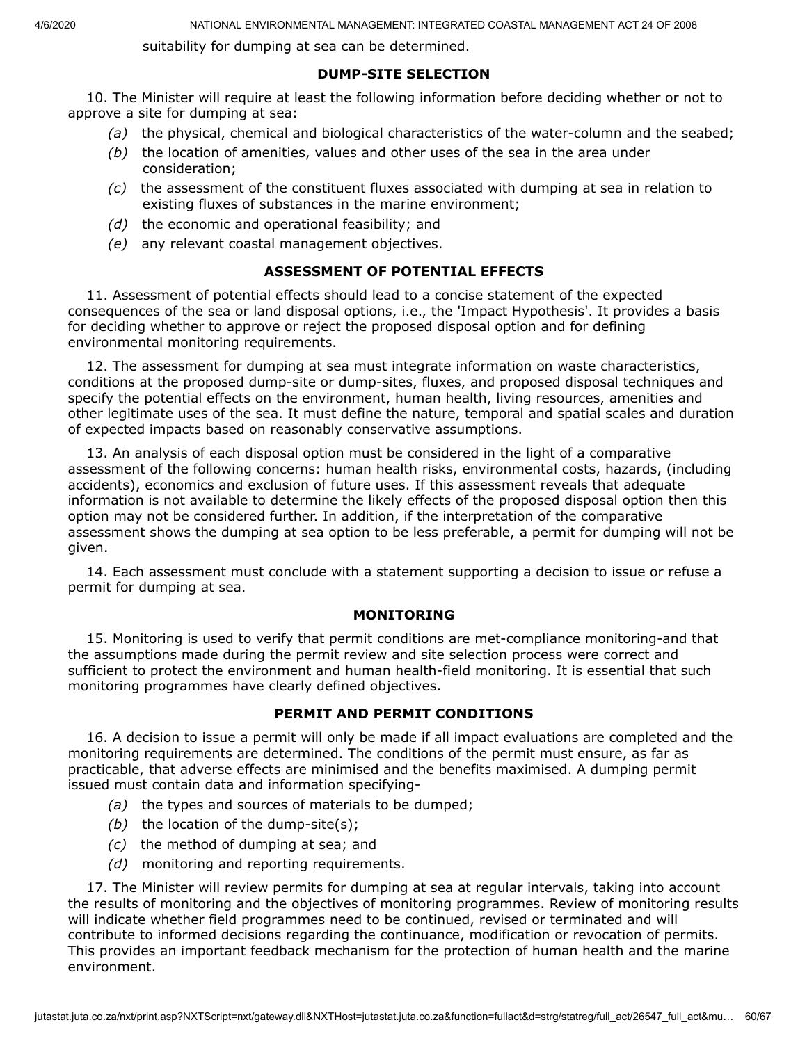suitability for dumping at sea can be determined.

### **DUMP-SITE SELECTION**

10. The Minister will require at least the following information before deciding whether or not to approve a site for dumping at sea:

- *(a)* the physical, chemical and biological characteristics of the water-column and the seabed;
- *(b)* the location of amenities, values and other uses of the sea in the area under consideration;
- *(c)* the assessment of the constituent fluxes associated with dumping at sea in relation to existing fluxes of substances in the marine environment;
- *(d)* the economic and operational feasibility; and
- *(e)* any relevant coastal management objectives.

### **ASSESSMENT OF POTENTIAL EFFECTS**

11. Assessment of potential effects should lead to a concise statement of the expected consequences of the sea or land disposal options, i.e., the 'Impact Hypothesis'. It provides a basis for deciding whether to approve or reject the proposed disposal option and for defining environmental monitoring requirements.

12. The assessment for dumping at sea must integrate information on waste characteristics, conditions at the proposed dump-site or dump-sites, fluxes, and proposed disposal techniques and specify the potential effects on the environment, human health, living resources, amenities and other legitimate uses of the sea. It must define the nature, temporal and spatial scales and duration of expected impacts based on reasonably conservative assumptions.

13. An analysis of each disposal option must be considered in the light of a comparative assessment of the following concerns: human health risks, environmental costs, hazards, (including accidents), economics and exclusion of future uses. If this assessment reveals that adequate information is not available to determine the likely effects of the proposed disposal option then this option may not be considered further. In addition, if the interpretation of the comparative assessment shows the dumping at sea option to be less preferable, a permit for dumping will not be given.

14. Each assessment must conclude with a statement supporting a decision to issue or refuse a permit for dumping at sea.

### **MONITORING**

15. Monitoring is used to verify that permit conditions are met-compliance monitoring-and that the assumptions made during the permit review and site selection process were correct and sufficient to protect the environment and human health-field monitoring. It is essential that such monitoring programmes have clearly defined objectives.

## **PERMIT AND PERMIT CONDITIONS**

16. A decision to issue a permit will only be made if all impact evaluations are completed and the monitoring requirements are determined. The conditions of the permit must ensure, as far as practicable, that adverse effects are minimised and the benefits maximised. A dumping permit issued must contain data and information specifying-

- *(a)* the types and sources of materials to be dumped;
- *(b)* the location of the dump-site(s);
- *(c)* the method of dumping at sea; and
- *(d)* monitoring and reporting requirements.

17. The Minister will review permits for dumping at sea at regular intervals, taking into account the results of monitoring and the objectives of monitoring programmes. Review of monitoring results will indicate whether field programmes need to be continued, revised or terminated and will contribute to informed decisions regarding the continuance, modification or revocation of permits. This provides an important feedback mechanism for the protection of human health and the marine environment.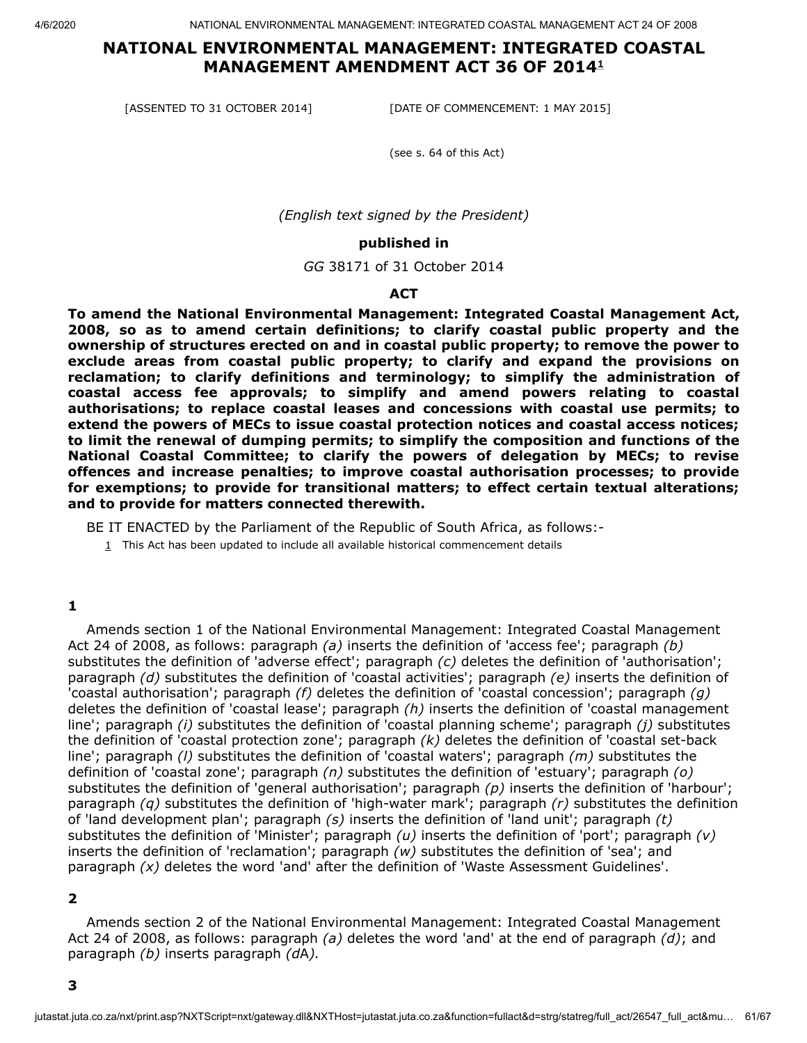# **NATIONAL ENVIRONMENTAL MANAGEMENT: INTEGRATED COASTAL MANAGEMENT AMENDMENT ACT 36 OF 2014 [1](#page-60-0)**

[ASSENTED TO 31 OCTOBER 2014] [DATE OF COMMENCEMENT: 1 MAY 2015]

(see s. 64 of this Act)

*(English text signed by the President)*

#### **published in**

*GG* 38171 of 31 October 2014

#### **ACT**

**To amend the National Environmental Management: Integrated Coastal Management Act, 2008, so as to amend certain definitions; to clarify coastal public property and the ownership of structures erected on and in coastal public property; to remove the power to exclude areas from coastal public property; to clarify and expand the provisions on reclamation; to clarify definitions and terminology; to simplify the administration of coastal access fee approvals; to simplify and amend powers relating to coastal authorisations; to replace coastal leases and concessions with coastal use permits; to extend the powers of MECs to issue coastal protection notices and coastal access notices; to limit the renewal of dumping permits; to simplify the composition and functions of the National Coastal Committee; to clarify the powers of delegation by MECs; to revise offences and increase penalties; to improve coastal authorisation processes; to provide for exemptions; to provide for transitional matters; to effect certain textual alterations; and to provide for matters connected therewith.**

<span id="page-60-0"></span>BE IT ENACTED by the Parliament of the Republic of South Africa, as follows:-

 $1$  This Act has been updated to include all available historical commencement details

#### **1**

Amends section 1 of the National Environmental Management: Integrated Coastal Management Act 24 of 2008, as follows: paragraph *(a)* inserts the definition of 'access fee'; paragraph *(b)* substitutes the definition of 'adverse effect'; paragraph *(c)* deletes the definition of 'authorisation'; paragraph *(d)* substitutes the definition of 'coastal activities'; paragraph *(e)* inserts the definition of 'coastal authorisation'; paragraph *(f)* deletes the definition of 'coastal concession'; paragraph *(g)* deletes the definition of 'coastal lease'; paragraph *(h)* inserts the definition of 'coastal management line'; paragraph *(i)* substitutes the definition of 'coastal planning scheme'; paragraph *(j)* substitutes the definition of 'coastal protection zone'; paragraph *(k)* deletes the definition of 'coastal set-back line'; paragraph *(l)* substitutes the definition of 'coastal waters'; paragraph *(m)* substitutes the definition of 'coastal zone'; paragraph *(n)* substitutes the definition of 'estuary'; paragraph *(o)* substitutes the definition of 'general authorisation'; paragraph *(p)* inserts the definition of 'harbour'; paragraph *(q)* substitutes the definition of 'high-water mark'; paragraph *(r)* substitutes the definition of 'land development plan'; paragraph *(s)* inserts the definition of 'land unit'; paragraph *(t)* substitutes the definition of 'Minister'; paragraph *(u)* inserts the definition of 'port'; paragraph *(v)* inserts the definition of 'reclamation'; paragraph *(w)* substitutes the definition of 'sea'; and paragraph *(x)* deletes the word 'and' after the definition of 'Waste Assessment Guidelines'.

#### **2**

Amends section 2 of the National Environmental Management: Integrated Coastal Management Act 24 of 2008, as follows: paragraph *(a)* deletes the word 'and' at the end of paragraph *(d)*; and paragraph *(b)* inserts paragraph *(d*A*).*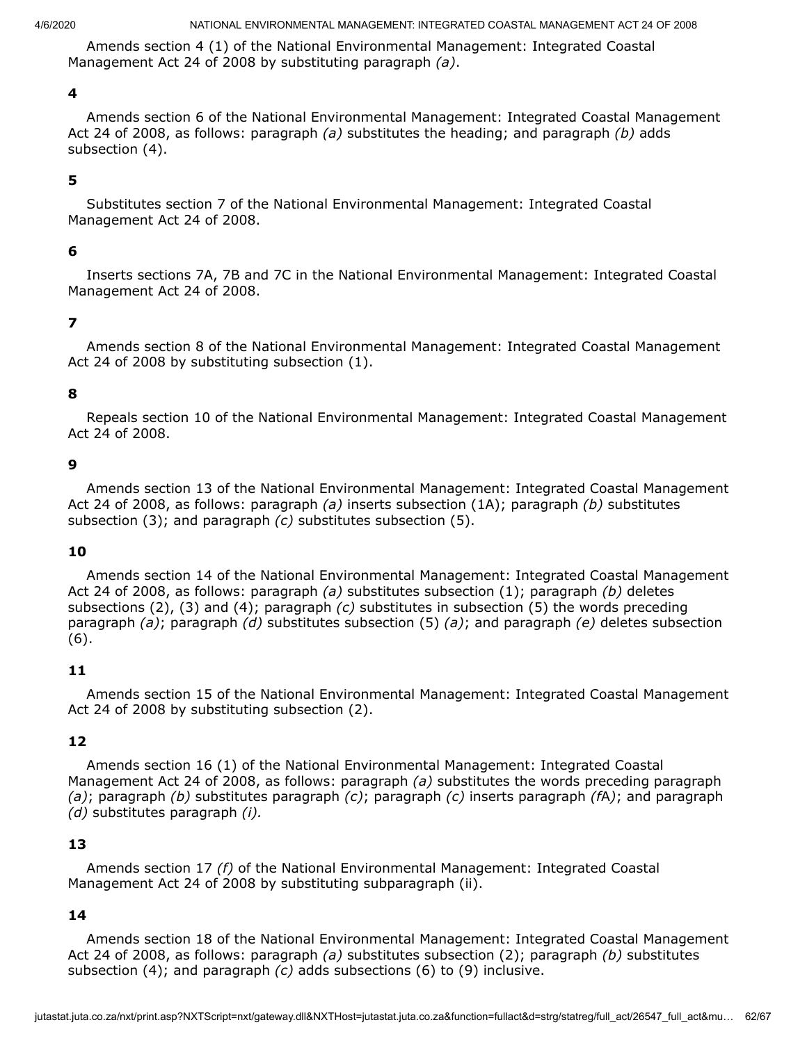Amends section 4 (1) of the National Environmental Management: Integrated Coastal Management Act 24 of 2008 by substituting paragraph *(a)*.

#### **4**

Amends section 6 of the National Environmental Management: Integrated Coastal Management Act 24 of 2008, as follows: paragraph *(a)* substitutes the heading; and paragraph *(b)* adds subsection (4).

### **5**

Substitutes section 7 of the National Environmental Management: Integrated Coastal Management Act 24 of 2008.

#### **6**

Inserts sections 7A, 7B and 7C in the National Environmental Management: Integrated Coastal Management Act 24 of 2008.

#### **7**

Amends section 8 of the National Environmental Management: Integrated Coastal Management Act 24 of 2008 by substituting subsection (1).

#### **8**

Repeals section 10 of the National Environmental Management: Integrated Coastal Management Act 24 of 2008.

#### **9**

Amends section 13 of the National Environmental Management: Integrated Coastal Management Act 24 of 2008, as follows: paragraph *(a)* inserts subsection (1A); paragraph *(b)* substitutes subsection (3); and paragraph *(c)* substitutes subsection (5).

#### **10**

Amends section 14 of the National Environmental Management: Integrated Coastal Management Act 24 of 2008, as follows: paragraph *(a)* substitutes subsection (1); paragraph *(b)* deletes subsections (2), (3) and (4); paragraph *(c)* substitutes in subsection (5) the words preceding paragraph *(a)*; paragraph *(d)* substitutes subsection (5) *(a)*; and paragraph *(e)* deletes subsection (6).

#### **11**

Amends section 15 of the National Environmental Management: Integrated Coastal Management Act 24 of 2008 by substituting subsection (2).

### **12**

Amends section 16 (1) of the National Environmental Management: Integrated Coastal Management Act 24 of 2008, as follows: paragraph *(a)* substitutes the words preceding paragraph *(a)*; paragraph *(b)* substitutes paragraph *(c)*; paragraph *(c)* inserts paragraph *(f*A*)*; and paragraph *(d)* substitutes paragraph *(i).*

### **13**

Amends section 17 *(f)* of the National Environmental Management: Integrated Coastal Management Act 24 of 2008 by substituting subparagraph (ii).

### **14**

Amends section 18 of the National Environmental Management: Integrated Coastal Management Act 24 of 2008, as follows: paragraph *(a)* substitutes subsection (2); paragraph *(b)* substitutes subsection (4); and paragraph *(c)* adds subsections (6) to (9) inclusive.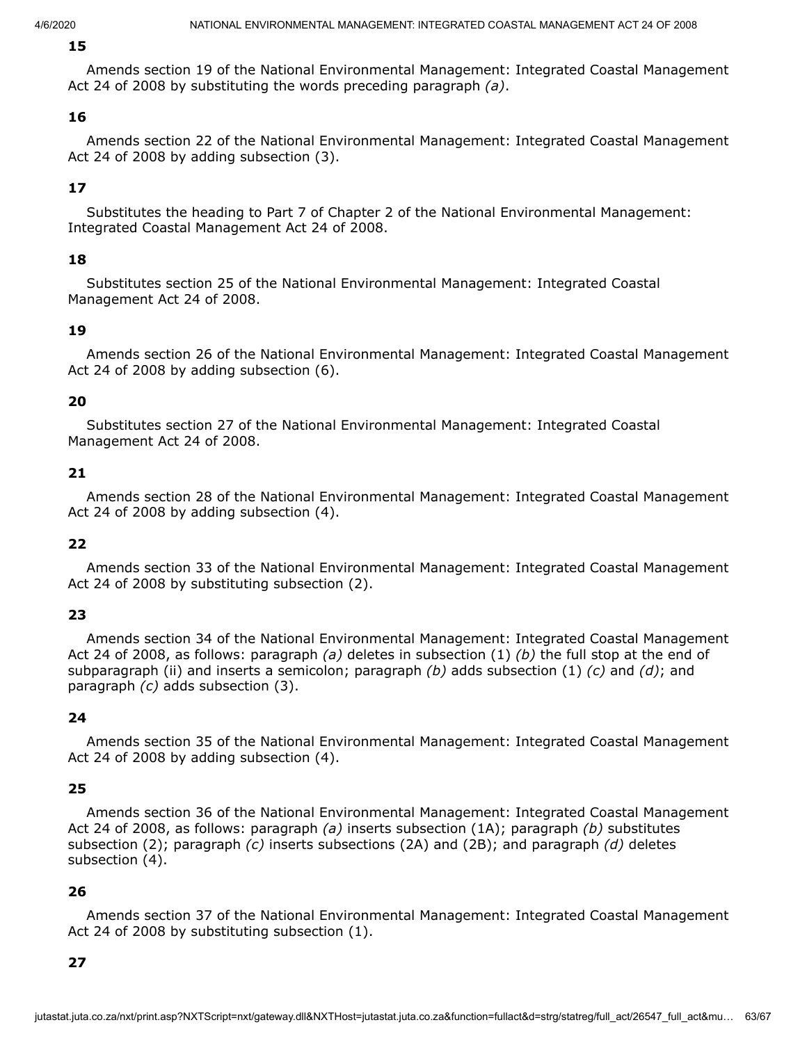### **15**

Amends section 19 of the National Environmental Management: Integrated Coastal Management Act 24 of 2008 by substituting the words preceding paragraph *(a)*.

### **16**

Amends section 22 of the National Environmental Management: Integrated Coastal Management Act 24 of 2008 by adding subsection (3).

### **17**

Substitutes the heading to Part 7 of Chapter 2 of the National Environmental Management: Integrated Coastal Management Act 24 of 2008.

### **18**

Substitutes section 25 of the National Environmental Management: Integrated Coastal Management Act 24 of 2008.

### **19**

Amends section 26 of the National Environmental Management: Integrated Coastal Management Act 24 of 2008 by adding subsection (6).

### **20**

Substitutes section 27 of the National Environmental Management: Integrated Coastal Management Act 24 of 2008.

### **21**

Amends section 28 of the National Environmental Management: Integrated Coastal Management Act 24 of 2008 by adding subsection (4).

### **22**

Amends section 33 of the National Environmental Management: Integrated Coastal Management Act 24 of 2008 by substituting subsection (2).

## **23**

Amends section 34 of the National Environmental Management: Integrated Coastal Management Act 24 of 2008, as follows: paragraph *(a)* deletes in subsection (1) *(b)* the full stop at the end of subparagraph (ii) and inserts a semicolon; paragraph *(b)* adds subsection (1) *(c)* and *(d)*; and paragraph *(c)* adds subsection (3).

### **24**

Amends section 35 of the National Environmental Management: Integrated Coastal Management Act 24 of 2008 by adding subsection (4).

### **25**

Amends section 36 of the National Environmental Management: Integrated Coastal Management Act 24 of 2008, as follows: paragraph *(a)* inserts subsection (1A); paragraph *(b)* substitutes subsection (2); paragraph *(c)* inserts subsections (2A) and (2B); and paragraph *(d)* deletes subsection (4).

### **26**

Amends section 37 of the National Environmental Management: Integrated Coastal Management Act 24 of 2008 by substituting subsection (1).

### **27**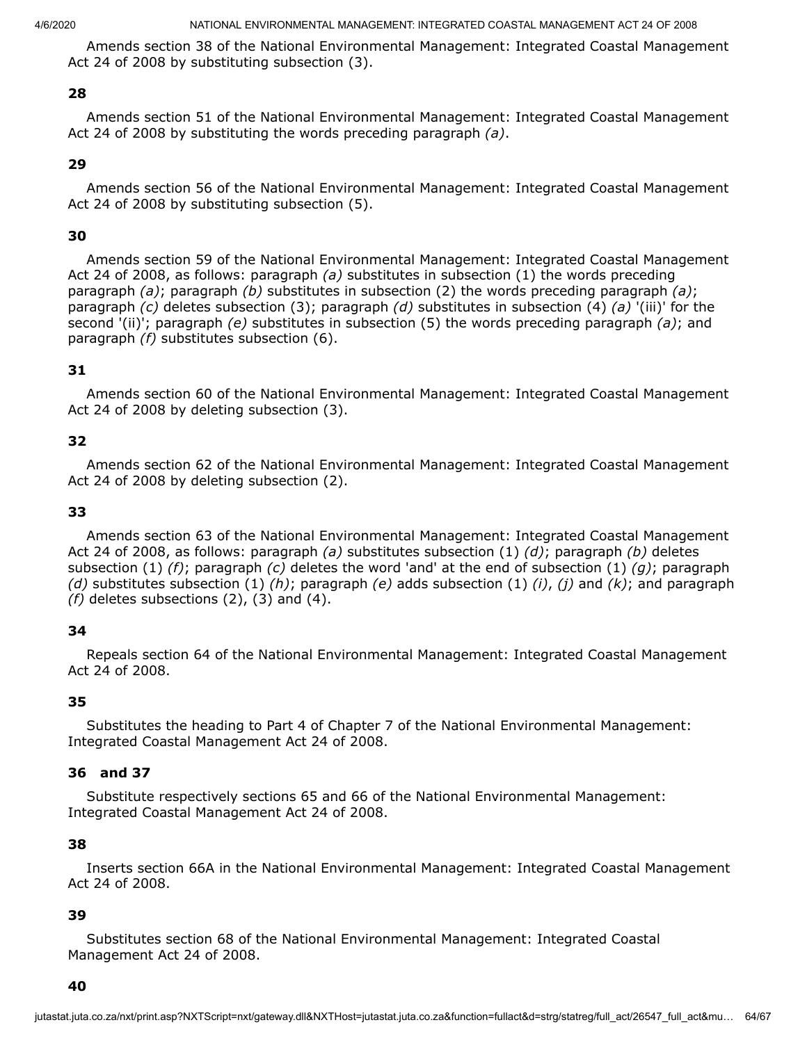Amends section 38 of the National Environmental Management: Integrated Coastal Management Act 24 of 2008 by substituting subsection (3).

### **28**

Amends section 51 of the National Environmental Management: Integrated Coastal Management Act 24 of 2008 by substituting the words preceding paragraph *(a)*.

### **29**

Amends section 56 of the National Environmental Management: Integrated Coastal Management Act 24 of 2008 by substituting subsection (5).

### **30**

Amends section 59 of the National Environmental Management: Integrated Coastal Management Act 24 of 2008, as follows: paragraph *(a)* substitutes in subsection (1) the words preceding paragraph *(a)*; paragraph *(b)* substitutes in subsection (2) the words preceding paragraph *(a)*; paragraph *(c)* deletes subsection (3); paragraph *(d)* substitutes in subsection (4) *(a)* '(iii)' for the second '(ii)'; paragraph *(e)* substitutes in subsection (5) the words preceding paragraph *(a)*; and paragraph *(f)* substitutes subsection (6).

## **31**

Amends section 60 of the National Environmental Management: Integrated Coastal Management Act 24 of 2008 by deleting subsection (3).

### **32**

Amends section 62 of the National Environmental Management: Integrated Coastal Management Act 24 of 2008 by deleting subsection (2).

### **33**

Amends section 63 of the National Environmental Management: Integrated Coastal Management Act 24 of 2008, as follows: paragraph *(a)* substitutes subsection (1) *(d)*; paragraph *(b)* deletes subsection (1) *(f)*; paragraph *(c)* deletes the word 'and' at the end of subsection (1) *(g)*; paragraph *(d)* substitutes subsection (1) *(h)*; paragraph *(e)* adds subsection (1) *(i)*, *(j)* and *(k)*; and paragraph *(f)* deletes subsections (2), (3) and (4).

### **34**

Repeals section 64 of the National Environmental Management: Integrated Coastal Management Act 24 of 2008.

### **35**

Substitutes the heading to Part 4 of Chapter 7 of the National Environmental Management: Integrated Coastal Management Act 24 of 2008.

### **36 and 37**

Substitute respectively sections 65 and 66 of the National Environmental Management: Integrated Coastal Management Act 24 of 2008.

### **38**

Inserts section 66A in the National Environmental Management: Integrated Coastal Management Act 24 of 2008.

### **39**

Substitutes section 68 of the National Environmental Management: Integrated Coastal Management Act 24 of 2008.

#### **40**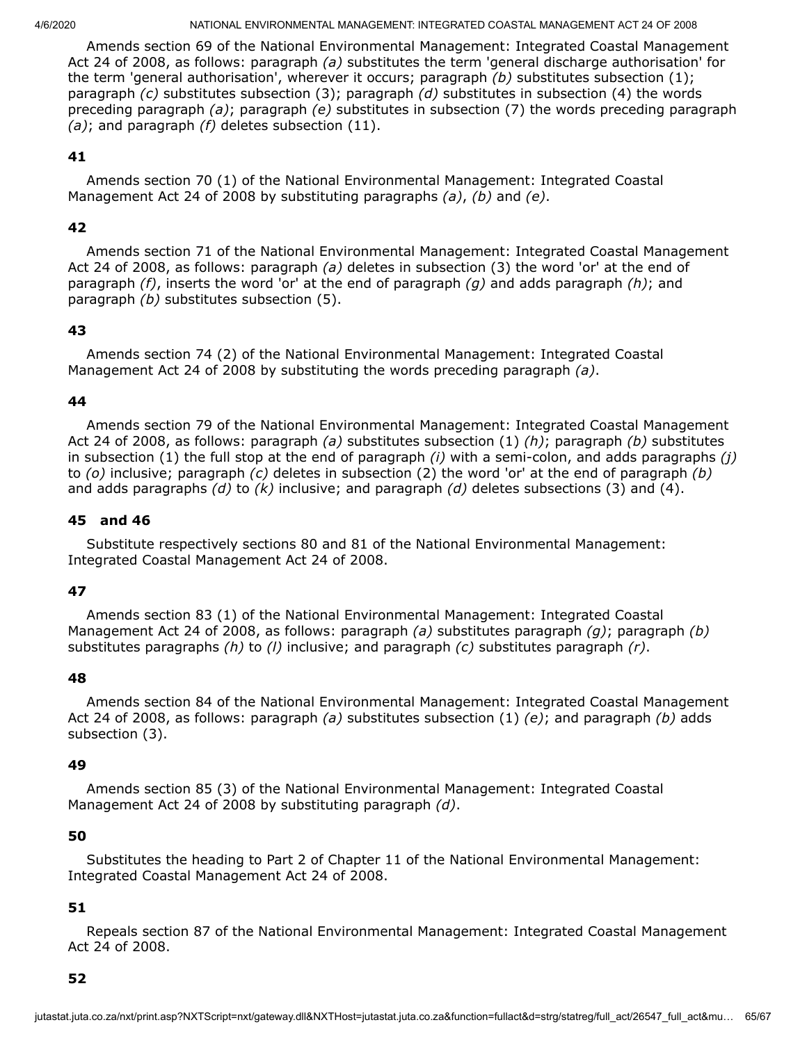Amends section 69 of the National Environmental Management: Integrated Coastal Management Act 24 of 2008, as follows: paragraph *(a)* substitutes the term 'general discharge authorisation' for the term 'general authorisation', wherever it occurs; paragraph *(b)* substitutes subsection (1); paragraph *(c)* substitutes subsection (3); paragraph *(d)* substitutes in subsection (4) the words preceding paragraph *(a)*; paragraph *(e)* substitutes in subsection (7) the words preceding paragraph *(a)*; and paragraph *(f)* deletes subsection (11).

### **41**

Amends section 70 (1) of the National Environmental Management: Integrated Coastal Management Act 24 of 2008 by substituting paragraphs *(a)*, *(b)* and *(e)*.

## **42**

Amends section 71 of the National Environmental Management: Integrated Coastal Management Act 24 of 2008, as follows: paragraph *(a)* deletes in subsection (3) the word 'or' at the end of paragraph *(f)*, inserts the word 'or' at the end of paragraph *(g)* and adds paragraph *(h)*; and paragraph *(b)* substitutes subsection (5).

## **43**

Amends section 74 (2) of the National Environmental Management: Integrated Coastal Management Act 24 of 2008 by substituting the words preceding paragraph *(a)*.

### **44**

Amends section 79 of the National Environmental Management: Integrated Coastal Management Act 24 of 2008, as follows: paragraph *(a)* substitutes subsection (1) *(h)*; paragraph *(b)* substitutes in subsection (1) the full stop at the end of paragraph *(i)* with a semi-colon, and adds paragraphs *(j)* to *(o)* inclusive; paragraph *(c)* deletes in subsection (2) the word 'or' at the end of paragraph *(b)* and adds paragraphs *(d)* to *(k)* inclusive; and paragraph *(d)* deletes subsections (3) and (4).

### **45 and 46**

Substitute respectively sections 80 and 81 of the National Environmental Management: Integrated Coastal Management Act 24 of 2008.

## **47**

Amends section 83 (1) of the National Environmental Management: Integrated Coastal Management Act 24 of 2008, as follows: paragraph *(a)* substitutes paragraph *(g)*; paragraph *(b)* substitutes paragraphs *(h)* to *(l)* inclusive; and paragraph *(c)* substitutes paragraph *(r)*.

### **48**

Amends section 84 of the National Environmental Management: Integrated Coastal Management Act 24 of 2008, as follows: paragraph *(a)* substitutes subsection (1) *(e)*; and paragraph *(b)* adds subsection (3).

### **49**

Amends section 85 (3) of the National Environmental Management: Integrated Coastal Management Act 24 of 2008 by substituting paragraph *(d)*.

### **50**

Substitutes the heading to Part 2 of Chapter 11 of the National Environmental Management: Integrated Coastal Management Act 24 of 2008.

## **51**

Repeals section 87 of the National Environmental Management: Integrated Coastal Management Act 24 of 2008.

### **52**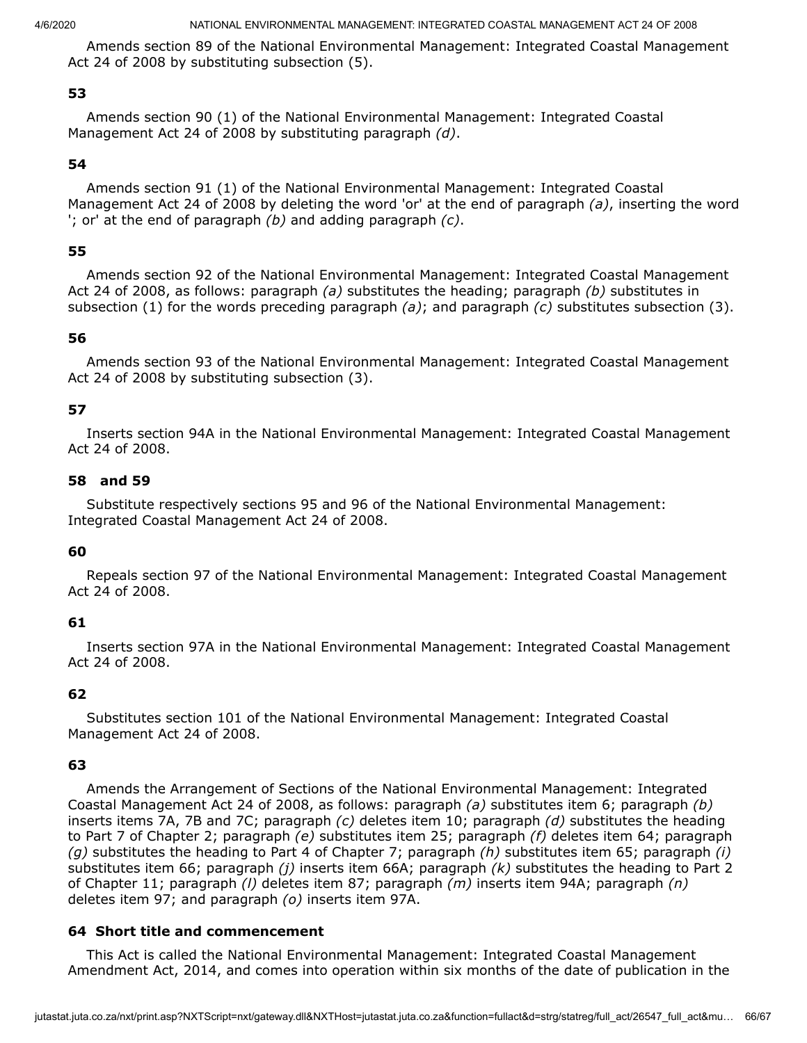Amends section 89 of the National Environmental Management: Integrated Coastal Management Act 24 of 2008 by substituting subsection (5).

## **53**

Amends section 90 (1) of the National Environmental Management: Integrated Coastal Management Act 24 of 2008 by substituting paragraph *(d)*.

## **54**

Amends section 91 (1) of the National Environmental Management: Integrated Coastal Management Act 24 of 2008 by deleting the word 'or' at the end of paragraph *(a)*, inserting the word '; or' at the end of paragraph *(b)* and adding paragraph *(c)*.

## **55**

Amends section 92 of the National Environmental Management: Integrated Coastal Management Act 24 of 2008, as follows: paragraph *(a)* substitutes the heading; paragraph *(b)* substitutes in subsection (1) for the words preceding paragraph *(a)*; and paragraph *(c)* substitutes subsection (3).

## **56**

Amends section 93 of the National Environmental Management: Integrated Coastal Management Act 24 of 2008 by substituting subsection (3).

## **57**

Inserts section 94A in the National Environmental Management: Integrated Coastal Management Act 24 of 2008.

### **58 and 59**

Substitute respectively sections 95 and 96 of the National Environmental Management: Integrated Coastal Management Act 24 of 2008.

## **60**

Repeals section 97 of the National Environmental Management: Integrated Coastal Management Act 24 of 2008.

## **61**

Inserts section 97A in the National Environmental Management: Integrated Coastal Management Act 24 of 2008.

## **62**

Substitutes section 101 of the National Environmental Management: Integrated Coastal Management Act 24 of 2008.

## **63**

Amends the Arrangement of Sections of the National Environmental Management: Integrated Coastal Management Act 24 of 2008, as follows: paragraph *(a)* substitutes item 6; paragraph *(b)* inserts items 7A, 7B and 7C; paragraph *(c)* deletes item 10; paragraph *(d)* substitutes the heading to Part 7 of Chapter 2; paragraph *(e)* substitutes item 25; paragraph *(f)* deletes item 64; paragraph *(g)* substitutes the heading to Part 4 of Chapter 7; paragraph *(h)* substitutes item 65; paragraph *(i)* substitutes item 66; paragraph *(j)* inserts item 66A; paragraph *(k)* substitutes the heading to Part 2 of Chapter 11; paragraph *(l)* deletes item 87; paragraph *(m)* inserts item 94A; paragraph *(n)* deletes item 97; and paragraph *(o)* inserts item 97A.

## **64 Short title and commencement**

This Act is called the National Environmental Management: Integrated Coastal Management Amendment Act, 2014, and comes into operation within six months of the date of publication in the